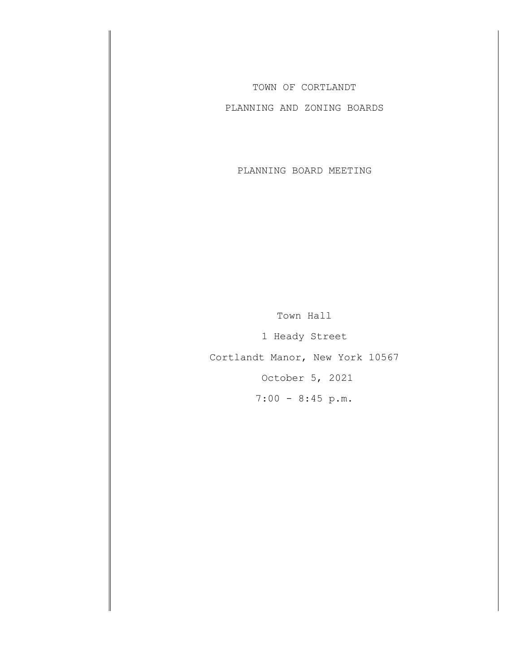TOWN OF CORTLANDT

PLANNING AND ZONING BOARDS

PLANNING BOARD MEETING

Town Hall 1 Heady Street Cortlandt Manor, New York 10567 October 5, 2021 7:00 - 8:45 p.m.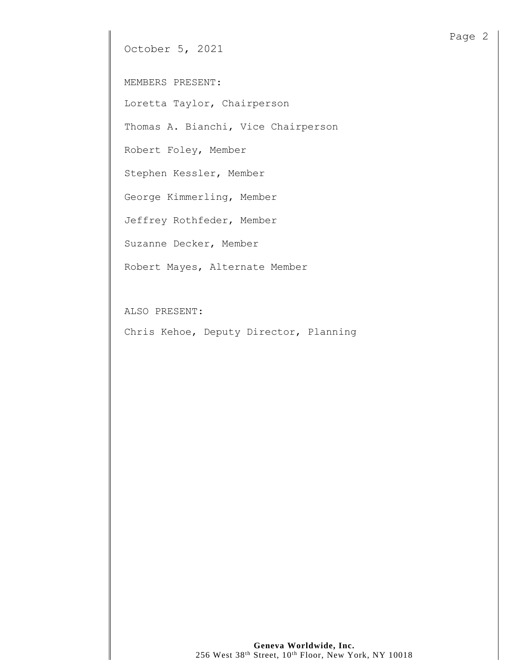October 5, 2021

MEMBERS PRESENT:

Loretta Taylor, Chairperson

Thomas A. Bianchi, Vice Chairperson

Robert Foley, Member

Stephen Kessler, Member

George Kimmerling, Member

Jeffrey Rothfeder, Member

Suzanne Decker, Member

Robert Mayes, Alternate Member

ALSO PRESENT:

Chris Kehoe, Deputy Director, Planning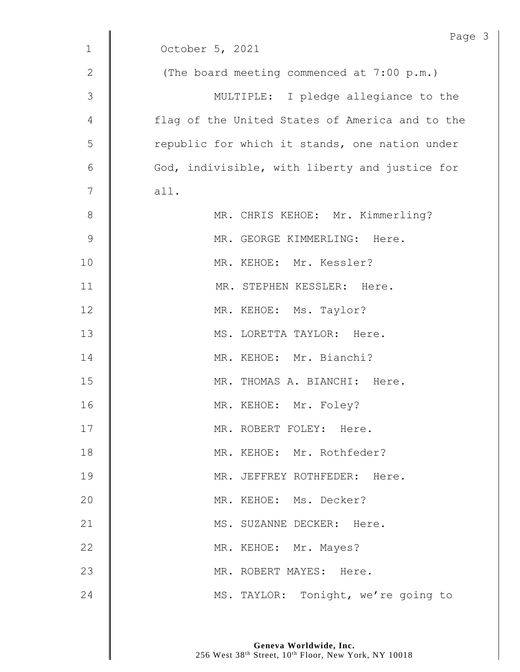|              | Page                                            |
|--------------|-------------------------------------------------|
| $\mathbf{1}$ | October 5, 2021                                 |
| $\mathbf{2}$ | (The board meeting commenced at 7:00 p.m.)      |
| 3            | MULTIPLE: I pledge allegiance to the            |
| 4            | flag of the United States of America and to the |
| 5            | republic for which it stands, one nation under  |
| 6            | God, indivisible, with liberty and justice for  |
| 7            | all.                                            |
| $\,8\,$      | MR. CHRIS KEHOE: Mr. Kimmerling?                |
| $\mathsf 9$  | MR. GEORGE KIMMERLING: Here.                    |
| 10           | MR. KEHOE: Mr. Kessler?                         |
| 11           | MR. STEPHEN KESSLER: Here.                      |
| 12           | MR. KEHOE: Ms. Taylor?                          |
| 13           | MS. LORETTA TAYLOR: Here.                       |
| 14           | MR. KEHOE: Mr. Bianchi?                         |
| 15           | MR. THOMAS A. BIANCHI: Here.                    |
| 16           | MR. KEHOE: Mr. Foley?                           |
| 17           | MR. ROBERT FOLEY: Here.                         |
| 18           | MR. KEHOE: Mr. Rothfeder?                       |
| 19           | MR. JEFFREY ROTHFEDER: Here.                    |
| 20           | MR. KEHOE: Ms. Decker?                          |
| 21           | MS. SUZANNE DECKER: Here.                       |
| 22           | MR. KEHOE: Mr. Mayes?                           |
| 23           | MR. ROBERT MAYES: Here.                         |
| 24           | MS. TAYLOR: Tonight, we're going to             |

 $\mathfrak{Z}$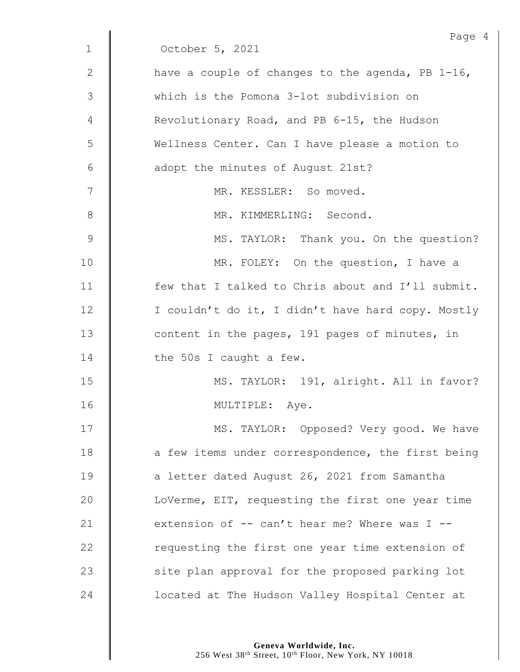|              | Page 4                                              |
|--------------|-----------------------------------------------------|
| $\mathbf{1}$ | October 5, 2021                                     |
| 2            | have a couple of changes to the agenda, PB 1-16,    |
| 3            | which is the Pomona 3-lot subdivision on            |
| 4            | Revolutionary Road, and PB 6-15, the Hudson         |
| 5            | Wellness Center. Can I have please a motion to      |
| 6            | adopt the minutes of August 21st?                   |
| 7            | MR. KESSLER: So moved.                              |
| 8            | MR. KIMMERLING: Second.                             |
| 9            | MS. TAYLOR: Thank you. On the question?             |
| 10           | MR. FOLEY: On the question, I have a                |
| 11           | few that I talked to Chris about and I'll submit.   |
| 12           | I couldn't do it, I didn't have hard copy. Mostly   |
| 13           | content in the pages, 191 pages of minutes, in      |
| 14           | the 50s I caught a few.                             |
| 15           | MS. TAYLOR: 191, alright. All in favor?             |
| 16           | MULTIPLE: Aye.                                      |
| 17           | MS. TAYLOR: Opposed? Very good. We have             |
| 18           | a few items under correspondence, the first being   |
| 19           | a letter dated August 26, 2021 from Samantha        |
| 20           | LoVerme, EIT, requesting the first one year time    |
| 21           | extension of $-$ - can't hear me? Where was I $-$ - |
| 22           | requesting the first one year time extension of     |
| 23           | site plan approval for the proposed parking lot     |
| 24           | located at The Hudson Valley Hospital Center at     |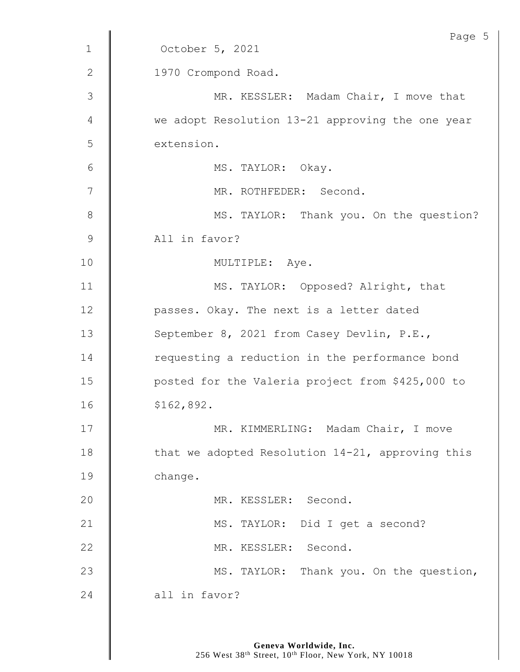| Page 5                                           |
|--------------------------------------------------|
| October 5, 2021                                  |
| 1970 Crompond Road.                              |
| MR. KESSLER: Madam Chair, I move that            |
| we adopt Resolution 13-21 approving the one year |
| extension.                                       |
| MS. TAYLOR: Okay.                                |
| MR. ROTHFEDER: Second.                           |
| MS. TAYLOR: Thank you. On the question?          |
| All in favor?                                    |
| MULTIPLE: Aye.                                   |
| MS. TAYLOR: Opposed? Alright, that               |
| passes. Okay. The next is a letter dated         |
| September 8, 2021 from Casey Devlin, P.E.,       |
| requesting a reduction in the performance bond   |
| posted for the Valeria project from \$425,000 to |
| \$162,892.                                       |
| MR. KIMMERLING: Madam Chair, I move              |
| that we adopted Resolution 14-21, approving this |
| change.                                          |
| MR. KESSLER: Second.                             |
| MS. TAYLOR: Did I get a second?                  |
| MR. KESSLER: Second.                             |
| MS. TAYLOR: Thank you. On the question,          |
| all in favor?                                    |
|                                                  |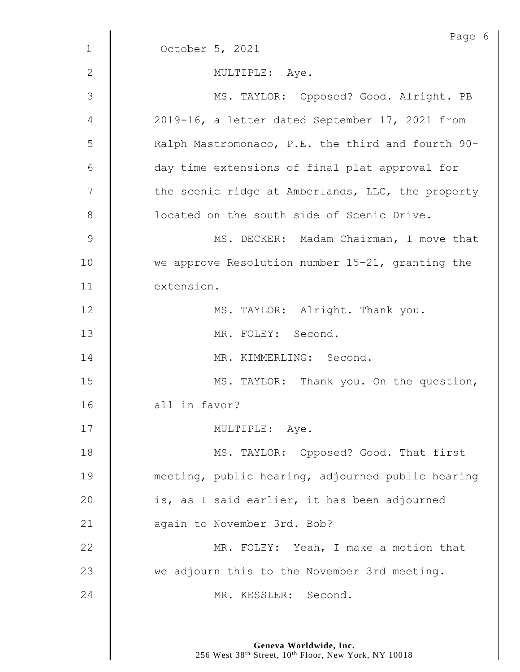|                | Page 6                                            |
|----------------|---------------------------------------------------|
| $\mathbf{1}$   | October 5, 2021                                   |
| $\overline{2}$ | MULTIPLE: Aye.                                    |
| 3              | MS. TAYLOR: Opposed? Good. Alright. PB            |
| 4              | 2019-16, a letter dated September 17, 2021 from   |
| 5              | Ralph Mastromonaco, P.E. the third and fourth 90- |
| 6              | day time extensions of final plat approval for    |
| 7              | the scenic ridge at Amberlands, LLC, the property |
| $8\,$          | located on the south side of Scenic Drive.        |
| $\mathsf 9$    | MS. DECKER: Madam Chairman, I move that           |
| 10             | we approve Resolution number 15-21, granting the  |
| 11             | extension.                                        |
| 12             | MS. TAYLOR: Alright. Thank you.                   |
| 13             | MR. FOLEY: Second.                                |
| 14             | MR. KIMMERLING: Second.                           |
| 15             | MS. TAYLOR: Thank you. On the question,           |
| 16             | all in favor?                                     |
| 17             | MULTIPLE: Aye.                                    |
| 18             | MS. TAYLOR: Opposed? Good. That first             |
| 19             | meeting, public hearing, adjourned public hearing |
| 20             | is, as I said earlier, it has been adjourned      |
| 21             | again to November 3rd. Bob?                       |
| 22             | MR. FOLEY: Yeah, I make a motion that             |
| 23             | we adjourn this to the November 3rd meeting.      |
| 24             | MR. KESSLER: Second.                              |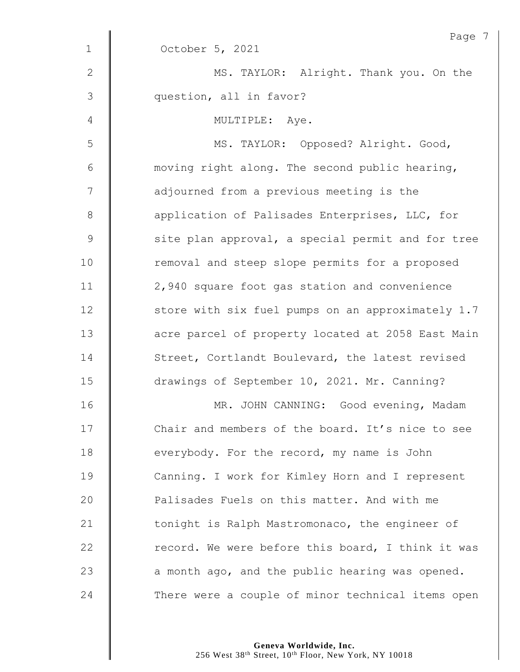|                | Page 7                                            |
|----------------|---------------------------------------------------|
| $\mathbf{1}$   | October 5, 2021                                   |
| $\mathbf{2}$   | MS. TAYLOR: Alright. Thank you. On the            |
| $\mathfrak{Z}$ | question, all in favor?                           |
| 4              | MULTIPLE: Aye.                                    |
| 5              | MS. TAYLOR: Opposed? Alright. Good,               |
| 6              | moving right along. The second public hearing,    |
| 7              | adjourned from a previous meeting is the          |
| $\,8\,$        | application of Palisades Enterprises, LLC, for    |
| $\mathsf 9$    | site plan approval, a special permit and for tree |
| 10             | removal and steep slope permits for a proposed    |
| 11             | 2,940 square foot gas station and convenience     |
| 12             | store with six fuel pumps on an approximately 1.7 |
| 13             | acre parcel of property located at 2058 East Main |
| 14             | Street, Cortlandt Boulevard, the latest revised   |
| 15             | drawings of September 10, 2021. Mr. Canning?      |
| 16             | MR. JOHN CANNING: Good evening, Madam             |
| 17             | Chair and members of the board. It's nice to see  |
| 18             | everybody. For the record, my name is John        |
| 19             | Canning. I work for Kimley Horn and I represent   |
| 20             | Palisades Fuels on this matter. And with me       |
| 21             | tonight is Ralph Mastromonaco, the engineer of    |
| 22             | record. We were before this board, I think it was |
| 23             | a month ago, and the public hearing was opened.   |
| 24             | There were a couple of minor technical items open |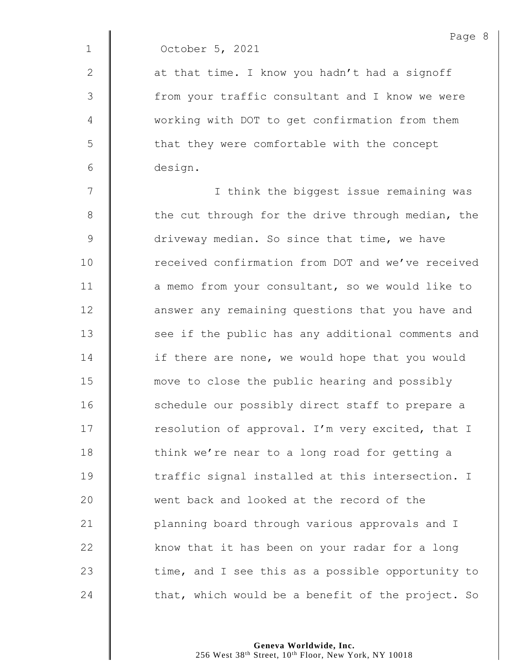1 October 5, 2021

2  $\parallel$  at that time. I know you hadn't had a signoff 3 from your traffic consultant and I know we were 4 Working with DOT to get confirmation from them  $5 \parallel$  that they were comfortable with the concept 6 design.

7 || I think the biggest issue remaining was | the cut through for the drive through median, the **driveway median.** So since that time, we have **dece** 10 received confirmation from DOT and we've received **a** memo from your consultant, so we would like to **deg is an** interpresent any remaining questions that you have and 13 | see if the public has any additional comments and **if there are none, we would hope that you would move to close the public hearing and possibly** 16 | schedule our possibly direct staff to prepare a  $\parallel$  resolution of approval. I'm very excited, that I  $\parallel$  think we're near to a long road for getting a 19 The traffic signal installed at this intersection. I 20 went back and looked at the record of the 21 | planning board through various approvals and I  $\parallel$  know that it has been on your radar for a long  $\parallel$  time, and I see this as a possible opportunity to  $\parallel$  that, which would be a benefit of the project. So

> **Geneva Worldwide, Inc.** 256 West 38<sup>th</sup> Street, 10<sup>th</sup> Floor, New York, NY 10018

Page 8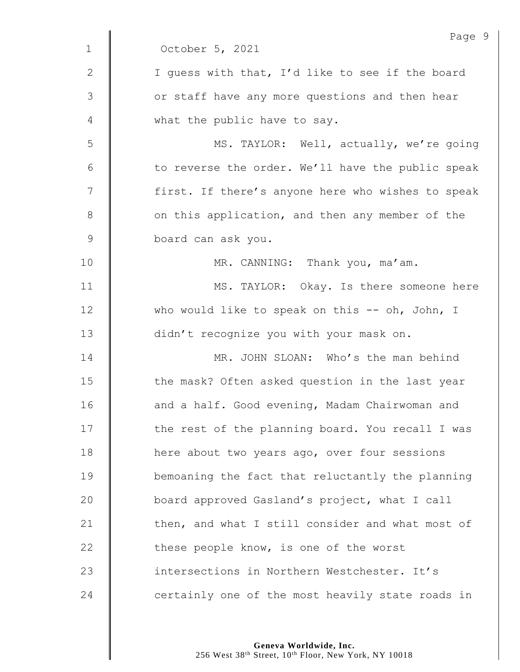|                 | Page 9                                            |
|-----------------|---------------------------------------------------|
| $\mathbf 1$     | October 5, 2021                                   |
| $\mathbf{2}$    | I guess with that, I'd like to see if the board   |
| 3               | or staff have any more questions and then hear    |
| 4               | what the public have to say.                      |
| 5               | MS. TAYLOR: Well, actually, we're going           |
| $6\phantom{1}6$ | to reverse the order. We'll have the public speak |
| $\overline{7}$  | first. If there's anyone here who wishes to speak |
| $\,8\,$         | on this application, and then any member of the   |
| $\mathsf 9$     | board can ask you.                                |
| 10              | MR. CANNING: Thank you, ma'am.                    |
| 11              | MS. TAYLOR: Okay. Is there someone here           |
| 12              | who would like to speak on this $--$ oh, John, I  |
| 13              | didn't recognize you with your mask on.           |
| 14              | MR. JOHN SLOAN: Who's the man behind              |
| 15              | the mask? Often asked question in the last year   |
| 16              | and a half. Good evening, Madam Chairwoman and    |
| 17              | the rest of the planning board. You recall I was  |
| 18              | here about two years ago, over four sessions      |
| 19              | bemoaning the fact that reluctantly the planning  |
| 20              | board approved Gasland's project, what I call     |
| 21              | then, and what I still consider and what most of  |
| 22              | these people know, is one of the worst            |
| 23              | intersections in Northern Westchester. It's       |
| 24              | certainly one of the most heavily state roads in  |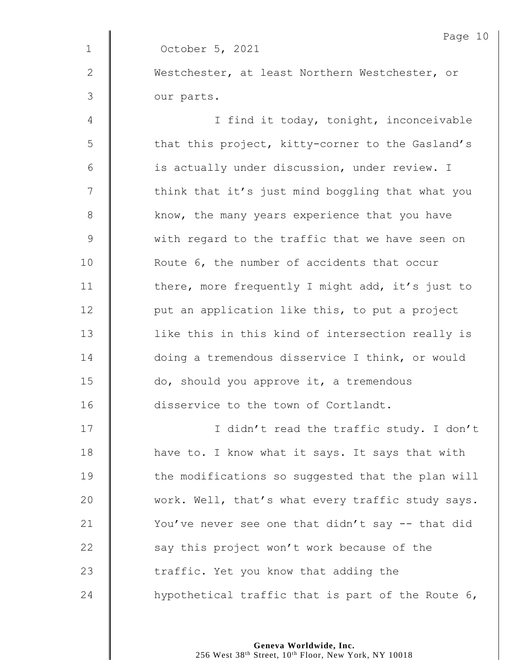|                | Page 10                                           |
|----------------|---------------------------------------------------|
| $\mathbf 1$    | October 5, 2021                                   |
| $\mathbf{2}$   | Westchester, at least Northern Westchester, or    |
| $\mathfrak{Z}$ | our parts.                                        |
| 4              | I find it today, tonight, inconceivable           |
| 5              | that this project, kitty-corner to the Gasland's  |
| 6              | is actually under discussion, under review. I     |
| 7              | think that it's just mind boggling that what you  |
| $\,8\,$        | know, the many years experience that you have     |
| $\mathcal{G}$  | with regard to the traffic that we have seen on   |
| 10             | Route 6, the number of accidents that occur       |
| 11             | there, more frequently I might add, it's just to  |
| 12             | put an application like this, to put a project    |
| 13             | like this in this kind of intersection really is  |
| 14             | doing a tremendous disservice I think, or would   |
| 15             | do, should you approve it, a tremendous           |
| 16             | disservice to the town of Cortlandt.              |
| 17             | I didn't read the traffic study. I don't          |
| 18             | have to. I know what it says. It says that with   |
| 19             | the modifications so suggested that the plan will |
| 20             | work. Well, that's what every traffic study says. |
| 21             | You've never see one that didn't say -- that did  |
| 22             | say this project won't work because of the        |
| 23             | traffic. Yet you know that adding the             |
| 24             | hypothetical traffic that is part of the Route 6, |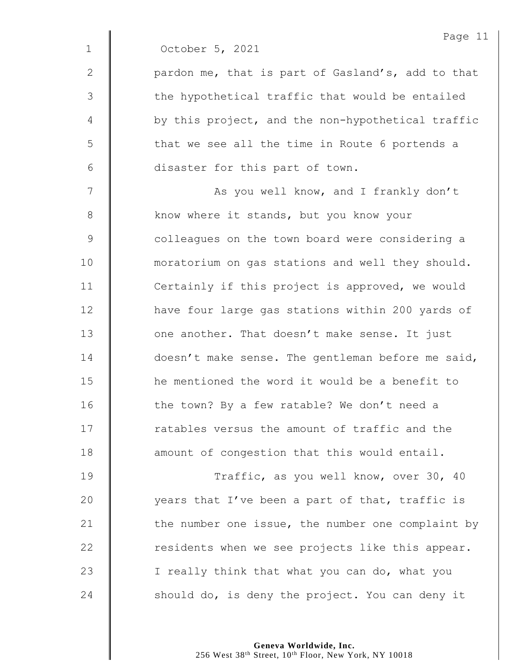|              | Page 11                                           |
|--------------|---------------------------------------------------|
| $\mathbf 1$  | October 5, 2021                                   |
| $\mathbf{2}$ | pardon me, that is part of Gasland's, add to that |
| 3            | the hypothetical traffic that would be entailed   |
| 4            | by this project, and the non-hypothetical traffic |
| 5            | that we see all the time in Route 6 portends a    |
| 6            | disaster for this part of town.                   |
| 7            | As you well know, and I frankly don't             |
| 8            | know where it stands, but you know your           |
| 9            | colleagues on the town board were considering a   |
| 10           | moratorium on gas stations and well they should.  |
| 11           | Certainly if this project is approved, we would   |
| 12           | have four large gas stations within 200 yards of  |
| 13           | one another. That doesn't make sense. It just     |
| 14           | doesn't make sense. The gentleman before me said, |
| 15           | he mentioned the word it would be a benefit to    |
| 16           | the town? By a few ratable? We don't need a       |
| 17           | ratables versus the amount of traffic and the     |
| 18           | amount of congestion that this would entail.      |
| 19           | Traffic, as you well know, over 30, 40            |
| 20           | years that I've been a part of that, traffic is   |
| 21           | the number one issue, the number one complaint by |
| 22           | residents when we see projects like this appear.  |
|              |                                                   |

23  $\parallel$  I really think that what you can do, what you  $\parallel$  should do, is deny the project. You can deny it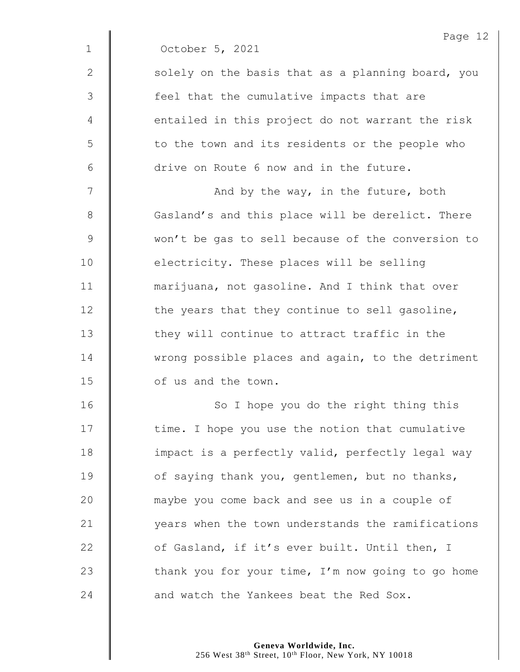|              | Page 12                                           |
|--------------|---------------------------------------------------|
| $\mathbf{1}$ | October 5, 2021                                   |
| 2            | solely on the basis that as a planning board, you |
| 3            | feel that the cumulative impacts that are         |
| 4            | entailed in this project do not warrant the risk  |
| 5            | to the town and its residents or the people who   |
| 6            | drive on Route 6 now and in the future.           |
| 7            | And by the way, in the future, both               |
| 8            | Gasland's and this place will be derelict. There  |
| $\mathsf 9$  | won't be gas to sell because of the conversion to |
| 10           | electricity. These places will be selling         |
| 11           | marijuana, not gasoline. And I think that over    |
| 12           | the years that they continue to sell gasoline,    |
| 13           | they will continue to attract traffic in the      |
| 14           | wrong possible places and again, to the detriment |
| 15           | of us and the town.                               |
| 16           | So I hope you do the right thing this             |
| 17           | time. I hope you use the notion that cumulative   |
| 18           | impact is a perfectly valid, perfectly legal way  |
| 19           | of saying thank you, gentlemen, but no thanks,    |
| 20           | maybe you come back and see us in a couple of     |
| 21           | years when the town understands the ramifications |
| 22           | of Gasland, if it's ever built. Until then, I     |
| 23           | thank you for your time, I'm now going to go home |
| 24           | and watch the Yankees beat the Red Sox.           |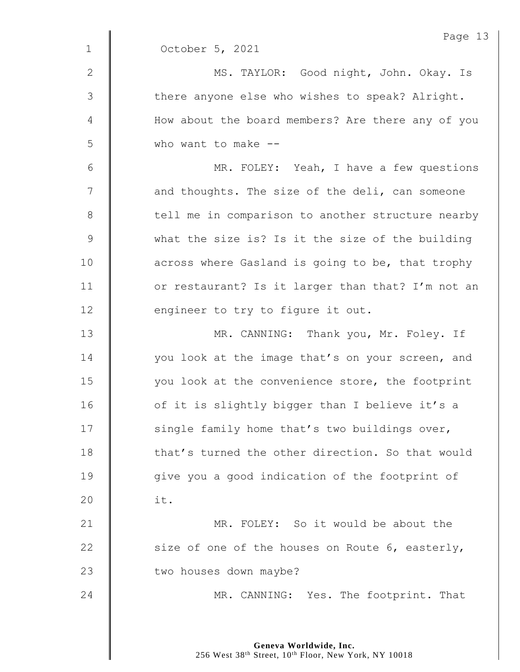|              | Page 13                                           |
|--------------|---------------------------------------------------|
| $\mathbf{1}$ | October 5, 2021                                   |
| $\mathbf{2}$ | MS. TAYLOR: Good night, John. Okay. Is            |
| 3            | there anyone else who wishes to speak? Alright.   |
| 4            | How about the board members? Are there any of you |
| 5            | who want to make --                               |
| 6            | MR. FOLEY: Yeah, I have a few questions           |
| 7            | and thoughts. The size of the deli, can someone   |
| $8\,$        | tell me in comparison to another structure nearby |
| $\mathsf 9$  | what the size is? Is it the size of the building  |
| 10           | across where Gasland is going to be, that trophy  |
| 11           | or restaurant? Is it larger than that? I'm not an |
| 12           | engineer to try to figure it out.                 |
| 13           | MR. CANNING: Thank you, Mr. Foley. If             |
| 14           | you look at the image that's on your screen, and  |
| 15           | you look at the convenience store, the footprint  |
| 16           | of it is slightly bigger than I believe it's a    |
| 17           | single family home that's two buildings over,     |
| 18           | that's turned the other direction. So that would  |
| 19           | give you a good indication of the footprint of    |
| 20           | it.                                               |
| 21           | MR. FOLEY: So it would be about the               |
| 22           | size of one of the houses on Route 6, easterly,   |
| 23           | two houses down maybe?                            |
| 24           | MR. CANNING: Yes. The footprint. That             |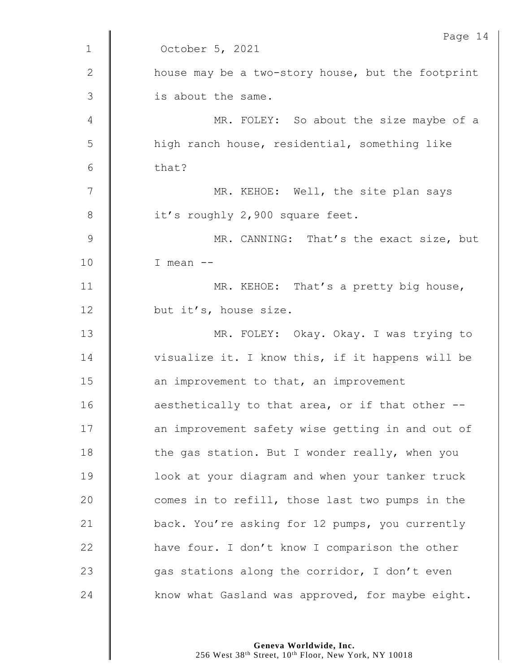|               | Page 14                                           |
|---------------|---------------------------------------------------|
| $\mathbf 1$   | October 5, 2021                                   |
| $\mathbf{2}$  | house may be a two-story house, but the footprint |
| 3             | is about the same.                                |
| 4             | MR. FOLEY: So about the size maybe of a           |
| 5             | high ranch house, residential, something like     |
| 6             | that?                                             |
| 7             | MR. KEHOE: Well, the site plan says               |
| $8\,$         | it's roughly 2,900 square feet.                   |
| $\mathcal{G}$ | MR. CANNING: That's the exact size, but           |
| 10            | I mean $--$                                       |
| 11            | MR. KEHOE: That's a pretty big house,             |
| 12            | but it's, house size.                             |
| 13            | MR. FOLEY: Okay. Okay. I was trying to            |
| 14            | visualize it. I know this, if it happens will be  |
| 15            | an improvement to that, an improvement            |
| 16            | aesthetically to that area, or if that other --   |
| 17            | an improvement safety wise getting in and out of  |
| 18            | the gas station. But I wonder really, when you    |
| 19            | look at your diagram and when your tanker truck   |
| 20            | comes in to refill, those last two pumps in the   |
| 21            | back. You're asking for 12 pumps, you currently   |
| 22            | have four. I don't know I comparison the other    |
| 23            | gas stations along the corridor, I don't even     |
| 24            | know what Gasland was approved, for maybe eight.  |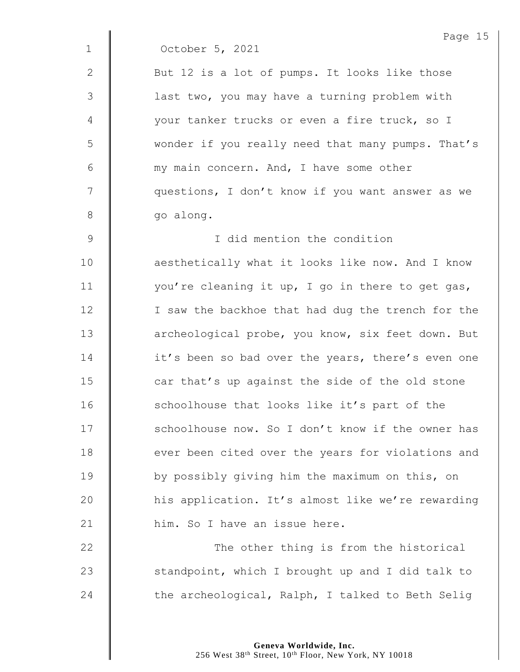|               | Page 15                                           |
|---------------|---------------------------------------------------|
| $\mathbf{1}$  | October 5, 2021                                   |
| 2             | But 12 is a lot of pumps. It looks like those     |
| 3             | last two, you may have a turning problem with     |
| 4             | your tanker trucks or even a fire truck, so I     |
| 5             | wonder if you really need that many pumps. That's |
| 6             | my main concern. And, I have some other           |
| 7             | questions, I don't know if you want answer as we  |
| 8             | go along.                                         |
| $\mathcal{G}$ | I did mention the condition                       |
| 10            | aesthetically what it looks like now. And I know  |
| 11            | you're cleaning it up, I go in there to get gas,  |
| 12            | I saw the backhoe that had dug the trench for the |
| 13            | archeological probe, you know, six feet down. But |
| 14            | it's been so bad over the years, there's even one |
| 15            | car that's up against the side of the old stone   |
| 16            | schoolhouse that looks like it's part of the      |
| 17            | schoolhouse now. So I don't know if the owner has |
| 18            | ever been cited over the years for violations and |
| 19            | by possibly giving him the maximum on this, on    |
| 20            | his application. It's almost like we're rewarding |
| 21            | him. So I have an issue here.                     |
| 22            | The other thing is from the historical            |
| 23            | standpoint, which I brought up and I did talk to  |
| 24            | the archeological, Ralph, I talked to Beth Selig  |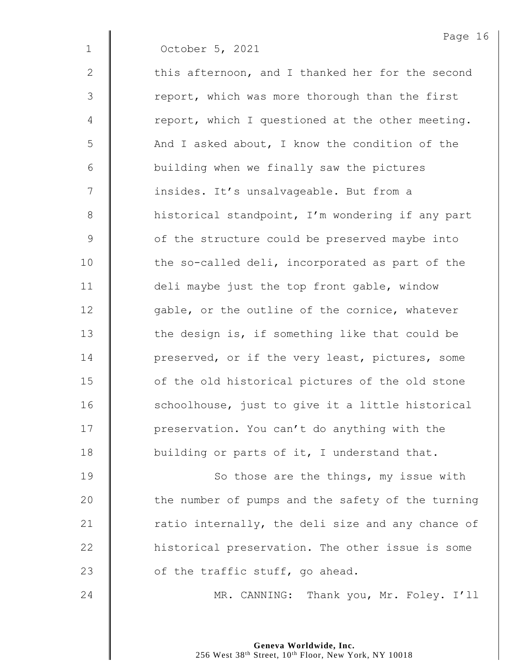1 October 5, 2021

 $2 \parallel$  this afternoon, and I thanked her for the second 3 | report, which was more thorough than the first  $4 \parallel$  report, which I questioned at the other meeting. 5 | And I asked about, I know the condition of the 6 | building when we finally saw the pictures 7 | insides. It's unsalvageable. But from a 8 | historical standpoint, I'm wondering if any part 9 **J** of the structure could be preserved maybe into 10 | the so-called deli, incorporated as part of the 11 deli maybe just the top front gable, window 12  $\parallel$  qable, or the outline of the cornice, whatever 13  $\parallel$  the design is, if something like that could be 14 **deg** preserved, or if the very least, pictures, some 15 | of the old historical pictures of the old stone  $16$   $\parallel$  schoolhouse, just to give it a little historical 17 | preservation. You can't do anything with the 18 **Julia** building or parts of it, I understand that.

**| So those are the things, my issue with**  $\parallel$  the number of pumps and the safety of the turning  $\parallel$  ratio internally, the deli size and any chance of **H** historical preservation. The other issue is some  $\parallel$  of the traffic stuff, go ahead.

24 MR. CANNING: Thank you, Mr. Foley. I'll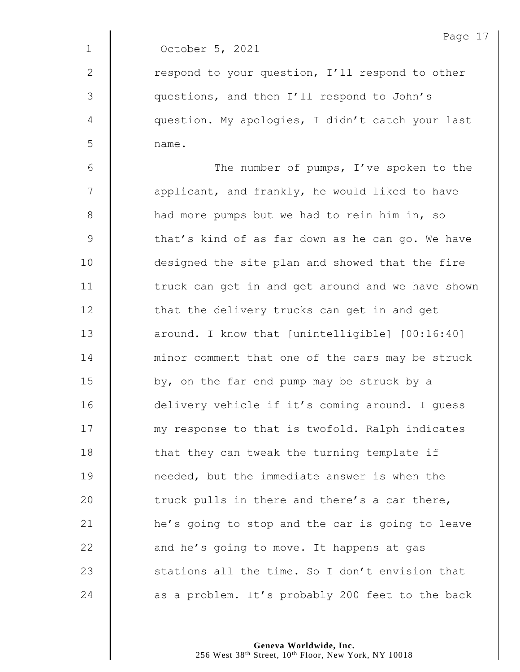1 October 5, 2021

2 | respond to your question, I'll respond to other 3 | questions, and then I'll respond to John's 4 | question. My apologies, I didn't catch your last 5 name.

6 The number of pumps, I've spoken to the  $7 \parallel$  applicant, and frankly, he would liked to have 8 | had more pumps but we had to rein him in, so 9 | that's kind of as far down as he can go. We have 10 | designed the site plan and showed that the fire 11 | truck can get in and get around and we have shown 12 | that the delivery trucks can get in and get 13 **deg 13** around. I know that [unintelligible] [00:16:40] 14 **minor comment that one of the cars may be struck** 15  $\parallel$  by, on the far end pump may be struck by a 16 | delivery vehicle if it's coming around. I guess 17 | my response to that is twofold. Ralph indicates  $18$   $\parallel$  that they can tweak the turning template if 19 **I** needed, but the immediate answer is when the 20  $\parallel$  truck pulls in there and there's a car there, 21 | he's going to stop and the car is going to leave 22  $\parallel$  and he's going to move. It happens at gas 23  $\parallel$  stations all the time. So I don't envision that 24  $\parallel$  as a problem. It's probably 200 feet to the back

> **Geneva Worldwide, Inc.** 256 West 38th Street, 10th Floor, New York, NY 10018

Page 17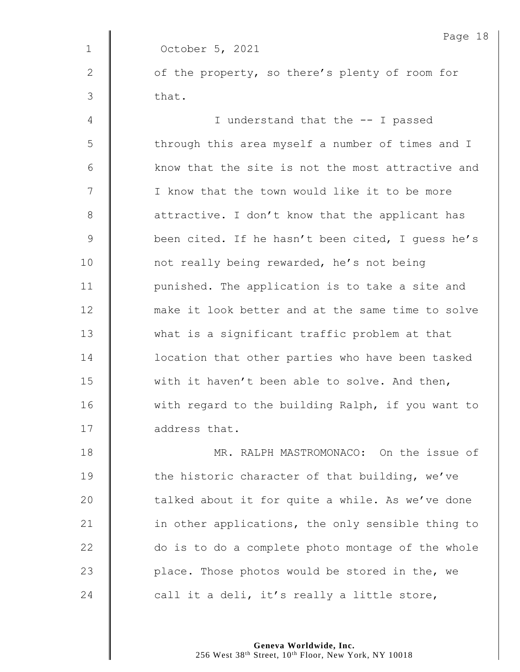Page 18 1 October 5, 2021 2 | of the property, so there's plenty of room for  $3 \parallel$  that. 4 || I understand that the -- I passed 5 | through this area myself a number of times and I 6 Know that the site is not the most attractive and 7 | I know that the town would like it to be more 8 **a** attractive. I don't know that the applicant has 9 | been cited. If he hasn't been cited, I quess he's 10 | not really being rewarded, he's not being 11 | punished. The application is to take a site and 12 **make it look better and at the same time to solve** 13 what is a significant traffic problem at that 14 **deg 14** location that other parties who have been tasked 15 with it haven't been able to solve. And then, 16 | with regard to the building Ralph, if you want to 17 address that. 18 **MR. RALPH MASTROMONACO:** On the issue of 19 The historic character of that building, we've 20  $\parallel$  talked about it for quite a while. As we've done 21  $\parallel$  in other applications, the only sensible thing to

22 do is to do a complete photo montage of the whole 23  $\parallel$  place. Those photos would be stored in the, we 24  $\parallel$  call it a deli, it's really a little store,

> **Geneva Worldwide, Inc.** 256 West 38<sup>th</sup> Street, 10<sup>th</sup> Floor, New York, NY 10018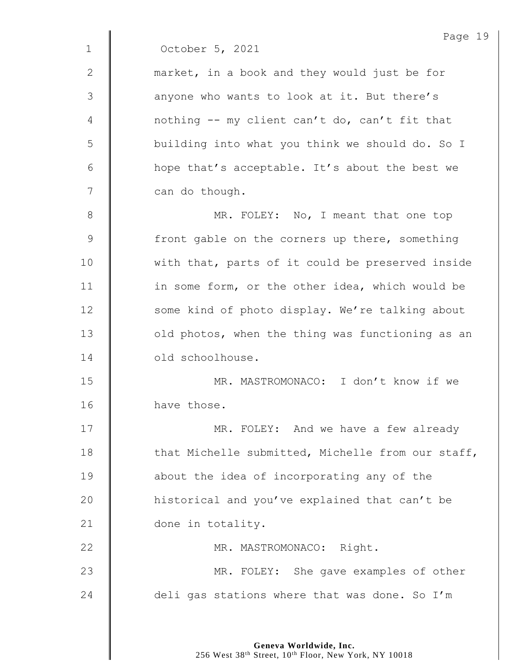|               | Page 1!                                           |
|---------------|---------------------------------------------------|
| $\mathbf 1$   | October 5, 2021                                   |
| $\mathbf{2}$  | market, in a book and they would just be for      |
| 3             | anyone who wants to look at it. But there's       |
| 4             | nothing -- my client can't do, can't fit that     |
| 5             | building into what you think we should do. So I   |
| 6             | hope that's acceptable. It's about the best we    |
| 7             | can do though.                                    |
| 8             | MR. FOLEY: No, I meant that one top               |
| $\mathcal{G}$ | front gable on the corners up there, something    |
| 10            | with that, parts of it could be preserved inside  |
| 11            | in some form, or the other idea, which would be   |
| 12            | some kind of photo display. We're talking about   |
| 13            | old photos, when the thing was functioning as an  |
| 14            | old schoolhouse.                                  |
| 15            | MR. MASTROMONACO: I don't know if we              |
| 16            | have those.                                       |
| 17            | MR. FOLEY: And we have a few already              |
| 18            | that Michelle submitted, Michelle from our staff, |
| 19            | about the idea of incorporating any of the        |
| 20            | historical and you've explained that can't be     |
| 21            | done in totality.                                 |
| 22            | MR. MASTROMONACO: Right.                          |
| 23            | MR. FOLEY: She gave examples of other             |
| 24            | deli gas stations where that was done. So I'm     |
|               |                                                   |

Page 19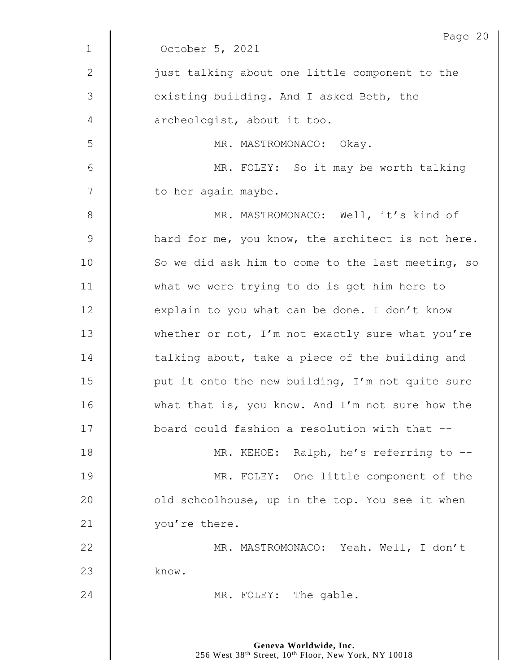|              | Page 20                                           |
|--------------|---------------------------------------------------|
| $\mathbf{1}$ | October 5, 2021                                   |
| 2            | just talking about one little component to the    |
| 3            | existing building. And I asked Beth, the          |
| 4            | archeologist, about it too.                       |
| 5            | MR. MASTROMONACO: Okay.                           |
| 6            | MR. FOLEY: So it may be worth talking             |
| 7            | to her again maybe.                               |
| 8            | MR. MASTROMONACO: Well, it's kind of              |
| $\mathsf 9$  | hard for me, you know, the architect is not here. |
| 10           | So we did ask him to come to the last meeting, so |
| 11           | what we were trying to do is get him here to      |
| 12           | explain to you what can be done. I don't know     |
| 13           | whether or not, I'm not exactly sure what you're  |
| 14           | talking about, take a piece of the building and   |
| 15           | put it onto the new building, I'm not quite sure  |
| 16           | what that is, you know. And I'm not sure how the  |
| 17           | board could fashion a resolution with that --     |
| 18           | MR. KEHOE: Ralph, he's referring to --            |
| 19           | MR. FOLEY: One little component of the            |
| 20           | old schoolhouse, up in the top. You see it when   |
| 21           | you're there.                                     |
| 22           | MR. MASTROMONACO: Yeah. Well, I don't             |
| 23           | know.                                             |
| 24           | MR. FOLEY: The gable.                             |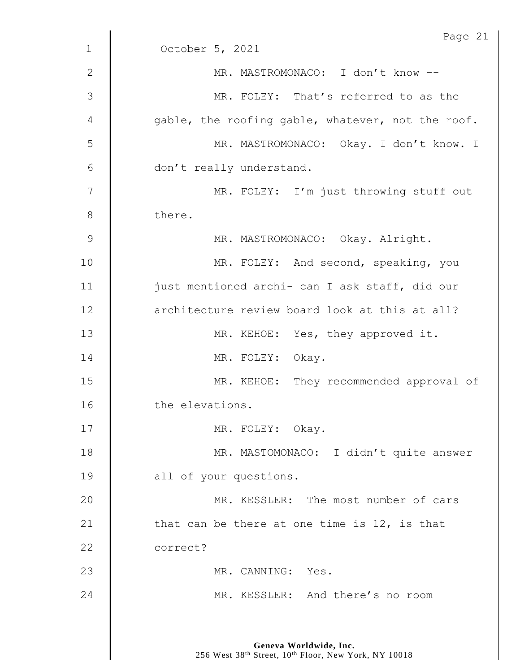|                 | Page 21                                           |
|-----------------|---------------------------------------------------|
| $\mathbf{1}$    | October 5, 2021                                   |
| $\mathbf{2}$    | MR. MASTROMONACO: I don't know --                 |
| 3               | MR. FOLEY: That's referred to as the              |
| 4               | gable, the roofing gable, whatever, not the roof. |
| 5               | MR. MASTROMONACO: Okay. I don't know. I           |
| $6\phantom{1}6$ | don't really understand.                          |
| $\overline{7}$  | MR. FOLEY: I'm just throwing stuff out            |
| 8               | there.                                            |
| 9               | MR. MASTROMONACO: Okay. Alright.                  |
| 10              | MR. FOLEY: And second, speaking, you              |
| 11              | just mentioned archi- can I ask staff, did our    |
| 12              | architecture review board look at this at all?    |
| 13              | MR. KEHOE: Yes, they approved it.                 |
| 14              | MR. FOLEY: Okay.                                  |
| 15              | MR. KEHOE: They recommended approval of           |
| 16              | the elevations.                                   |
| 17              | MR. FOLEY: Okay.                                  |
| 18              | MR. MASTOMONACO: I didn't quite answer            |
| 19              | all of your questions.                            |
| 20              | MR. KESSLER: The most number of cars              |
| 21              | that can be there at one time is 12, is that      |
| 22              | correct?                                          |
| 23              | MR. CANNING: Yes.                                 |
| 24              | MR. KESSLER: And there's no room                  |
|                 |                                                   |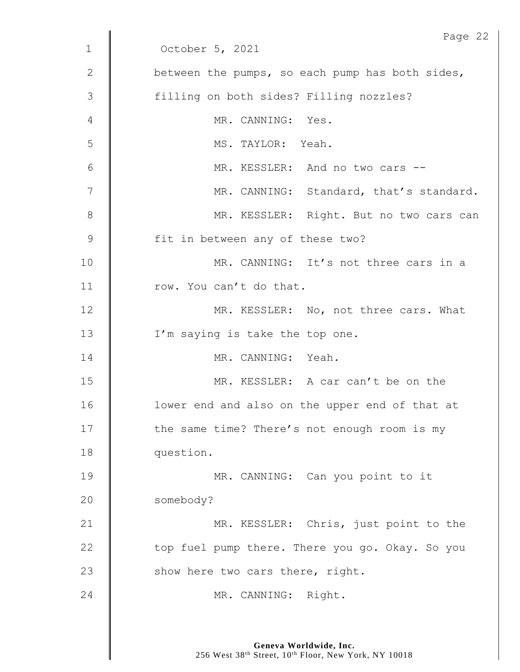|              | Page 22                                         |
|--------------|-------------------------------------------------|
| $\mathbf{1}$ | October 5, 2021                                 |
| 2            | between the pumps, so each pump has both sides, |
| 3            | filling on both sides? Filling nozzles?         |
| 4            | MR. CANNING: Yes.                               |
| 5            | MS. TAYLOR: Yeah.                               |
| 6            | MR. KESSLER: And no two cars --                 |
| 7            | MR. CANNING: Standard, that's standard.         |
| 8            | MR. KESSLER: Right. But no two cars can         |
| $\mathsf 9$  | fit in between any of these two?                |
| 10           | MR. CANNING: It's not three cars in a           |
| 11           | row. You can't do that.                         |
| 12           | MR. KESSLER: No, not three cars. What           |
| 13           | I'm saying is take the top one.                 |
| 14           | MR. CANNING: Yeah.                              |
| 15           | MR. KESSLER: A car can't be on the              |
| 16           | lower end and also on the upper end of that at  |
| 17           | the same time? There's not enough room is my    |
| 18           | question.                                       |
| 19           | MR. CANNING: Can you point to it                |
| 20           | somebody?                                       |
| 21           | MR. KESSLER: Chris, just point to the           |
| 22           | top fuel pump there. There you go. Okay. So you |
| 23           | show here two cars there, right.                |
| 24           | MR. CANNING: Right.                             |
|              |                                                 |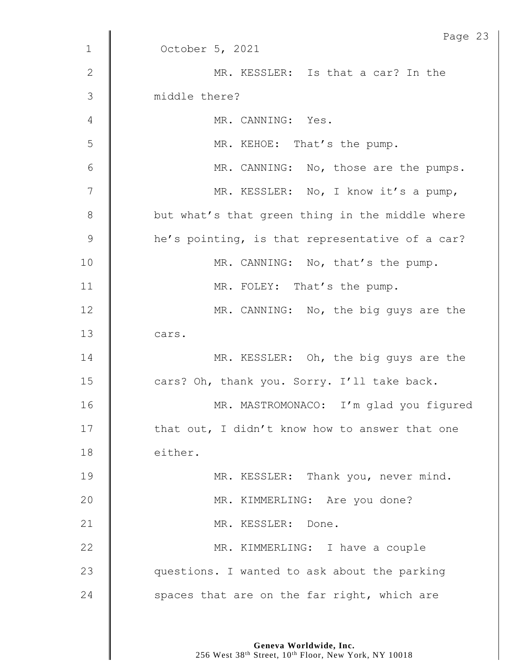|               | Page 23                                         |
|---------------|-------------------------------------------------|
| $\mathbf 1$   | October 5, 2021                                 |
| $\mathbf{2}$  | MR. KESSLER: Is that a car? In the              |
| 3             | middle there?                                   |
| 4             | MR. CANNING: Yes.                               |
| 5             | MR. KEHOE: That's the pump.                     |
| 6             | MR. CANNING: No, those are the pumps.           |
| 7             | MR. KESSLER: No, I know it's a pump,            |
| 8             | but what's that green thing in the middle where |
| $\mathcal{G}$ | he's pointing, is that representative of a car? |
| 10            | MR. CANNING: No, that's the pump.               |
| 11            | MR. FOLEY: That's the pump.                     |
| 12            | MR. CANNING: No, the big guys are the           |
| 13            | cars.                                           |
| 14            | MR. KESSLER: Oh, the big guys are the           |
| 15            | cars? Oh, thank you. Sorry. I'll take back.     |
| 16            | MR. MASTROMONACO: I'm glad you figured          |
| 17            | that out, I didn't know how to answer that one  |
| 18            | either.                                         |
| 19            | MR. KESSLER: Thank you, never mind.             |
| 20            | MR. KIMMERLING: Are you done?                   |
| 21            | MR. KESSLER: Done.                              |
| 22            | MR. KIMMERLING: I have a couple                 |
| 23            | questions. I wanted to ask about the parking    |
| 24            | spaces that are on the far right, which are     |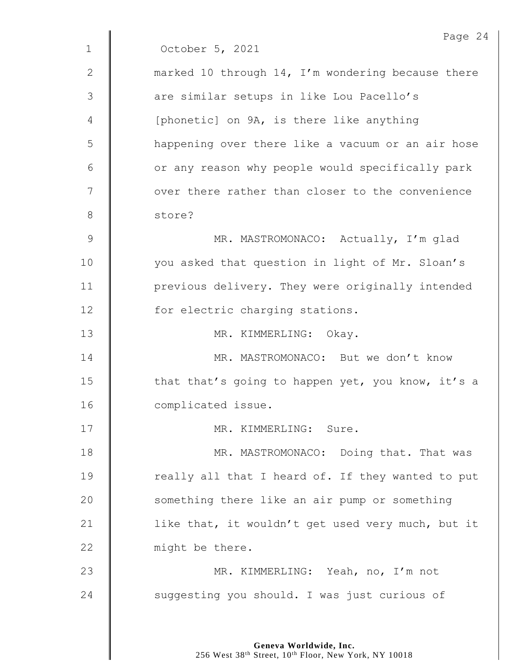|                | Page 24                                           |
|----------------|---------------------------------------------------|
| $\mathbf{1}$   | October 5, 2021                                   |
| 2              | marked 10 through 14, I'm wondering because there |
| $\mathfrak{Z}$ | are similar setups in like Lou Pacello's          |
| 4              | [phonetic] on 9A, is there like anything          |
| 5              | happening over there like a vacuum or an air hose |
| 6              | or any reason why people would specifically park  |
| 7              | over there rather than closer to the convenience  |
| 8              | store?                                            |
| $\mathcal{G}$  | MR. MASTROMONACO: Actually, I'm glad              |
| 10             | you asked that question in light of Mr. Sloan's   |
| 11             | previous delivery. They were originally intended  |
| 12             | for electric charging stations.                   |
| 13             | MR. KIMMERLING: Okay.                             |
| 14             | MR. MASTROMONACO: But we don't know               |
| 15             | that that's going to happen yet, you know, it's a |
| 16             | complicated issue.                                |
| 17             | MR. KIMMERLING: Sure.                             |
| 18             | MR. MASTROMONACO: Doing that. That was            |
| 19             | really all that I heard of. If they wanted to put |
| 20             | something there like an air pump or something     |
| 21             | like that, it wouldn't get used very much, but it |
| 22             | might be there.                                   |
| 23             | MR. KIMMERLING: Yeah, no, I'm not                 |
| 24             | suggesting you should. I was just curious of      |
|                |                                                   |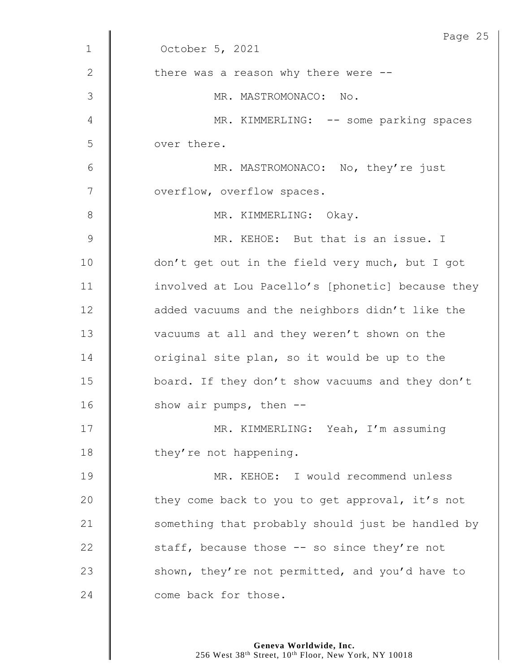|               | Page 25                                           |
|---------------|---------------------------------------------------|
| $\mathbf 1$   | October 5, 2021                                   |
| $\mathbf{2}$  | there was a reason why there were --              |
| 3             | MR. MASTROMONACO: No.                             |
| 4             | MR. KIMMERLING: -- some parking spaces            |
| 5             | over there.                                       |
| $\sqrt{6}$    | MR. MASTROMONACO: No, they're just                |
| 7             | overflow, overflow spaces.                        |
| $8\,$         | MR. KIMMERLING: Okay.                             |
| $\mathcal{G}$ | MR. KEHOE: But that is an issue. I                |
| 10            | don't get out in the field very much, but I got   |
| 11            | involved at Lou Pacello's [phonetic] because they |
| 12            | added vacuums and the neighbors didn't like the   |
| 13            | vacuums at all and they weren't shown on the      |
| 14            | original site plan, so it would be up to the      |
| 15            | board. If they don't show vacuums and they don't  |
| 16            | show air pumps, then $-$ -                        |
| 17            | MR. KIMMERLING: Yeah, I'm assuming                |
| 18            | they're not happening.                            |
| 19            | MR. KEHOE: I would recommend unless               |
| 20            | they come back to you to get approval, it's not   |
| 21            | something that probably should just be handled by |
| 22            | staff, because those -- so since they're not      |
| 23            | shown, they're not permitted, and you'd have to   |
| 24            | come back for those.                              |
|               |                                                   |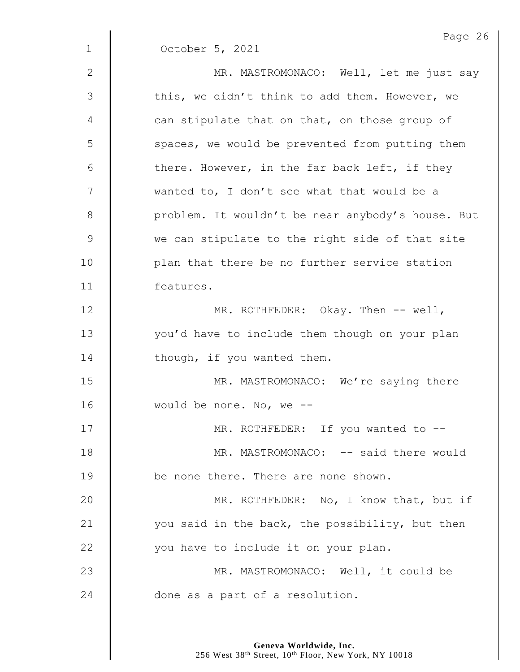|                | Page 26                                           |
|----------------|---------------------------------------------------|
| $\mathbf 1$    | October 5, 2021                                   |
| $\mathbf{2}$   | MR. MASTROMONACO: Well, let me just say           |
| $\mathfrak{Z}$ | this, we didn't think to add them. However, we    |
| 4              | can stipulate that on that, on those group of     |
| 5              | spaces, we would be prevented from putting them   |
| 6              | there. However, in the far back left, if they     |
| 7              | wanted to, I don't see what that would be a       |
| $\,8\,$        | problem. It wouldn't be near anybody's house. But |
| $\mathsf 9$    | we can stipulate to the right side of that site   |
| 10             | plan that there be no further service station     |
| 11             | features.                                         |
| 12             | MR. ROTHFEDER: Okay. Then -- well,                |
| 13             | you'd have to include them though on your plan    |
| 14             | though, if you wanted them.                       |
| 15             | MR. MASTROMONACO: We're saying there              |
| 16             | would be none. No, we $-$ -                       |
| 17             | MR. ROTHFEDER: If you wanted to --                |
| 18             | MR. MASTROMONACO: -- said there would             |
| 19             | be none there. There are none shown.              |
| 20             | MR. ROTHFEDER: No, I know that, but if            |
| 21             | you said in the back, the possibility, but then   |
| 22             | you have to include it on your plan.              |
| 23             | MR. MASTROMONACO: Well, it could be               |
| 24             | done as a part of a resolution.                   |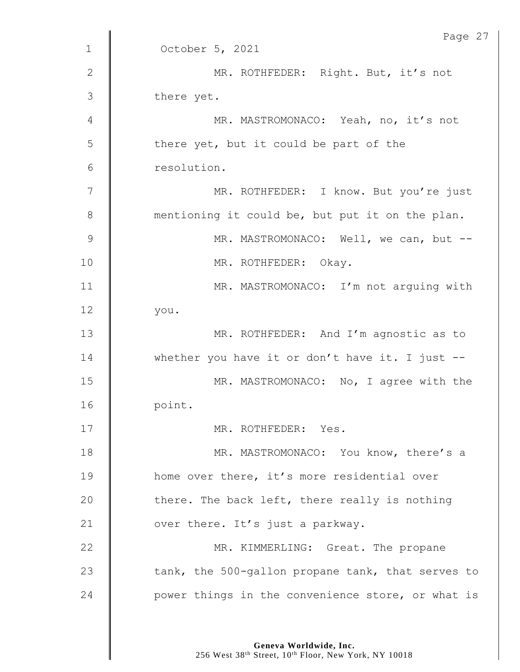|              | Page 27                                            |
|--------------|----------------------------------------------------|
| $\mathbf{1}$ | October 5, 2021                                    |
| $\mathbf{2}$ | MR. ROTHFEDER: Right. But, it's not                |
| 3            | there yet.                                         |
| 4            | MR. MASTROMONACO: Yeah, no, it's not               |
| 5            | there yet, but it could be part of the             |
| 6            | resolution.                                        |
| 7            | MR. ROTHFEDER: I know. But you're just             |
| 8            | mentioning it could be, but put it on the plan.    |
| 9            | MR. MASTROMONACO: Well, we can, but --             |
| 10           | MR. ROTHFEDER: Okay.                               |
| 11           | MR. MASTROMONACO: I'm not arguing with             |
| 12           | you.                                               |
| 13           | MR. ROTHFEDER: And I'm agnostic as to              |
| 14           | whether you have it or don't have it. I just $-$ - |
| 15           | MR. MASTROMONACO: No, I agree with the             |
| 16           | point.                                             |
| 17           | MR. ROTHFEDER: Yes.                                |
| 18           | MR. MASTROMONACO: You know, there's a              |
| 19           | home over there, it's more residential over        |
| 20           | there. The back left, there really is nothing      |
| 21           | over there. It's just a parkway.                   |
| 22           | MR. KIMMERLING: Great. The propane                 |
| 23           | tank, the 500-gallon propane tank, that serves to  |
| 24           | power things in the convenience store, or what is  |
|              |                                                    |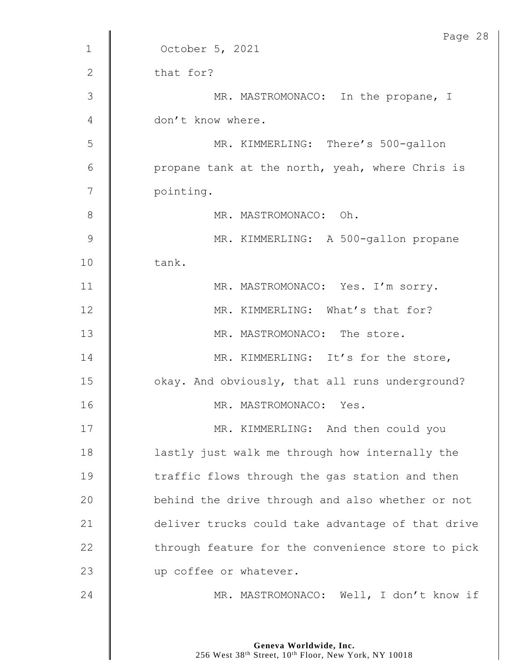|              | Page 28                                           |
|--------------|---------------------------------------------------|
| $\mathbf{1}$ | October 5, 2021                                   |
| $\mathbf{2}$ | that for?                                         |
| 3            | MR. MASTROMONACO: In the propane, I               |
| 4            | don't know where.                                 |
| 5            | MR. KIMMERLING: There's 500-gallon                |
| 6            | propane tank at the north, yeah, where Chris is   |
| 7            | pointing.                                         |
| $8\,$        | MR. MASTROMONACO: Oh.                             |
| 9            | MR. KIMMERLING: A 500-gallon propane              |
| 10           | tank.                                             |
| 11           | MR. MASTROMONACO: Yes. I'm sorry.                 |
| 12           | MR. KIMMERLING: What's that for?                  |
| 13           | MR. MASTROMONACO: The store.                      |
| 14           | MR. KIMMERLING: It's for the store,               |
| 15           | okay. And obviously, that all runs underground?   |
| 16           | MR. MASTROMONACO: Yes.                            |
| 17           | MR. KIMMERLING: And then could you                |
| 18           | lastly just walk me through how internally the    |
| 19           | traffic flows through the gas station and then    |
| 20           | behind the drive through and also whether or not  |
| 21           | deliver trucks could take advantage of that drive |
| 22           | through feature for the convenience store to pick |
| 23           | up coffee or whatever.                            |
| 24           | MR. MASTROMONACO: Well, I don't know if           |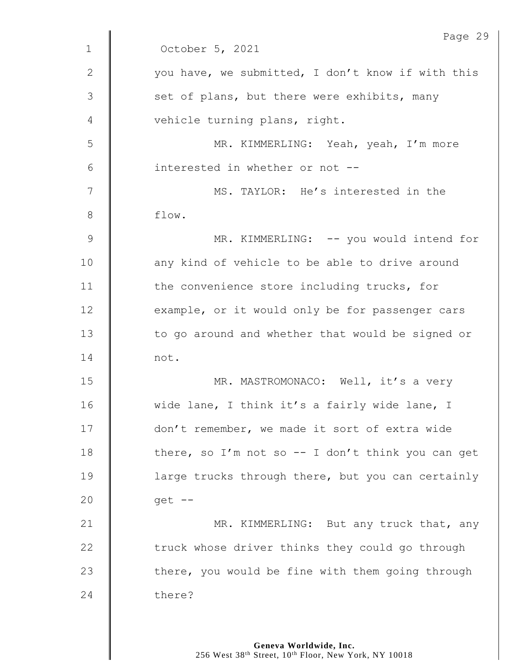|               | Page 29                                            |
|---------------|----------------------------------------------------|
| $\mathbf{1}$  | October 5, 2021                                    |
| 2             | you have, we submitted, I don't know if with this  |
| $\mathcal{S}$ | set of plans, but there were exhibits, many        |
| 4             | vehicle turning plans, right.                      |
| 5             | MR. KIMMERLING: Yeah, yeah, I'm more               |
| 6             | interested in whether or not --                    |
| 7             | MS. TAYLOR: He's interested in the                 |
| 8             | flow.                                              |
| $\mathsf 9$   | MR. KIMMERLING: -- you would intend for            |
| 10            | any kind of vehicle to be able to drive around     |
| 11            | the convenience store including trucks, for        |
| 12            | example, or it would only be for passenger cars    |
| 13            | to go around and whether that would be signed or   |
| 14            | not.                                               |
| 15            | MR. MASTROMONACO: Well, it's a very                |
| 16            | wide lane, I think it's a fairly wide lane, I      |
| 17            | don't remember, we made it sort of extra wide      |
| 18            | there, so I'm not so $-$ I don't think you can get |
| 19            | large trucks through there, but you can certainly  |
| 20            | $qet$ --                                           |
| 21            | MR. KIMMERLING: But any truck that, any            |
| 22            | truck whose driver thinks they could go through    |
| 23            | there, you would be fine with them going through   |
| 24            | there?                                             |
|               |                                                    |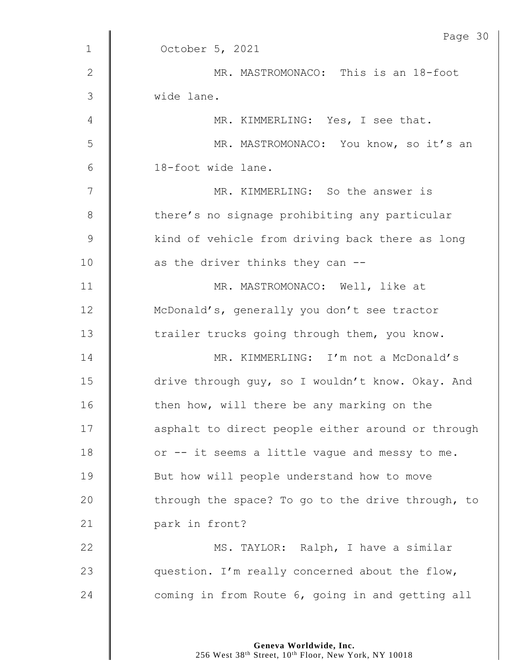|               | Page 30                                           |
|---------------|---------------------------------------------------|
| $\mathbf 1$   | October 5, 2021                                   |
| $\mathbf{2}$  | MR. MASTROMONACO: This is an 18-foot              |
| 3             | wide lane.                                        |
| 4             | MR. KIMMERLING: Yes, I see that.                  |
| 5             | MR. MASTROMONACO: You know, so it's an            |
| 6             | 18-foot wide lane.                                |
| 7             | MR. KIMMERLING: So the answer is                  |
| 8             | there's no signage prohibiting any particular     |
| $\mathcal{G}$ | kind of vehicle from driving back there as long   |
| 10            | as the driver thinks they can --                  |
| 11            | MR. MASTROMONACO: Well, like at                   |
| 12            | McDonald's, generally you don't see tractor       |
| 13            | trailer trucks going through them, you know.      |
| 14            | MR. KIMMERLING: I'm not a McDonald's              |
| 15            | drive through guy, so I wouldn't know. Okay. And  |
| 16            | then how, will there be any marking on the        |
| 17            | asphalt to direct people either around or through |
| 18            | or -- it seems a little vague and messy to me.    |
| 19            | But how will people understand how to move        |
| 20            | through the space? To go to the drive through, to |
| 21            | park in front?                                    |
| 22            | MS. TAYLOR: Ralph, I have a similar               |
| 23            | question. I'm really concerned about the flow,    |
| 24            | coming in from Route 6, going in and getting all  |

Page 30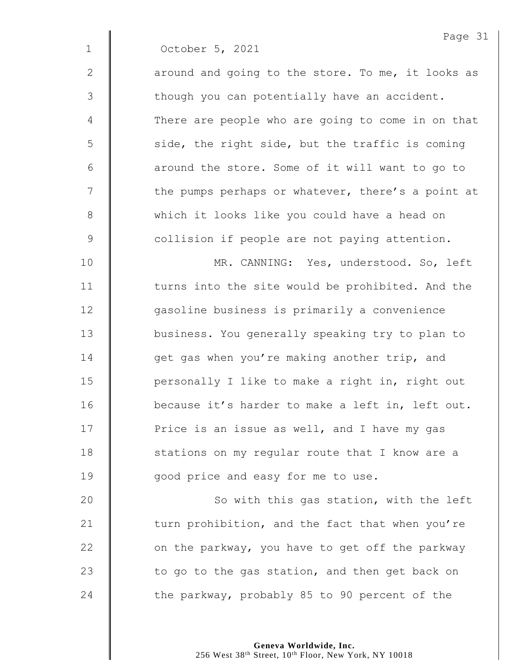|                | Page 31                                           |
|----------------|---------------------------------------------------|
| $\mathbf{1}$   | October 5, 2021                                   |
| 2              | around and going to the store. To me, it looks as |
| 3              | though you can potentially have an accident.      |
| $\overline{4}$ | There are people who are going to come in on that |
| 5              | side, the right side, but the traffic is coming   |
| 6              | around the store. Some of it will want to go to   |
| 7              | the pumps perhaps or whatever, there's a point at |
| 8              | which it looks like you could have a head on      |
| 9              | collision if people are not paying attention.     |
| 10             | MR. CANNING: Yes, understood. So, left            |
| - -            |                                                   |

 $\mathbf{I}$ 

11 | turns into the site would be prohibited. And the 12 | gasoline business is primarily a convenience 13 | business. You generally speaking try to plan to **d** opet gas when you're making another trip, and 15 | personally I like to make a right in, right out **decause it's harder to make a left in, left out.** 17 | Price is an issue as well, and I have my gas 18 | stations on my regular route that I know are a **J** good price and easy for me to use.

20 | So with this gas station, with the left  $\parallel$  turn prohibition, and the fact that when you're  $\parallel$  on the parkway, you have to get off the parkway  $\parallel$  to go to the gas station, and then get back on  $\parallel$  the parkway, probably 85 to 90 percent of the

> **Geneva Worldwide, Inc.** 256 West 38<sup>th</sup> Street, 10<sup>th</sup> Floor, New York, NY 10018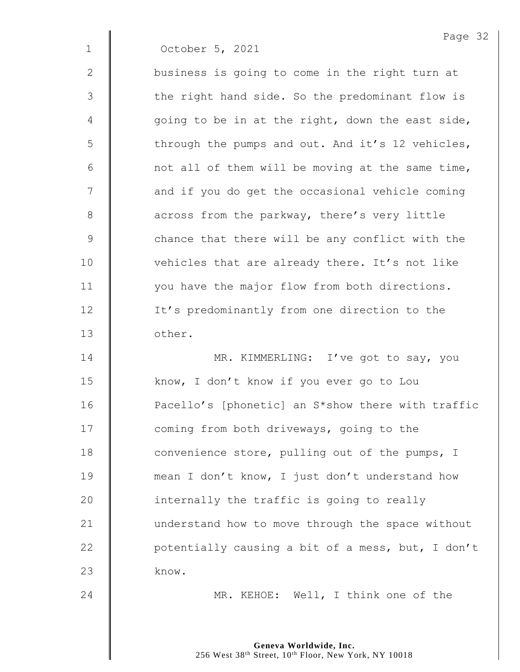|              | Page 32                                           |
|--------------|---------------------------------------------------|
| $\mathbf 1$  | October 5, 2021                                   |
| $\mathbf{2}$ | business is going to come in the right turn at    |
| 3            | the right hand side. So the predominant flow is   |
| 4            | going to be in at the right, down the east side,  |
| 5            | through the pumps and out. And it's 12 vehicles,  |
| 6            | not all of them will be moving at the same time,  |
| 7            | and if you do get the occasional vehicle coming   |
| 8            | across from the parkway, there's very little      |
| 9            | chance that there will be any conflict with the   |
| 10           | vehicles that are already there. It's not like    |
| 11           | you have the major flow from both directions.     |
| 12           | It's predominantly from one direction to the      |
| 13           | other.                                            |
| 14           | MR. KIMMERLING: I've got to say, you              |
| 15           | know, I don't know if you ever go to Lou          |
| 16           | Pacello's [phonetic] an S*show there with traffic |
| 17           | coming from both driveways, going to the          |
| 18           | convenience store, pulling out of the pumps, I    |
| 19           | mean I don't know, I just don't understand how    |
| 20           | internally the traffic is going to really         |
| 21           | understand how to move through the space without  |
| 22           | potentially causing a bit of a mess, but, I don't |
| 23           | know.                                             |
| 24           | MR. KEHOE: Well, I think one of the               |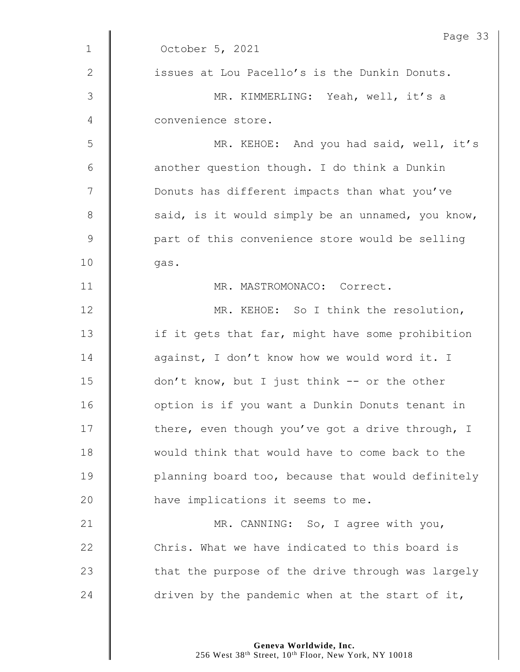|               | Page 33                                           |
|---------------|---------------------------------------------------|
| $\mathbf{1}$  | October 5, 2021                                   |
| 2             | issues at Lou Pacello's is the Dunkin Donuts.     |
| 3             | MR. KIMMERLING: Yeah, well, it's a                |
| 4             | convenience store.                                |
| 5             | MR. KEHOE: And you had said, well, it's           |
| 6             | another question though. I do think a Dunkin      |
| 7             | Donuts has different impacts than what you've     |
| 8             | said, is it would simply be an unnamed, you know, |
| $\mathcal{G}$ | part of this convenience store would be selling   |
| 10            | gas.                                              |
| 11            | MR. MASTROMONACO: Correct.                        |
| 12            | MR. KEHOE: So I think the resolution,             |
| 13            | if it gets that far, might have some prohibition  |
| 14            | against, I don't know how we would word it. I     |
| 15            | don't know, but I just think -- or the other      |
| 16            | option is if you want a Dunkin Donuts tenant in   |
| 17            | there, even though you've got a drive through, I  |
| 18            | would think that would have to come back to the   |
| 19            | planning board too, because that would definitely |
| 20            | have implications it seems to me.                 |
|               |                                                   |
| 21            | MR. CANNING: So, I agree with you,                |
| 22            | Chris. What we have indicated to this board is    |
| 23            | that the purpose of the drive through was largely |
| 24            | driven by the pandemic when at the start of it,   |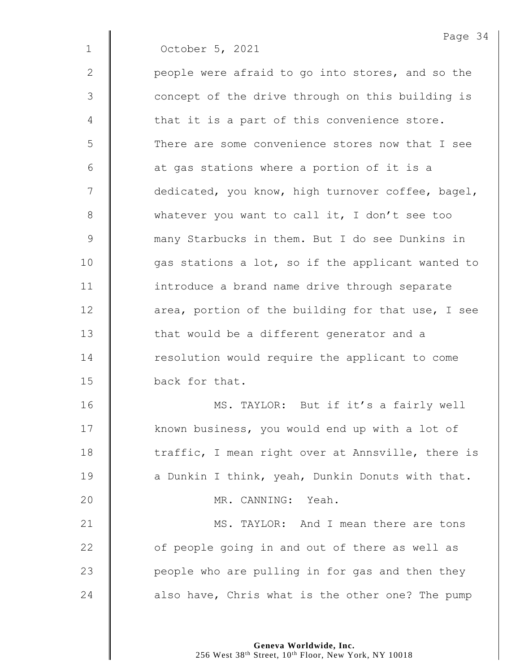Page 34 1 October 5, 2021 2 | people were afraid to go into stores, and so the 3 || concept of the drive through on this building is  $4 \parallel$  that it is a part of this convenience store. 5 There are some convenience stores now that I see  $6 \parallel$  at gas stations where a portion of it is a 7 | dedicated, you know, high turnover coffee, bagel, 8 whatever you want to call it, I don't see too 9 many Starbucks in them. But I do see Dunkins in  $10$  | qas stations a lot, so if the applicant wanted to 11 | introduce a brand name drive through separate 12 **d** area, portion of the building for that use, I see 13 | that would be a different generator and a 14 Tesolution would require the applicant to come 15 back for that. 16 | MS. TAYLOR: But if it's a fairly well 17 | known business, you would end up with a lot of 18 The traffic, I mean right over at Annsville, there is 19  $\parallel$  a Dunkin I think, yeah, Dunkin Donuts with that. 20 MR. CANNING: Yeah. 21 **MS. TAYLOR:** And I mean there are tons  $22$   $\parallel$  of people going in and out of there as well as 23 **people who are pulling in for gas and then they** 24  $\parallel$  also have, Chris what is the other one? The pump

> **Geneva Worldwide, Inc.** 256 West 38<sup>th</sup> Street, 10<sup>th</sup> Floor, New York, NY 10018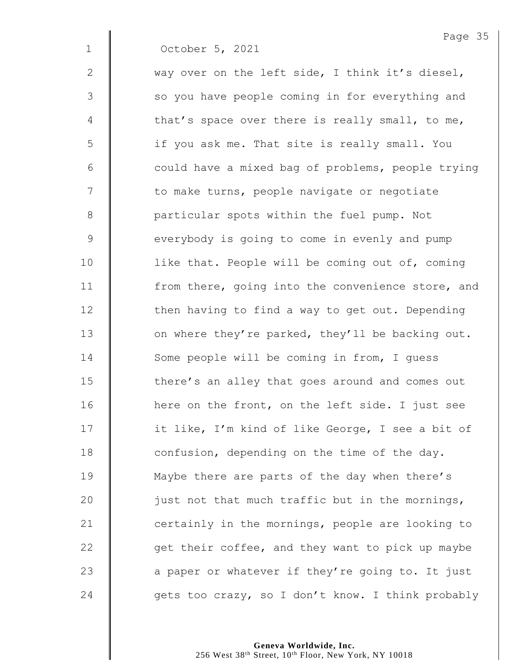1 October 5, 2021

2  $\parallel$  way over on the left side, I think it's diesel,

3 || so you have people coming in for everything and 4  $\parallel$  that's space over there is really small, to me, 5 | if you ask me. That site is really small. You  $6$   $\parallel$  could have a mixed bag of problems, people trying 7 | to make turns, people navigate or negotiate 8 | particular spots within the fuel pump. Not 9 everybody is going to come in evenly and pump 10 | like that. People will be coming out of, coming 11 | from there, going into the convenience store, and 12 | then having to find a way to get out. Depending 13  $\parallel$  on where they're parked, they'll be backing out. 14 Some people will be coming in from, I quess 15 **there's** an alley that goes around and comes out 16 | here on the front, on the left side. I just see 17 | it like, I'm kind of like George, I see a bit of 18  $\parallel$  confusion, depending on the time of the day. 19 **Maybe there are parts of the day when there's** 20  $\parallel$  just not that much traffic but in the mornings, 21 **certainly in the mornings, people are looking to** 22  $\parallel$  get their coffee, and they want to pick up maybe 23  $\parallel$  a paper or whatever if they're going to. It just 24  $\parallel$  qets too crazy, so I don't know. I think probably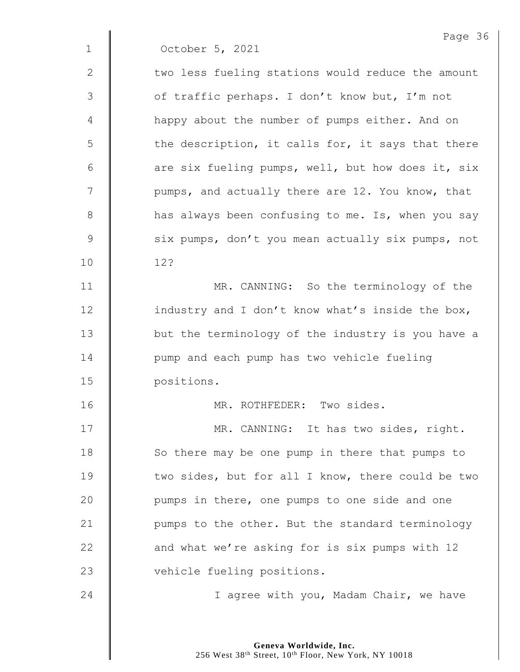1 October 5, 2021

2 | two less fueling stations would reduce the amount 3 | of traffic perhaps. I don't know but, I'm not 4 | happy about the number of pumps either. And on  $5 \parallel$  the description, it calls for, it says that there 6  $\parallel$  are six fueling pumps, well, but how does it, six  $7 \parallel$  pumps, and actually there are 12. You know, that 8 **h** has always been confusing to me. Is, when you say 9 Six pumps, don't you mean actually six pumps, not 10 12?

11 | MR. CANNING: So the terminology of the  $12$  | industry and I don't know what's inside the box, 13 | but the terminology of the industry is you have a 14 **I** pump and each pump has two vehicle fueling 15 positions.

16 MR. ROTHFEDER: Two sides.

17 | MR. CANNING: It has two sides, right. 18 So there may be one pump in there that pumps to 19 **two sides, but for all I know, there could be two** 20 | pumps in there, one pumps to one side and one 21 | pumps to the other. But the standard terminology 22 **and what we're asking for is six pumps with 12** 23 vehicle fueling positions.

24 | I agree with you, Madam Chair, we have

**Geneva Worldwide, Inc.** 256 West 38<sup>th</sup> Street, 10<sup>th</sup> Floor, New York, NY 10018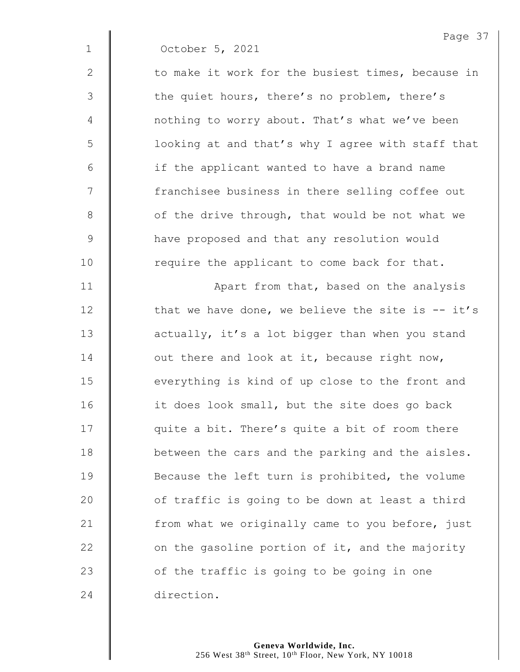|              | Page 37                                            |
|--------------|----------------------------------------------------|
| $\mathbf 1$  | October 5, 2021                                    |
| $\mathbf{2}$ | to make it work for the busiest times, because in  |
| 3            | the quiet hours, there's no problem, there's       |
| 4            | nothing to worry about. That's what we've been     |
| 5            | looking at and that's why I agree with staff that  |
| 6            | if the applicant wanted to have a brand name       |
| 7            | franchisee business in there selling coffee out    |
| 8            | of the drive through, that would be not what we    |
| 9            | have proposed and that any resolution would        |
| 10           | require the applicant to come back for that.       |
| 11           | Apart from that, based on the analysis             |
| 12           | that we have done, we believe the site is $-$ it's |
| 13           | actually, it's a lot bigger than when you stand    |
| 14           | out there and look at it, because right now,       |
| 15           | everything is kind of up close to the front and    |
| 16           | it does look small, but the site does go back      |
| 17           | quite a bit. There's quite a bit of room there     |
| 18           | between the cars and the parking and the aisles.   |
| 19           | Because the left turn is prohibited, the volume    |
| 20           | of traffic is going to be down at least a third    |
| 21           | from what we originally came to you before, just   |
| 22           | on the gasoline portion of it, and the majority    |
| 23           | of the traffic is going to be going in one         |
| 24           | direction.                                         |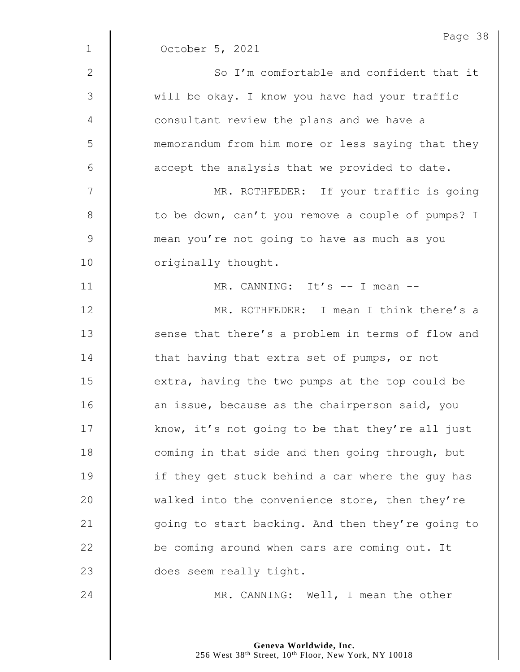|                 | Page 38                                           |
|-----------------|---------------------------------------------------|
| $\mathbf{1}$    | October 5, 2021                                   |
| $\mathbf{2}$    | So I'm comfortable and confident that it          |
| 3               | will be okay. I know you have had your traffic    |
| 4               | consultant review the plans and we have a         |
| 5               | memorandum from him more or less saying that they |
| $6\phantom{1}6$ | accept the analysis that we provided to date.     |
| $\overline{7}$  | MR. ROTHFEDER: If your traffic is going           |
| 8               | to be down, can't you remove a couple of pumps? I |
| $\mathsf 9$     | mean you're not going to have as much as you      |
| 10              | originally thought.                               |
| 11              | MR. CANNING: It's -- I mean --                    |
| 12              | MR. ROTHFEDER: I mean I think there's a           |
| 13              | sense that there's a problem in terms of flow and |
| 14              | that having that extra set of pumps, or not       |
| 15              | extra, having the two pumps at the top could be   |
| 16              | an issue, because as the chairperson said, you    |
| 17              | know, it's not going to be that they're all just  |
| 18              | coming in that side and then going through, but   |
| 19              | if they get stuck behind a car where the guy has  |
| 20              | walked into the convenience store, then they're   |
| 21              | going to start backing. And then they're going to |
| 22              | be coming around when cars are coming out. It     |
| 23              | does seem really tight.                           |
| 24              | MR. CANNING: Well, I mean the other               |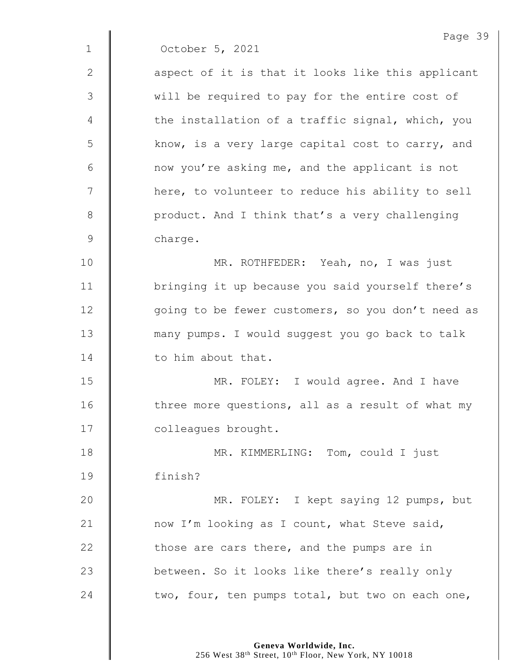Page 39 1 October 5, 2021 2 || aspect of it is that it looks like this applicant 3 | will be required to pay for the entire cost of  $4 \parallel$  the installation of a traffic signal, which, you 5 | know, is a very large capital cost to carry, and  $6 \parallel$  now you're asking me, and the applicant is not 7 | here, to volunteer to reduce his ability to sell 8 | product. And I think that's a very challenging 9 charge. 10 MR. ROTHFEDER: Yeah, no, I was just 11 | bringing it up because you said yourself there's 12 | qoing to be fewer customers, so you don't need as 13 many pumps. I would suggest you go back to talk 14 | to him about that. 15 | MR. FOLEY: I would agree. And I have 16  $\parallel$  three more questions, all as a result of what my 17 | colleagues brought. 18 **MR. KIMMERLING:** Tom, could I just 19 finish? 20 | MR. FOLEY: I kept saying 12 pumps, but 21  $\parallel$  now I'm looking as I count, what Steve said, 22  $\parallel$  those are cars there, and the pumps are in 23 **between.** So it looks like there's really only 24  $\parallel$  two, four, ten pumps total, but two on each one,

> **Geneva Worldwide, Inc.** 256 West 38<sup>th</sup> Street, 10<sup>th</sup> Floor, New York, NY 10018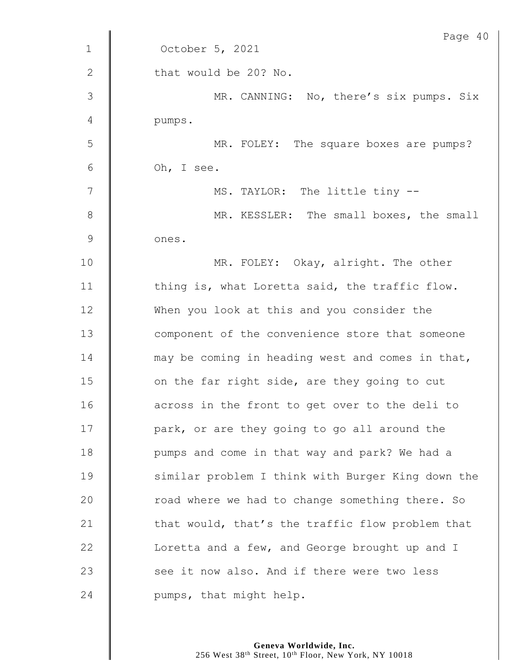|              | Page 40                                           |
|--------------|---------------------------------------------------|
| $\mathbf{1}$ | October 5, 2021                                   |
| $\mathbf{2}$ | that would be 20? No.                             |
| 3            | MR. CANNING: No, there's six pumps. Six           |
| 4            | pumps.                                            |
| 5            | MR. FOLEY: The square boxes are pumps?            |
| 6            | Oh, I see.                                        |
| 7            | MS. TAYLOR: The little tiny --                    |
| 8            | MR. KESSLER: The small boxes, the small           |
| 9            | ones.                                             |
| 10           | MR. FOLEY: Okay, alright. The other               |
| 11           | thing is, what Loretta said, the traffic flow.    |
| 12           | When you look at this and you consider the        |
| 13           | component of the convenience store that someone   |
| 14           | may be coming in heading west and comes in that,  |
| 15           | on the far right side, are they going to cut      |
| 16           | across in the front to get over to the deli to    |
| 17           | park, or are they going to go all around the      |
| 18           | pumps and come in that way and park? We had a     |
| 19           | similar problem I think with Burger King down the |
| 20           | road where we had to change something there. So   |
| 21           | that would, that's the traffic flow problem that  |
| 22           | Loretta and a few, and George brought up and I    |
| 23           | see it now also. And if there were two less       |
| 24           | pumps, that might help.                           |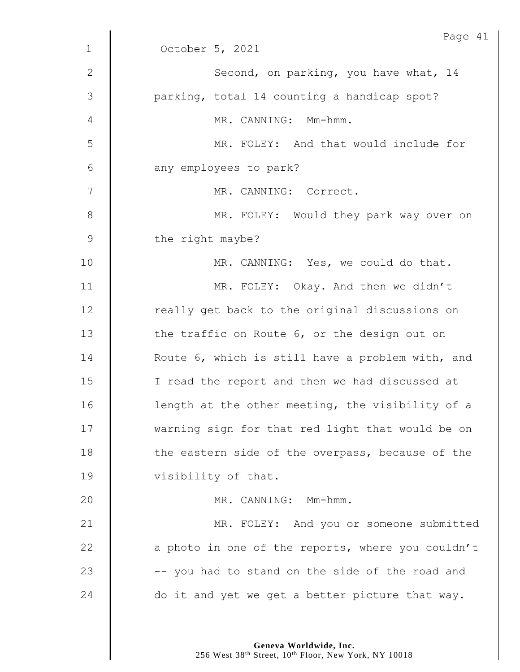| $\mathbf{1}$ | Page 41<br>October 5, 2021                        |
|--------------|---------------------------------------------------|
|              |                                                   |
| $\mathbf{2}$ | Second, on parking, you have what, 14             |
| 3            | parking, total 14 counting a handicap spot?       |
| 4            | MR. CANNING: Mm-hmm.                              |
| 5            | MR. FOLEY: And that would include for             |
| 6            | any employees to park?                            |
| 7            | MR. CANNING: Correct.                             |
| 8            | MR. FOLEY: Would they park way over on            |
| $\mathsf 9$  | the right maybe?                                  |
| 10           | MR. CANNING: Yes, we could do that.               |
| 11           | MR. FOLEY: Okay. And then we didn't               |
| 12           | really get back to the original discussions on    |
| 13           | the traffic on Route 6, or the design out on      |
| 14           | Route 6, which is still have a problem with, and  |
| 15           | I read the report and then we had discussed at    |
| 16           | length at the other meeting, the visibility of a  |
| 17           | warning sign for that red light that would be on  |
| 18           | the eastern side of the overpass, because of the  |
| 19           | visibility of that.                               |
| 20           | MR. CANNING: Mm-hmm.                              |
| 21           | MR. FOLEY: And you or someone submitted           |
| 22           | a photo in one of the reports, where you couldn't |
| 23           | -- you had to stand on the side of the road and   |
| 24           | do it and yet we get a better picture that way.   |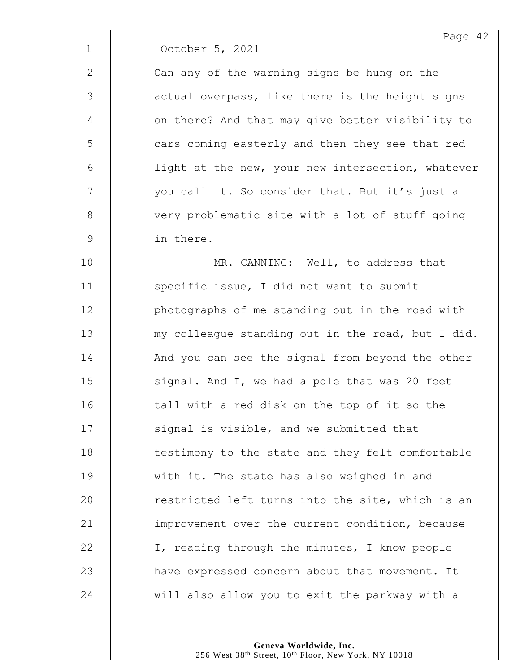1 October 5, 2021

 $2 \parallel$  Can any of the warning signs be hung on the 3 | actual overpass, like there is the height signs 4 | on there? And that may give better visibility to 5 | cars coming easterly and then they see that red 6 | light at the new, your new intersection, whatever 7 | vou call it. So consider that. But it's just a 8 Very problematic site with a lot of stuff going 9 in there.

**MR. CANNING:** Well, to address that 11 | specific issue, I did not want to submit **photographs of me standing out in the road with waa is and in** we woulleague standing out in the road, but I did. 14 And you can see the signal from beyond the other  $\parallel$  signal. And I, we had a pole that was 20 feet | tall with a red disk on the top of it so the  $\parallel$  signal is visible, and we submitted that 18 | testimony to the state and they felt comfortable 19 With it. The state has also weighed in and  $\parallel$  restricted left turns into the site, which is an **improvement over the current condition, because**  $\parallel$  I, reading through the minutes, I know people **have expressed concern about that movement.** It 24 will also allow you to exit the parkway with a

> **Geneva Worldwide, Inc.** 256 West 38th Street, 10th Floor, New York, NY 10018

Page 42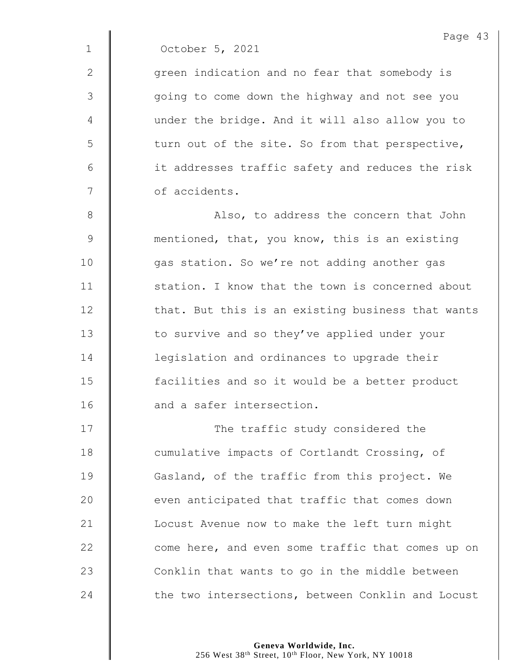1 October 5, 2021

2 | qreen indication and no fear that somebody is 3 going to come down the highway and not see you 4 under the bridge. And it will also allow you to  $5 \parallel$  turn out of the site. So from that perspective, 6 | it addresses traffic safety and reduces the risk 7 **6** of accidents.

8 **Also, to address the concern that John** 9 mentioned, that, you know, this is an existing 10 | qas station. So we're not adding another gas 11 **Station.** I know that the town is concerned about  $12$   $\parallel$  that. But this is an existing business that wants 13 | to survive and so they've applied under your 14 **demal 14** legislation and ordinances to upgrade their 15 **facilities and so it would be a better product** 16 | and a safer intersection.

17 | The traffic study considered the 18 **Cumulative impacts of Cortlandt Crossing, of** 19 Gasland, of the traffic from this project. We  $20$   $\parallel$  even anticipated that traffic that comes down 21 | Locust Avenue now to make the left turn might 22 come here, and even some traffic that comes up on  $23$   $\parallel$  Conklin that wants to go in the middle between 24 the two intersections, between Conklin and Locust

> **Geneva Worldwide, Inc.** 256 West 38<sup>th</sup> Street, 10<sup>th</sup> Floor, New York, NY 10018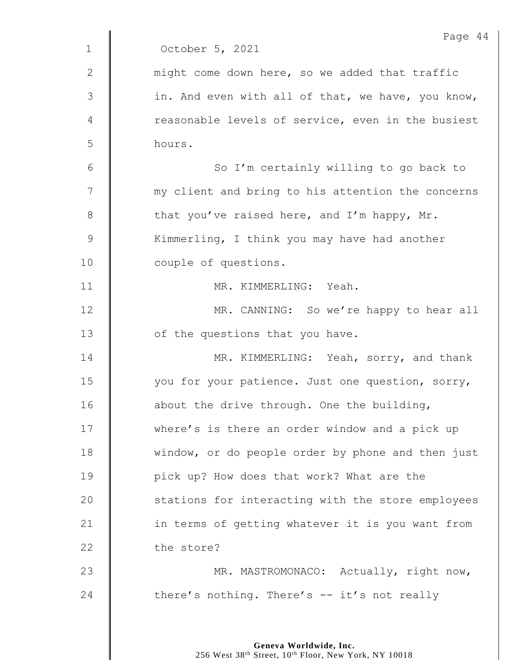|                | Page 44                                           |
|----------------|---------------------------------------------------|
| $\mathbf{1}$   | October 5, 2021                                   |
| $\mathbf{2}$   | might come down here, so we added that traffic    |
| $\mathfrak{Z}$ | in. And even with all of that, we have, you know, |
| 4              | reasonable levels of service, even in the busiest |
| 5              | hours.                                            |
| 6              | So I'm certainly willing to go back to            |
| 7              | my client and bring to his attention the concerns |
| 8              | that you've raised here, and I'm happy, Mr.       |
| $\mathsf 9$    | Kimmerling, I think you may have had another      |
| 10             | couple of questions.                              |
| 11             | MR. KIMMERLING: Yeah.                             |
| 12             | MR. CANNING: So we're happy to hear all           |
| 13             | of the questions that you have.                   |
| 14             | MR. KIMMERLING: Yeah, sorry, and thank            |
| 15             | you for your patience. Just one question, sorry,  |
| 16             | about the drive through. One the building,        |
| 17             | where's is there an order window and a pick up    |
| 18             | window, or do people order by phone and then just |
| 19             | pick up? How does that work? What are the         |
| 20             | stations for interacting with the store employees |
| 21             | in terms of getting whatever it is you want from  |
| 22             | the store?                                        |
| 23             | MR. MASTROMONACO: Actually, right now,            |
| 24             | there's nothing. There's -- it's not really       |
|                |                                                   |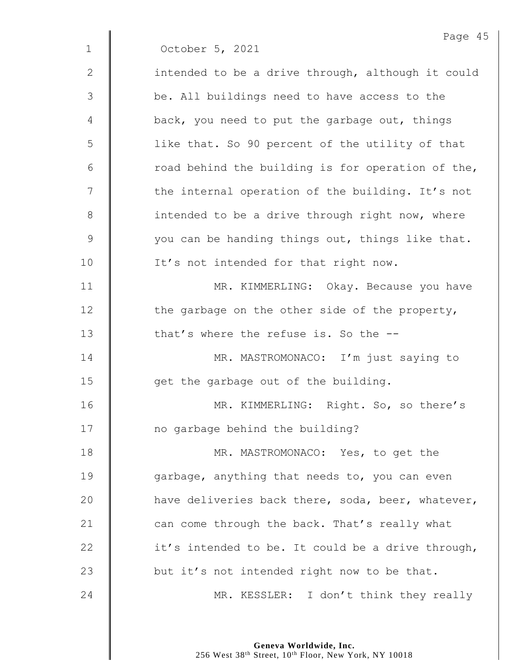|                | Page 45                                           |
|----------------|---------------------------------------------------|
| $\mathbf 1$    | October 5, 2021                                   |
| $\mathbf{2}$   | intended to be a drive through, although it could |
| $\mathfrak{Z}$ | be. All buildings need to have access to the      |
| 4              | back, you need to put the garbage out, things     |
| 5              | like that. So 90 percent of the utility of that   |
| 6              | road behind the building is for operation of the, |
| 7              | the internal operation of the building. It's not  |
| $8\,$          | intended to be a drive through right now, where   |
| $\mathsf 9$    | you can be handing things out, things like that.  |
| 10             | It's not intended for that right now.             |
| 11             | MR. KIMMERLING: Okay. Because you have            |
| 12             | the garbage on the other side of the property,    |
| 13             | that's where the refuse is. So the --             |
| 14             | MR. MASTROMONACO: I'm just saying to              |
| 15             | get the garbage out of the building.              |
| 16             | MR.<br>KIMMERLING: Right. So, so there's          |
| 17             | no garbage behind the building?                   |
| 18             | MR. MASTROMONACO: Yes, to get the                 |
| 19             | garbage, anything that needs to, you can even     |
| 20             | have deliveries back there, soda, beer, whatever, |
| 21             | can come through the back. That's really what     |
| 22             | it's intended to be. It could be a drive through, |
| 23             | but it's not intended right now to be that.       |
| 24             | MR. KESSLER: I don't think they really            |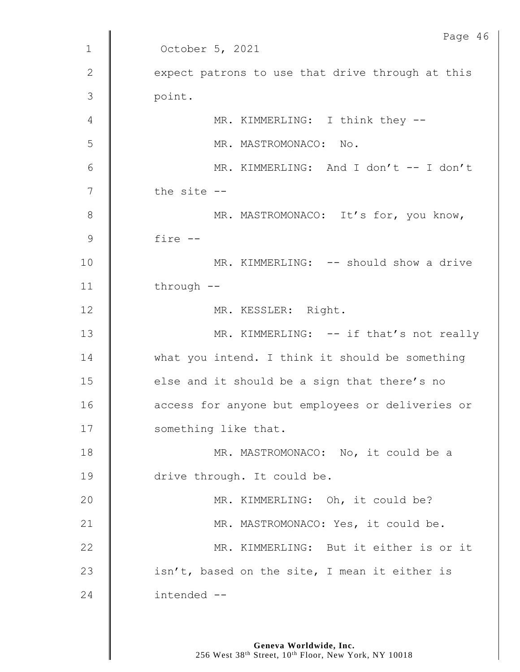| Page 46                                          |
|--------------------------------------------------|
| October 5, 2021                                  |
| expect patrons to use that drive through at this |
| point.                                           |
| MR. KIMMERLING: I think they --                  |
| MR. MASTROMONACO: No.                            |
| MR. KIMMERLING: And I don't -- I don't           |
| the site --                                      |
| MR. MASTROMONACO: It's for, you know,            |
| fire --                                          |
| MR. KIMMERLING: -- should show a drive           |
| through $--$                                     |
| MR. KESSLER: Right.                              |
| MR. KIMMERLING: -- if that's not really          |
| what you intend. I think it should be something  |
| else and it should be a sign that there's no     |
| access for anyone but employees or deliveries or |
| something like that.                             |
| MR. MASTROMONACO: No, it could be a              |
| drive through. It could be.                      |
| MR. KIMMERLING: Oh, it could be?                 |
| MR. MASTROMONACO: Yes, it could be.              |
| MR. KIMMERLING: But it either is or it           |
| isn't, based on the site, I mean it either is    |
| intended --                                      |
|                                                  |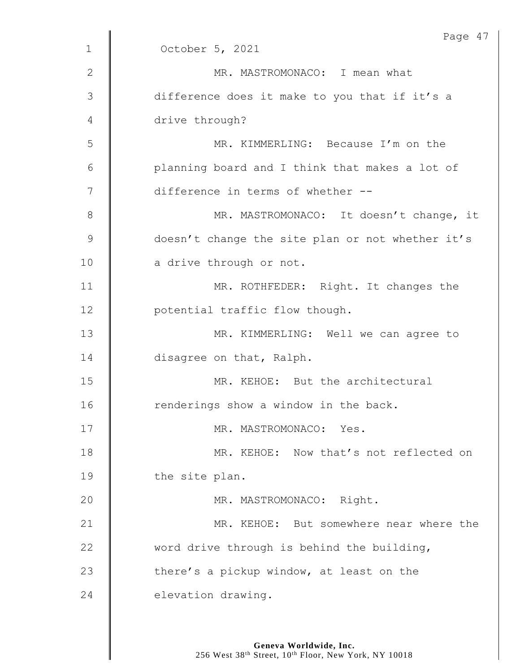|               | Page 47                                          |
|---------------|--------------------------------------------------|
| $\mathbf 1$   | October 5, 2021                                  |
| 2             | MR. MASTROMONACO: I mean what                    |
| 3             | difference does it make to you that if it's a    |
| 4             | drive through?                                   |
| 5             | MR. KIMMERLING: Because I'm on the               |
| 6             | planning board and I think that makes a lot of   |
| 7             | difference in terms of whether --                |
| 8             | MR. MASTROMONACO: It doesn't change, it          |
| $\mathcal{G}$ | doesn't change the site plan or not whether it's |
| 10            | a drive through or not.                          |
| 11            | MR. ROTHFEDER: Right. It changes the             |
| 12            | potential traffic flow though.                   |
| 13            | MR. KIMMERLING: Well we can agree to             |
| 14            | disagree on that, Ralph.                         |
| 15            | MR. KEHOE: But the architectural                 |
| 16            | renderings show a window in the back.            |
| 17            | MR. MASTROMONACO: Yes.                           |
| 18            | MR. KEHOE: Now that's not reflected on           |
| 19            | the site plan.                                   |
| 20            | MR. MASTROMONACO: Right.                         |
| 21            | MR. KEHOE: But somewhere near where the          |
| 22            | word drive through is behind the building,       |
| 23            | there's a pickup window, at least on the         |
| 24            | elevation drawing.                               |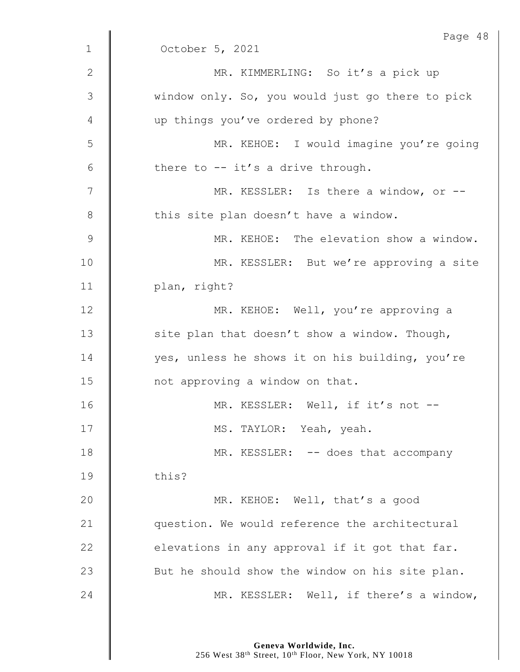|               | Page 48                                          |
|---------------|--------------------------------------------------|
| $\mathbf 1$   | October 5, 2021                                  |
| $\mathbf{2}$  | MR. KIMMERLING: So it's a pick up                |
| 3             | window only. So, you would just go there to pick |
| 4             | up things you've ordered by phone?               |
| 5             | MR. KEHOE: I would imagine you're going          |
| 6             | there to -- it's a drive through.                |
| 7             | MR. KESSLER: Is there a window, or --            |
| 8             | this site plan doesn't have a window.            |
| $\mathcal{G}$ | MR. KEHOE: The elevation show a window.          |
| 10            | MR. KESSLER: But we're approving a site          |
| 11            | plan, right?                                     |
| 12            | MR. KEHOE: Well, you're approving a              |
| 13            | site plan that doesn't show a window. Though,    |
| 14            | yes, unless he shows it on his building, you're  |
| 15            | not approving a window on that.                  |
| 16            | MR. KESSLER: Well, if it's not --                |
| 17            | MS. TAYLOR: Yeah, yeah.                          |
| 18            | MR. KESSLER: -- does that accompany              |
| 19            | this?                                            |
| 20            | MR. KEHOE: Well, that's a good                   |
| 21            | question. We would reference the architectural   |
| 22            | elevations in any approval if it got that far.   |
| 23            | But he should show the window on his site plan.  |
| 24            | MR. KESSLER: Well, if there's a window,          |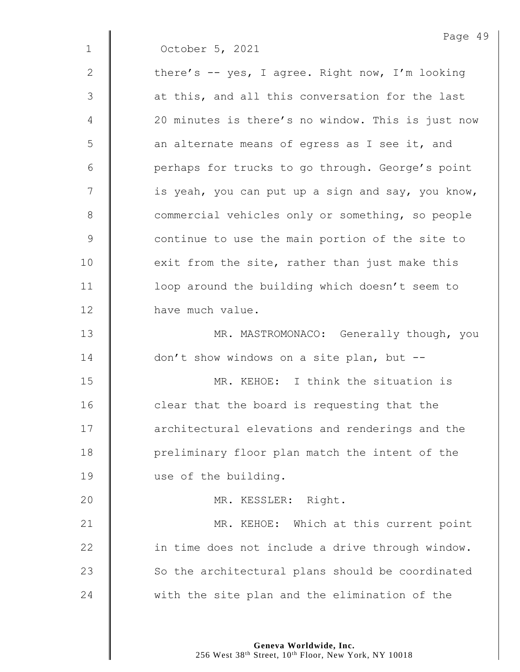| Page 49                                           |
|---------------------------------------------------|
| October 5, 2021                                   |
| there's -- yes, I agree. Right now, I'm looking   |
| at this, and all this conversation for the last   |
| 20 minutes is there's no window. This is just now |
| an alternate means of egress as I see it, and     |
| perhaps for trucks to go through. George's point  |
| is yeah, you can put up a sign and say, you know, |
| commercial vehicles only or something, so people  |
| continue to use the main portion of the site to   |
| exit from the site, rather than just make this    |
| loop around the building which doesn't seem to    |
| have much value.                                  |
| MR. MASTROMONACO: Generally though, you           |
| don't show windows on a site plan, but --         |
| MR. KEHOE: I think the situation is               |
| clear that the board is requesting that the       |
| architectural elevations and renderings and the   |
| preliminary floor plan match the intent of the    |
| use of the building.                              |
| MR. KESSLER: Right.                               |
| MR. KEHOE: Which at this current point            |
| in time does not include a drive through window.  |
| So the architectural plans should be coordinated  |
| with the site plan and the elimination of the     |
|                                                   |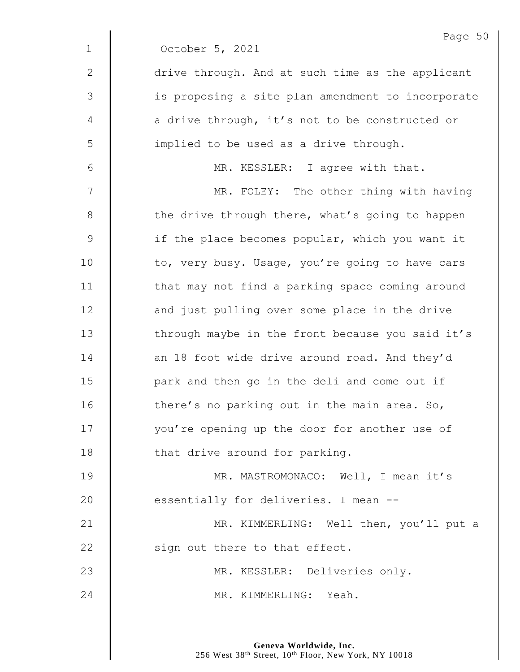|                | Page 50                                           |
|----------------|---------------------------------------------------|
| $\mathbf{1}$   | October 5, 2021                                   |
| $\mathbf{2}$   | drive through. And at such time as the applicant  |
| $\mathfrak{Z}$ | is proposing a site plan amendment to incorporate |
| 4              | a drive through, it's not to be constructed or    |
| 5              | implied to be used as a drive through.            |
| $6\,$          | MR. KESSLER: I agree with that.                   |
| 7              | MR. FOLEY: The other thing with having            |
| $8\,$          | the drive through there, what's going to happen   |
| $\mathcal{G}$  | if the place becomes popular, which you want it   |
| 10             | to, very busy. Usage, you're going to have cars   |
| 11             | that may not find a parking space coming around   |
| 12             | and just pulling over some place in the drive     |
| 13             | through maybe in the front because you said it's  |
| 14             | an 18 foot wide drive around road. And they'd     |
| 15             | park and then go in the deli and come out if      |
| 16             | there's no parking out in the main area. So,      |
| 17             | you're opening up the door for another use of     |
| 18             | that drive around for parking.                    |
| 19             | MR. MASTROMONACO: Well, I mean it's               |
| 20             | essentially for deliveries. I mean --             |
| 21             | MR. KIMMERLING: Well then, you'll put a           |
| 22             | sign out there to that effect.                    |
| 23             | MR. KESSLER: Deliveries only.                     |
| 24             | MR. KIMMERLING: Yeah.                             |
|                |                                                   |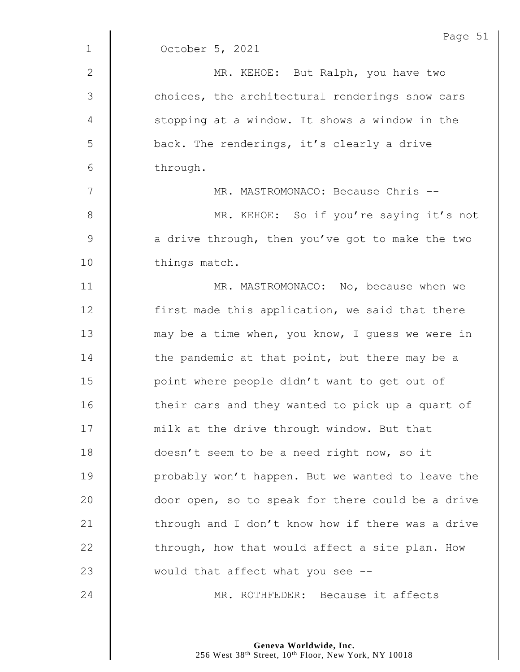|              | Page 51                                           |
|--------------|---------------------------------------------------|
| $\mathbf{1}$ | October 5, 2021                                   |
| 2            | MR. KEHOE: But Ralph, you have two                |
| 3            | choices, the architectural renderings show cars   |
| 4            | stopping at a window. It shows a window in the    |
| 5            | back. The renderings, it's clearly a drive        |
| 6            | through.                                          |
| 7            | MR. MASTROMONACO: Because Chris --                |
| $8\,$        | MR. KEHOE: So if you're saying it's not           |
| $\mathsf 9$  | a drive through, then you've got to make the two  |
| 10           | things match.                                     |
| 11           | MR. MASTROMONACO: No, because when we             |
| 12           | first made this application, we said that there   |
| 13           | may be a time when, you know, I guess we were in  |
| 14           | the pandemic at that point, but there may be a    |
| 15           | point where people didn't want to get out of      |
| 16           | their cars and they wanted to pick up a quart of  |
| 17           | milk at the drive through window. But that        |
| 18           | doesn't seem to be a need right now, so it        |
| 19           | probably won't happen. But we wanted to leave the |
| 20           | door open, so to speak for there could be a drive |
| 21           | through and I don't know how if there was a drive |
| 22           | through, how that would affect a site plan. How   |
| 23           | would that affect what you see --                 |
| 24           | MR. ROTHFEDER: Because it affects                 |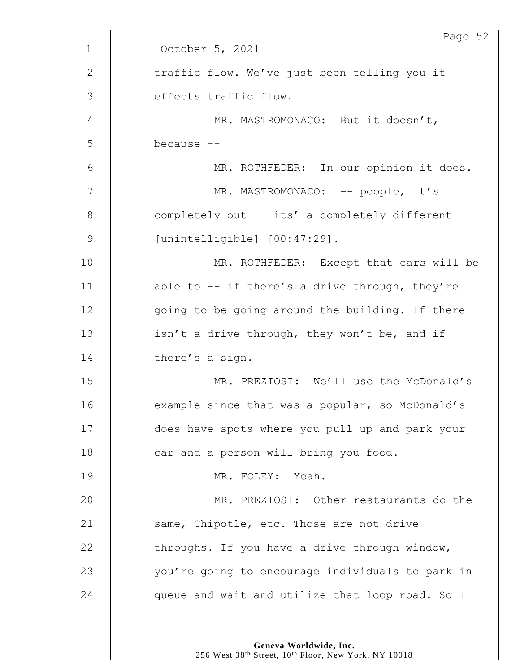|               | Page 52                                          |
|---------------|--------------------------------------------------|
| $\mathbf{1}$  | October 5, 2021                                  |
| $\mathbf{2}$  | traffic flow. We've just been telling you it     |
| 3             | effects traffic flow.                            |
| 4             | MR. MASTROMONACO: But it doesn't,                |
| 5             | because --                                       |
| 6             | MR. ROTHFEDER: In our opinion it does.           |
| 7             | MR. MASTROMONACO: -- people, it's                |
| $\,8\,$       | completely out -- its' a completely different    |
| $\mathcal{G}$ | [unintelligible] [00:47:29].                     |
| 10            | MR. ROTHFEDER: Except that cars will be          |
| 11            | able to $-$ if there's a drive through, they're  |
| 12            | going to be going around the building. If there  |
| 13            | isn't a drive through, they won't be, and if     |
| 14            | there's a sign.                                  |
| 15            | MR. PREZIOSI: We'll use the McDonald's           |
| 16            | example since that was a popular, so McDonald's  |
| 17            | does have spots where you pull up and park your  |
| 18            | car and a person will bring you food.            |
| 19            | MR. FOLEY: Yeah.                                 |
| 20            | MR. PREZIOSI: Other restaurants do the           |
| 21            | same, Chipotle, etc. Those are not drive         |
| 22            | throughs. If you have a drive through window,    |
| 23            | you're going to encourage individuals to park in |
| 24            | queue and wait and utilize that loop road. So I  |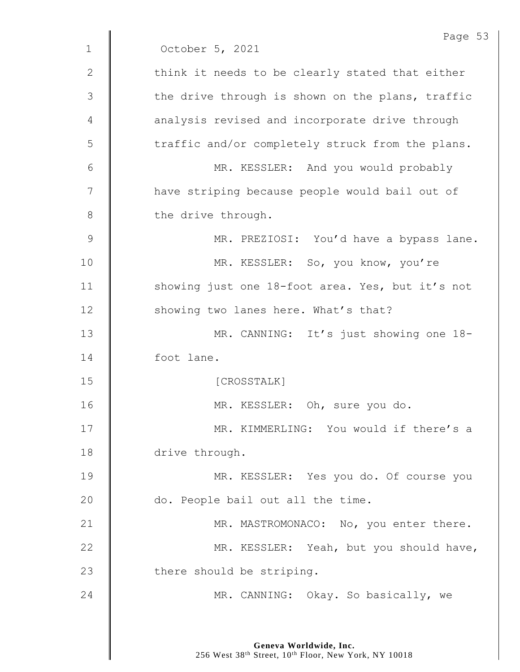|                | Page 53                                          |
|----------------|--------------------------------------------------|
| $\mathbf{1}$   | October 5, 2021                                  |
| 2              | think it needs to be clearly stated that either  |
| $\mathfrak{Z}$ | the drive through is shown on the plans, traffic |
| 4              | analysis revised and incorporate drive through   |
| 5              | traffic and/or completely struck from the plans. |
| 6              | MR. KESSLER: And you would probably              |
| 7              | have striping because people would bail out of   |
| 8              | the drive through.                               |
| $\overline{9}$ | MR. PREZIOSI: You'd have a bypass lane.          |
| 10             | MR. KESSLER: So, you know, you're                |
| 11             | showing just one 18-foot area. Yes, but it's not |
| 12             | showing two lanes here. What's that?             |
| 13             | MR. CANNING: It's just showing one 18-           |
| 14             | foot lane.                                       |
| 15             | [CROSSTALK]                                      |
| 16             | MR. KESSLER: Oh, sure you do.                    |
| 17             | MR. KIMMERLING: You would if there's a           |
| 18             | drive through.                                   |
| 19             | MR. KESSLER: Yes you do. Of course you           |
| 20             | do. People bail out all the time.                |
| 21             | MR. MASTROMONACO: No, you enter there.           |
| 22             | MR. KESSLER: Yeah, but you should have,          |
| 23             | there should be striping.                        |
| 24             | MR. CANNING: Okay. So basically, we              |
|                |                                                  |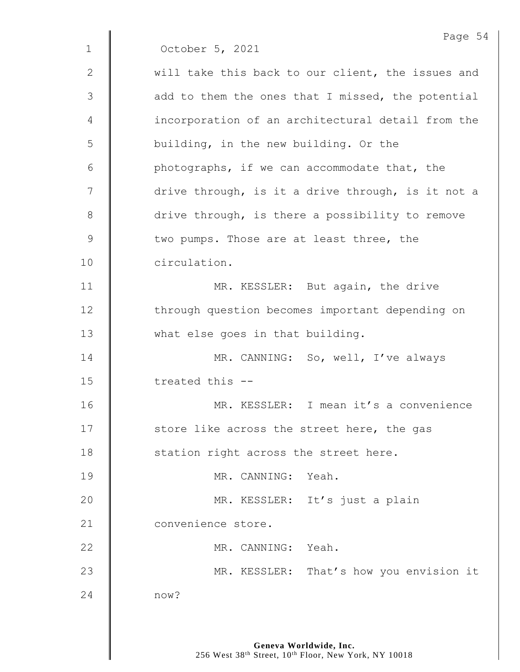|              | Page 54                                           |
|--------------|---------------------------------------------------|
| $\mathbf{1}$ | October 5, 2021                                   |
| 2            | will take this back to our client, the issues and |
| 3            | add to them the ones that I missed, the potential |
| 4            | incorporation of an architectural detail from the |
| 5            | building, in the new building. Or the             |
| 6            | photographs, if we can accommodate that, the      |
| 7            | drive through, is it a drive through, is it not a |
| 8            | drive through, is there a possibility to remove   |
| $\mathsf 9$  | two pumps. Those are at least three, the          |
| 10           | circulation.                                      |
| 11           | MR. KESSLER: But again, the drive                 |
| 12           | through question becomes important depending on   |
| 13           | what else goes in that building.                  |
| 14           | MR. CANNING: So, well, I've always                |
| 15           | treated this --                                   |
| 16           | MR. KESSLER: I mean it's a convenience            |
| 17           | store like across the street here, the gas        |
| 18           | station right across the street here.             |
| 19           | MR. CANNING: Yeah.                                |
| 20           | MR. KESSLER: It's just a plain                    |
| 21           | convenience store.                                |
| 22           | MR. CANNING: Yeah.                                |
| 23           | MR. KESSLER: That's how you envision it           |
| 24           | now?                                              |
|              |                                                   |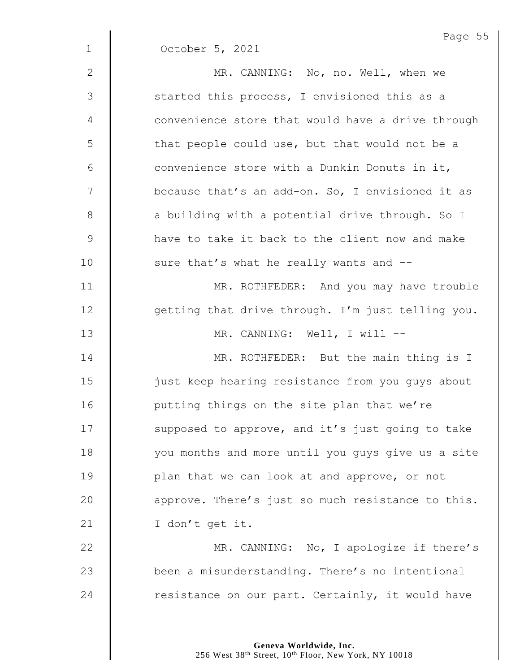|              | Page 55                                           |
|--------------|---------------------------------------------------|
| $\mathbf 1$  | October 5, 2021                                   |
| $\mathbf{2}$ | MR. CANNING: No, no. Well, when we                |
| 3            | started this process, I envisioned this as a      |
| 4            | convenience store that would have a drive through |
| 5            | that people could use, but that would not be a    |
| 6            | convenience store with a Dunkin Donuts in it,     |
| 7            | because that's an add-on. So, I envisioned it as  |
| $8\,$        | a building with a potential drive through. So I   |
| $\mathsf 9$  | have to take it back to the client now and make   |
| 10           | sure that's what he really wants and --           |
| 11           | MR. ROTHFEDER: And you may have trouble           |
| 12           | getting that drive through. I'm just telling you. |
| 13           | MR. CANNING: Well, I will --                      |
| 14           | MR. ROTHFEDER: But the main thing is I            |
| 15           | just keep hearing resistance from you guys about  |
| 16           | putting things on the site plan that we're        |
| 17           | supposed to approve, and it's just going to take  |
| 18           | you months and more until you guys give us a site |
| 19           | plan that we can look at and approve, or not      |
| 20           | approve. There's just so much resistance to this. |
| 21           | I don't get it.                                   |
| 22           | MR. CANNING: No, I apologize if there's           |
| 23           | been a misunderstanding. There's no intentional   |
| 24           | resistance on our part. Certainly, it would have  |
|              |                                                   |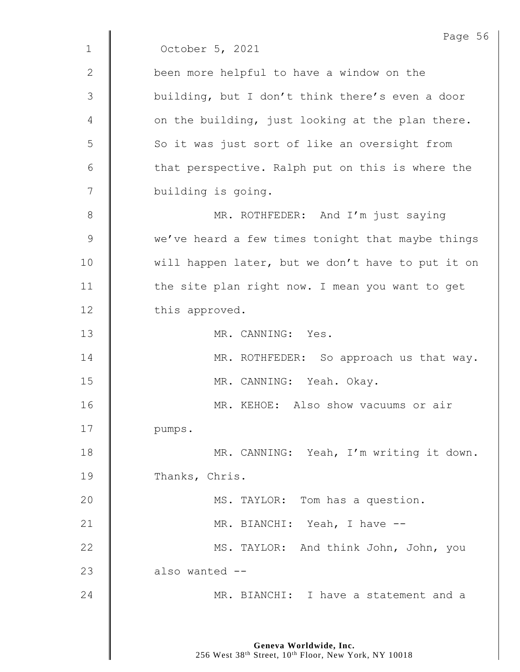Page 56 1 October 5, 2021 2 **been more helpful to have a window on the** 3 || building, but I don't think there's even a door 4 | on the building, just looking at the plan there. 5 | So it was just sort of like an oversight from  $6 \parallel$  that perspective. Ralph put on this is where the 7 | building is going. 8 MR. ROTHFEDER: And I'm just saying 9 We've heard a few times tonight that maybe things 10 | will happen later, but we don't have to put it on 11 | the site plan right now. I mean you want to get 12 this approved. 13 MR. CANNING: Yes. 14 | MR. ROTHFEDER: So approach us that way. 15 | MR. CANNING: Yeah. Okay. 16 || MR. KEHOE: Also show vacuums or air 17 | pumps. 18 | MR. CANNING: Yeah, I'm writing it down. 19 Thanks, Chris. 20 | MS. TAYLOR: Tom has a question. 21 | MR. BIANCHI: Yeah, I have --22 **MS. TAYLOR:** And think John, John, you  $23$  | also wanted --24 **MR. BIANCHI:** I have a statement and a

> **Geneva Worldwide, Inc.** 256 West 38<sup>th</sup> Street, 10<sup>th</sup> Floor, New York, NY 10018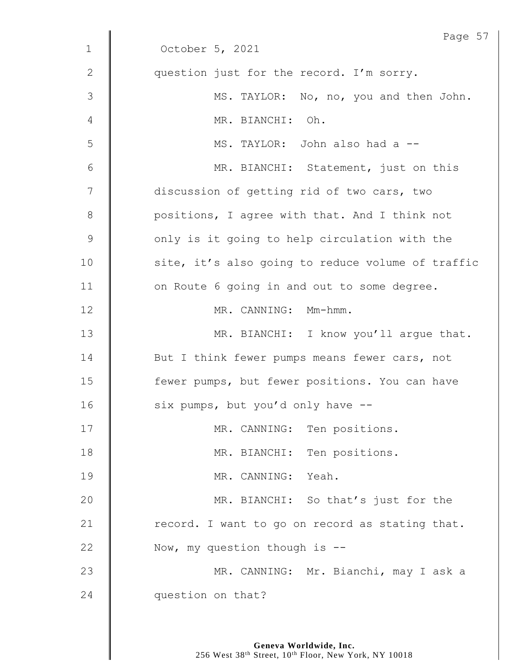|             | Page 57                                           |
|-------------|---------------------------------------------------|
| $\mathbf 1$ | October 5, 2021                                   |
| 2           | question just for the record. I'm sorry.          |
| 3           | MS. TAYLOR: No, no, you and then John.            |
| 4           | MR. BIANCHI:<br>Oh.                               |
| 5           | MS. TAYLOR: John also had a --                    |
| 6           | MR. BIANCHI: Statement, just on this              |
| 7           | discussion of getting rid of two cars, two        |
| $8\,$       | positions, I agree with that. And I think not     |
| 9           | only is it going to help circulation with the     |
| 10          | site, it's also going to reduce volume of traffic |
| 11          | on Route 6 going in and out to some degree.       |
| 12          | MR. CANNING: Mm-hmm.                              |
| 13          | MR. BIANCHI: I know you'll argue that.            |
| 14          | But I think fewer pumps means fewer cars, not     |
| 15          | fewer pumps, but fewer positions. You can have    |
| 16          | six pumps, but you'd only have --                 |
| 17          | MR. CANNING: Ten positions.                       |
| 18          | MR. BIANCHI: Ten positions.                       |
| 19          | MR. CANNING: Yeah.                                |
| 20          | MR. BIANCHI: So that's just for the               |
| 21          | record. I want to go on record as stating that.   |
| 22          | Now, my question though is $-$ -                  |
| 23          | MR. CANNING: Mr. Bianchi, may I ask a             |
| 24          | question on that?                                 |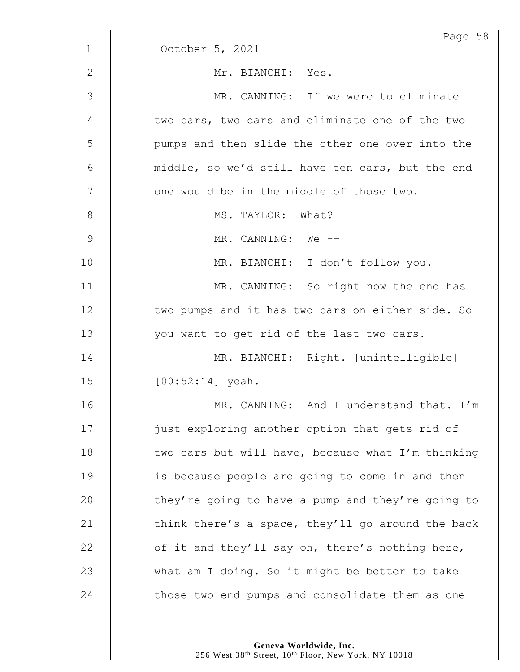|              | Page 58                                           |
|--------------|---------------------------------------------------|
| $\mathbf{1}$ | October 5, 2021                                   |
| 2            | Mr. BIANCHI: Yes.                                 |
| 3            | MR. CANNING: If we were to eliminate              |
| 4            | two cars, two cars and eliminate one of the two   |
| 5            | pumps and then slide the other one over into the  |
| 6            | middle, so we'd still have ten cars, but the end  |
| 7            | one would be in the middle of those two.          |
| $8\,$        | MS. TAYLOR: What?                                 |
| 9            | MR. CANNING: We --                                |
| 10           | MR. BIANCHI: I don't follow you.                  |
| 11           | MR. CANNING: So right now the end has             |
| 12           | two pumps and it has two cars on either side. So  |
| 13           | you want to get rid of the last two cars.         |
| 14           | MR. BIANCHI: Right. [unintelligible]              |
| 15           | $[00:52:14]$ yeah.                                |
| 16           | MR. CANNING: And I understand that. I'm           |
| 17           | just exploring another option that gets rid of    |
| 18           | two cars but will have, because what I'm thinking |
| 19           | is because people are going to come in and then   |
| 20           | they're going to have a pump and they're going to |
| 21           | think there's a space, they'll go around the back |
| 22           | of it and they'll say oh, there's nothing here,   |
| 23           | what am I doing. So it might be better to take    |
| 24           | those two end pumps and consolidate them as one   |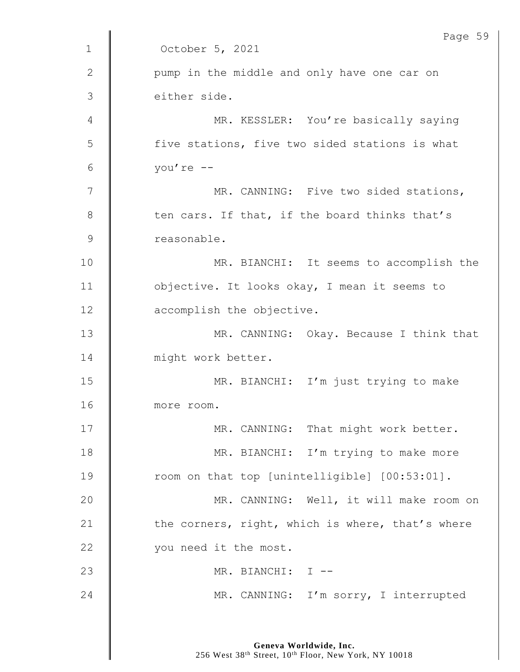|              | Page 59                                          |
|--------------|--------------------------------------------------|
| $\mathbf 1$  | October 5, 2021                                  |
| $\mathbf{2}$ | pump in the middle and only have one car on      |
| 3            | either side.                                     |
| 4            | MR. KESSLER: You're basically saying             |
| 5            | five stations, five two sided stations is what   |
| 6            | you're --                                        |
| 7            | MR. CANNING: Five two sided stations,            |
| 8            | ten cars. If that, if the board thinks that's    |
| $\mathsf 9$  | reasonable.                                      |
| 10           | MR. BIANCHI: It seems to accomplish the          |
| 11           | objective. It looks okay, I mean it seems to     |
| 12           | accomplish the objective.                        |
| 13           | MR. CANNING: Okay. Because I think that          |
| 14           | might work better.                               |
| 15           | MR. BIANCHI: I'm just trying to make             |
| 16           | more room.                                       |
| 17           | MR. CANNING: That might work better.             |
| 18           | MR. BIANCHI: I'm trying to make more             |
| 19           | room on that top [unintelligible] [00:53:01].    |
| 20           | MR. CANNING: Well, it will make room on          |
| 21           | the corners, right, which is where, that's where |
| 22           | you need it the most.                            |
| 23           | MR. BIANCHI: I --                                |
| 24           | MR. CANNING: I'm sorry, I interrupted            |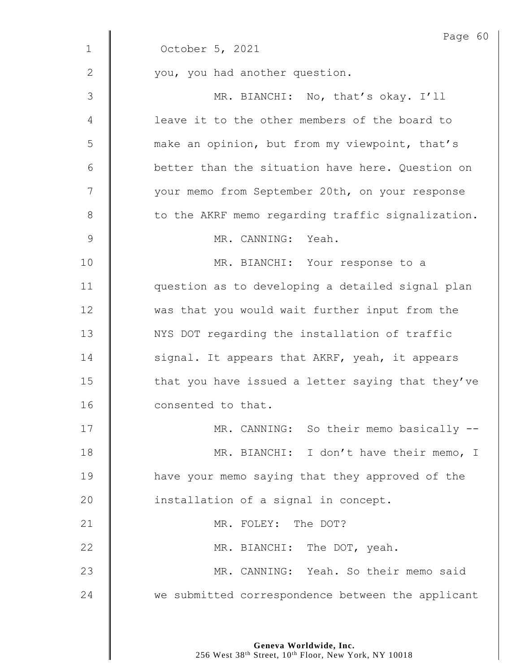|               | Page 60                                           |
|---------------|---------------------------------------------------|
| $\mathbf 1$   | October 5, 2021                                   |
| 2             | you, you had another question.                    |
| 3             | MR. BIANCHI: No, that's okay. I'll                |
| 4             | leave it to the other members of the board to     |
| 5             | make an opinion, but from my viewpoint, that's    |
| 6             | better than the situation have here. Question on  |
| 7             | your memo from September 20th, on your response   |
| 8             | to the AKRF memo regarding traffic signalization. |
| $\mathcal{G}$ | MR. CANNING: Yeah.                                |
| 10            | MR. BIANCHI: Your response to a                   |
| 11            | question as to developing a detailed signal plan  |
| 12            | was that you would wait further input from the    |
| 13            | NYS DOT regarding the installation of traffic     |
| 14            | signal. It appears that AKRF, yeah, it appears    |
| 15            | that you have issued a letter saying that they've |
| 16            | consented to that.                                |
| 17            | MR. CANNING: So their memo basically --           |
| 18            | MR. BIANCHI: I don't have their memo, I           |
| 19            | have your memo saying that they approved of the   |
| 20            | installation of a signal in concept.              |
| 21            | MR. FOLEY: The DOT?                               |
| 22            | MR. BIANCHI: The DOT, yeah.                       |
| 23            | MR. CANNING: Yeah. So their memo said             |
| 24            | we submitted correspondence between the applicant |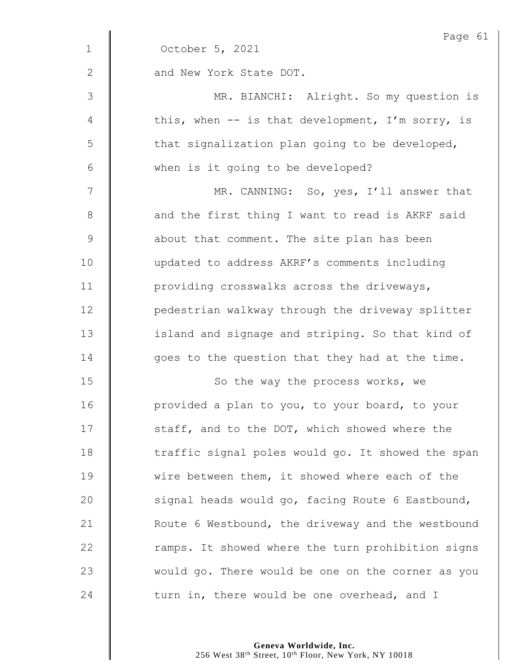|              | Page 61                                           |
|--------------|---------------------------------------------------|
| $\mathbf 1$  | October 5, 2021                                   |
| $\mathbf{2}$ | and New York State DOT.                           |
| 3            | MR. BIANCHI: Alright. So my question is           |
| 4            | this, when -- is that development, I'm sorry, is  |
| 5            | that signalization plan going to be developed,    |
| 6            | when is it going to be developed?                 |
| 7            | MR. CANNING: So, yes, I'll answer that            |
| $\,8\,$      | and the first thing I want to read is AKRF said   |
| $\mathsf 9$  | about that comment. The site plan has been        |
| 10           | updated to address AKRF's comments including      |
| 11           | providing crosswalks across the driveways,        |
| 12           | pedestrian walkway through the driveway splitter  |
| 13           | island and signage and striping. So that kind of  |
| 14           | goes to the question that they had at the time.   |
| 15           | So the way the process works, we                  |
| 16           | provided a plan to you, to your board, to your    |
| 17           | staff, and to the DOT, which showed where the     |
| 18           | traffic signal poles would go. It showed the span |
| 19           | wire between them, it showed where each of the    |
| 20           | signal heads would go, facing Route 6 Eastbound,  |
| 21           | Route 6 Westbound, the driveway and the westbound |
| 22           | ramps. It showed where the turn prohibition signs |
| 23           | would go. There would be one on the corner as you |
| 24           | turn in, there would be one overhead, and I       |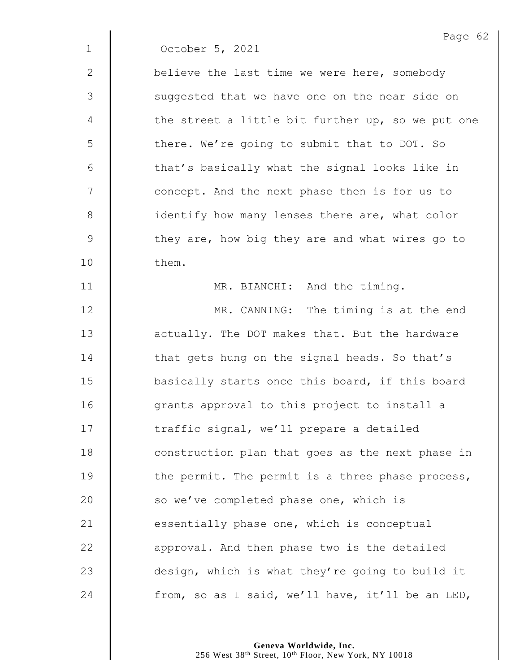1 October 5, 2021

2 **believe the last time we were here, somebody** 3 || suggested that we have one on the near side on  $4 \parallel$  the street a little bit further up, so we put one 5 | there. We're going to submit that to DOT. So  $6 \parallel$  that's basically what the signal looks like in 7 | concept. And the next phase then is for us to 8 **identify how many lenses there are, what color** 9 | they are, how big they are and what wires go to 10 **them.** 

11 | MR. BIANCHI: And the timing.

**MR.** CANNING: The timing is at the end **deg is actually.** The DOT makes that. But the hardware 14 That gets hung on the signal heads. So that's **basically starts once this board, if this board** 16 | grants approval to this project to install a 17 | traffic signal, we'll prepare a detailed **construction plan that goes as the next phase in**  $\parallel$  the permit. The permit is a three phase process, 20 So we've completed phase one, which is  $\parallel$  essentially phase one, which is conceptual  $\parallel$  approval. And then phase two is the detailed 23 design, which is what they're going to build it  $\parallel$  from, so as I said, we'll have, it'll be an LED,

> **Geneva Worldwide, Inc.** 256 West 38th Street, 10th Floor, New York, NY 10018

Page 62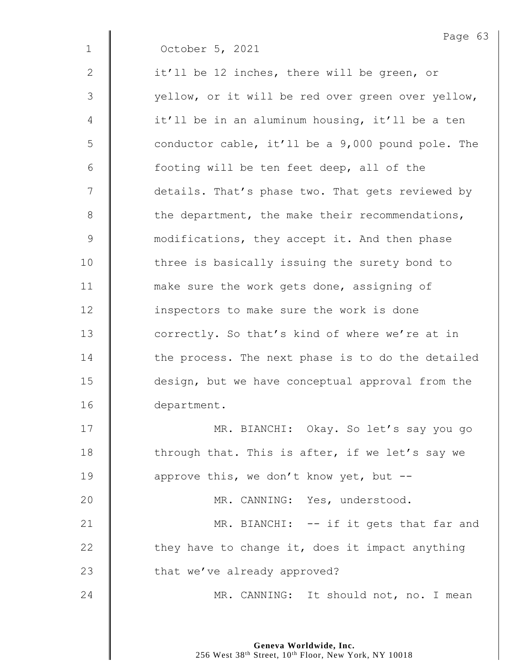|              | Page 63                                           |
|--------------|---------------------------------------------------|
| $\mathbf 1$  | October 5, 2021                                   |
| $\mathbf{2}$ | it'll be 12 inches, there will be green, or       |
| 3            | yellow, or it will be red over green over yellow, |
| 4            | it'll be in an aluminum housing, it'll be a ten   |
| 5            | conductor cable, it'll be a 9,000 pound pole. The |
| 6            | footing will be ten feet deep, all of the         |
| 7            | details. That's phase two. That gets reviewed by  |
| $\,8\,$      | the department, the make their recommendations,   |
| $\mathsf 9$  | modifications, they accept it. And then phase     |
| 10           | three is basically issuing the surety bond to     |
| 11           | make sure the work gets done, assigning of        |
| 12           | inspectors to make sure the work is done          |
| 13           | correctly. So that's kind of where we're at in    |
| 14           | the process. The next phase is to do the detailed |
| 15           | design, but we have conceptual approval from the  |
| 16           | department.                                       |
| 17           | MR. BIANCHI: Okay. So let's say you go            |
| 18           | through that. This is after, if we let's say we   |
| 19           | approve this, we don't know yet, but --           |
| 20           | MR. CANNING: Yes, understood.                     |
| 21           | MR. BIANCHI: -- if it gets that far and           |
| 22           | they have to change it, does it impact anything   |
| 23           | that we've already approved?                      |
| 24           | MR. CANNING: It should not, no. I mean            |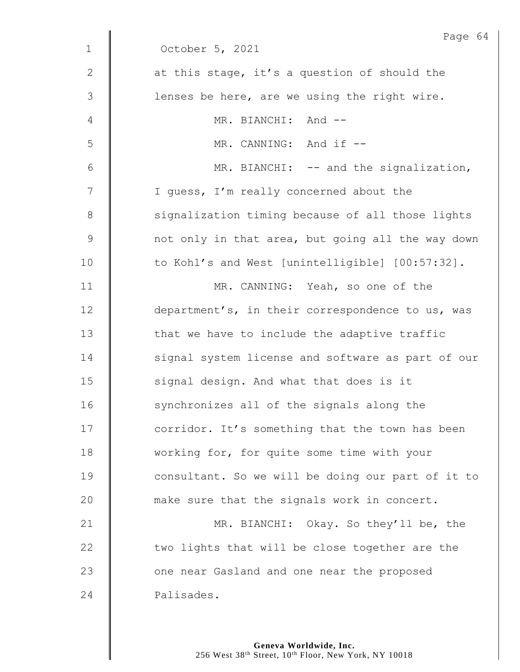|              | Page 64                                           |
|--------------|---------------------------------------------------|
| $\mathbf 1$  | October 5, 2021                                   |
| $\mathbf{2}$ | at this stage, it's a question of should the      |
| 3            | lenses be here, are we using the right wire.      |
| 4            | MR. BIANCHI: And --                               |
| 5            | MR. CANNING: And if --                            |
| 6            | MR. BIANCHI: -- and the signalization,            |
| 7            | I guess, I'm really concerned about the           |
| $8\,$        | signalization timing because of all those lights  |
| $\mathsf 9$  | not only in that area, but going all the way down |
| 10           | to Kohl's and West [unintelligible] [00:57:32].   |
| 11           | MR. CANNING: Yeah, so one of the                  |
| 12           | department's, in their correspondence to us, was  |
| 13           | that we have to include the adaptive traffic      |
| 14           | signal system license and software as part of our |
| 15           | signal design. And what that does is it           |
| 16           | synchronizes all of the signals along the         |
| 17           | corridor. It's something that the town has been   |
| 18           | working for, for quite some time with your        |
| 19           | consultant. So we will be doing our part of it to |
| 20           | make sure that the signals work in concert.       |
| 21           | MR. BIANCHI: Okay. So they'll be, the             |
| 22           | two lights that will be close together are the    |
| 23           | one near Gasland and one near the proposed        |
| 24           | Palisades.                                        |
|              |                                                   |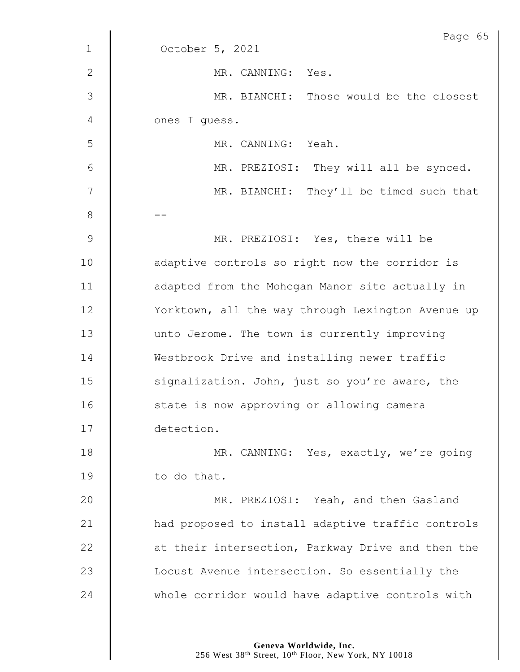|              | Page 65                                           |
|--------------|---------------------------------------------------|
| $\mathbf{1}$ | October 5, 2021                                   |
| $\mathbf{2}$ | MR. CANNING: Yes.                                 |
| 3            | MR. BIANCHI: Those would be the closest           |
| 4            | ones I quess.                                     |
| 5            | MR. CANNING: Yeah.                                |
| 6            | MR. PREZIOSI: They will all be synced.            |
| 7            | MR. BIANCHI: They'll be timed such that           |
| $8\,$        |                                                   |
| 9            | MR. PREZIOSI: Yes, there will be                  |
| 10           | adaptive controls so right now the corridor is    |
| 11           | adapted from the Mohegan Manor site actually in   |
| 12           | Yorktown, all the way through Lexington Avenue up |
| 13           | unto Jerome. The town is currently improving      |
| 14           | Westbrook Drive and installing newer traffic      |
| 15           | signalization. John, just so you're aware, the    |
| 16           | state is now approving or allowing camera         |
| 17           | detection.                                        |
| 18           | MR. CANNING: Yes, exactly, we're going            |
| 19           | to do that.                                       |
| 20           | MR. PREZIOSI: Yeah, and then Gasland              |
| 21           | had proposed to install adaptive traffic controls |
| 22           | at their intersection, Parkway Drive and then the |
| 23           | Locust Avenue intersection. So essentially the    |
| 24           | whole corridor would have adaptive controls with  |
|              |                                                   |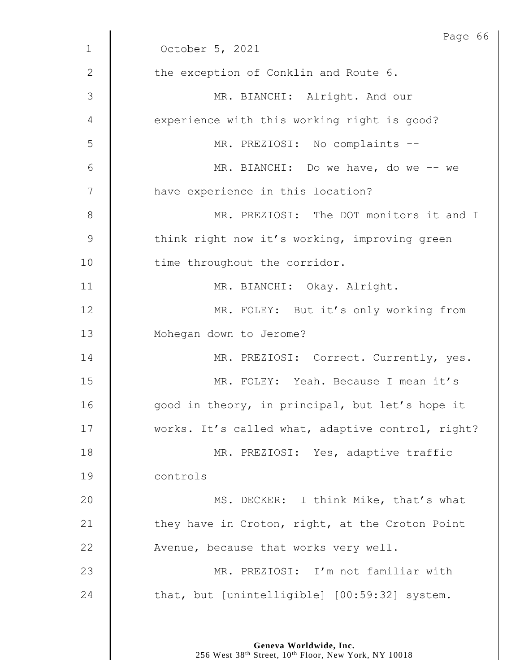|                | Page 66                                           |
|----------------|---------------------------------------------------|
| $\mathbf 1$    | October 5, 2021                                   |
| 2              | the exception of Conklin and Route 6.             |
| 3              | MR. BIANCHI: Alright. And our                     |
| 4              | experience with this working right is good?       |
| 5              | MR. PREZIOSI: No complaints --                    |
| 6              | MR. BIANCHI: Do we have, do we -- we              |
| $\overline{7}$ | have experience in this location?                 |
| $8\,$          | MR. PREZIOSI: The DOT monitors it and I           |
| $\mathcal{G}$  | think right now it's working, improving green     |
| 10             | time throughout the corridor.                     |
| 11             | MR. BIANCHI: Okay. Alright.                       |
| 12             | MR. FOLEY: But it's only working from             |
| 13             | Mohegan down to Jerome?                           |
| 14             | MR. PREZIOSI: Correct. Currently, yes.            |
| 15             | MR. FOLEY: Yeah. Because I mean it's              |
| 16             | good in theory, in principal, but let's hope it   |
| 17             | works. It's called what, adaptive control, right? |
| 18             | MR. PREZIOSI: Yes, adaptive traffic               |
| 19             | controls                                          |
| 20             | MS. DECKER: I think Mike, that's what             |
| 21             | they have in Croton, right, at the Croton Point   |
| 22             | Avenue, because that works very well.             |
| 23             | MR. PREZIOSI: I'm not familiar with               |
| 24             | that, but [unintelligible] [00:59:32] system.     |
|                |                                                   |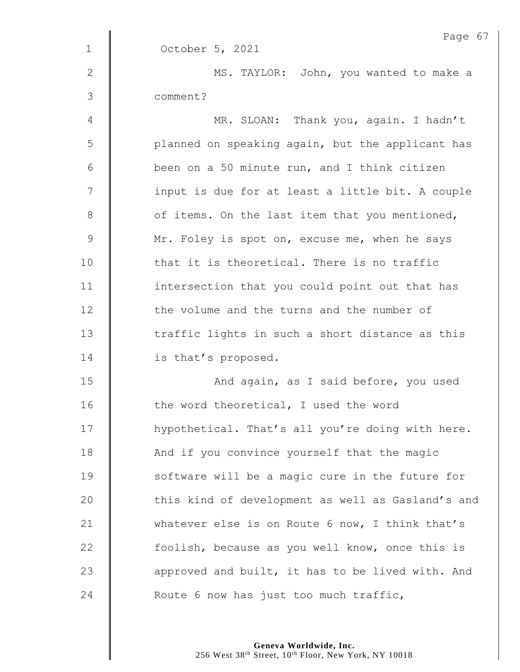|              | Page 67                                           |
|--------------|---------------------------------------------------|
| $\mathbf 1$  | October 5, 2021                                   |
| $\mathbf{2}$ | MS. TAYLOR: John, you wanted to make a            |
| 3            | comment?                                          |
| 4            | MR. SLOAN: Thank you, again. I hadn't             |
| 5            | planned on speaking again, but the applicant has  |
| $6\,$        | been on a 50 minute run, and I think citizen      |
| 7            | input is due for at least a little bit. A couple  |
| $\,8\,$      | of items. On the last item that you mentioned,    |
| $\mathsf 9$  | Mr. Foley is spot on, excuse me, when he says     |
| 10           | that it is theoretical. There is no traffic       |
| 11           | intersection that you could point out that has    |
| 12           | the volume and the turns and the number of        |
| 13           | traffic lights in such a short distance as this   |
| 14           | is that's proposed.                               |
| 15           | And again, as I said before, you used             |
| 16           | the word theoretical, I used the word             |
| 17           | hypothetical. That's all you're doing with here.  |
| 18           | And if you convince yourself that the magic       |
| 19           | software will be a magic cure in the future for   |
| 20           | this kind of development as well as Gasland's and |
| 21           | whatever else is on Route 6 now, I think that's   |
| 22           | foolish, because as you well know, once this is   |
| 23           | approved and built, it has to be lived with. And  |
| 24           | Route 6 now has just too much traffic,            |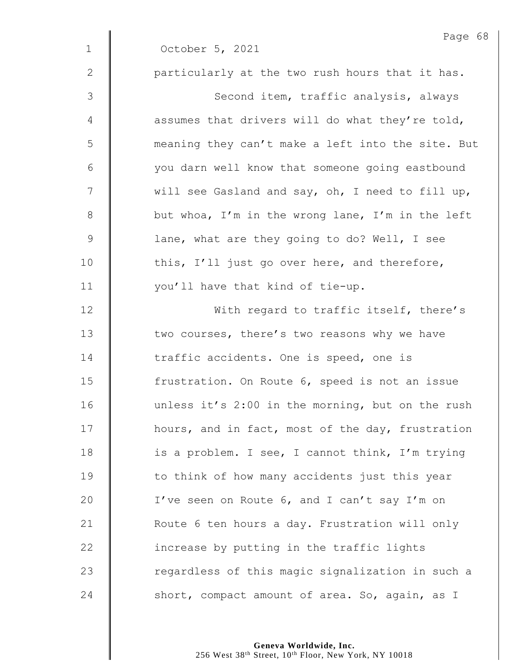|              | Page 68                                           |
|--------------|---------------------------------------------------|
| $\mathbf{1}$ | October 5, 2021                                   |
| 2            | particularly at the two rush hours that it has.   |
| 3            | Second item, traffic analysis, always             |
| 4            | assumes that drivers will do what they're told,   |
| 5            | meaning they can't make a left into the site. But |
| 6            | you darn well know that someone going eastbound   |
| 7            | will see Gasland and say, oh, I need to fill up,  |
| 8            | but whoa, I'm in the wrong lane, I'm in the left  |
| $\mathsf 9$  | lane, what are they going to do? Well, I see      |
| 10           | this, I'll just go over here, and therefore,      |
| 11           | you'll have that kind of tie-up.                  |
| 12           | With regard to traffic itself, there's            |
| 13           | two courses, there's two reasons why we have      |
| 14           | traffic accidents. One is speed, one is           |
| 15           | frustration. On Route 6, speed is not an issue    |
| 16           | unless it's 2:00 in the morning, but on the rush  |
| 17           | hours, and in fact, most of the day, frustration  |
| 18           | is a problem. I see, I cannot think, I'm trying   |
| 19           | to think of how many accidents just this year     |
| 20           | I've seen on Route 6, and I can't say I'm on      |
| 21           | Route 6 ten hours a day. Frustration will only    |
| 22           | increase by putting in the traffic lights         |
| 23           | regardless of this magic signalization in such a  |
| 24           | short, compact amount of area. So, again, as I    |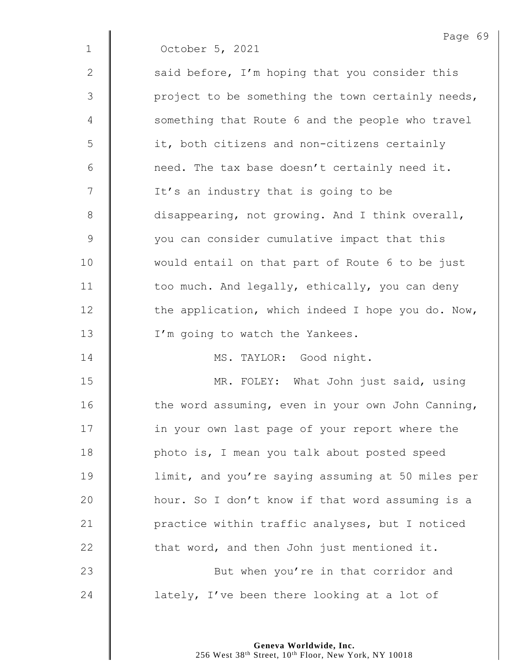|              | Page 69                                           |
|--------------|---------------------------------------------------|
| $\mathbf{1}$ | October 5, 2021                                   |
| 2            | said before, I'm hoping that you consider this    |
| 3            | project to be something the town certainly needs, |
| 4            | something that Route 6 and the people who travel  |
| 5            | it, both citizens and non-citizens certainly      |
| 6            | need. The tax base doesn't certainly need it.     |
| 7            | It's an industry that is going to be              |
| $8\,$        | disappearing, not growing. And I think overall,   |
| 9            | you can consider cumulative impact that this      |
| 10           | would entail on that part of Route 6 to be just   |
| 11           | too much. And legally, ethically, you can deny    |
| 12           | the application, which indeed I hope you do. Now, |
| 13           | I'm going to watch the Yankees.                   |
| 14           | MS. TAYLOR: Good night.                           |
| 15           | MR. FOLEY: What John just said, using             |
| 16           | the word assuming, even in your own John Canning, |
| 17           | in your own last page of your report where the    |
| 18           | photo is, I mean you talk about posted speed      |
| 19           | limit, and you're saying assuming at 50 miles per |
| 20           | hour. So I don't know if that word assuming is a  |
| 21           | practice within traffic analyses, but I noticed   |
| 22           | that word, and then John just mentioned it.       |
| 23           | But when you're in that corridor and              |
| 24           | lately, I've been there looking at a lot of       |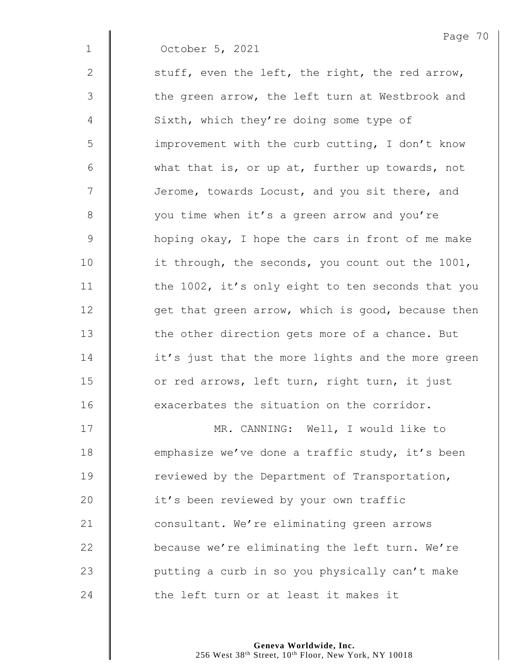|              | Page 7                                            |
|--------------|---------------------------------------------------|
| $\mathbf 1$  | October 5, 2021                                   |
| $\mathbf{2}$ | stuff, even the left, the right, the red arrow,   |
| 3            | the green arrow, the left turn at Westbrook and   |
| 4            | Sixth, which they're doing some type of           |
| 5            | improvement with the curb cutting, I don't know   |
| 6            | what that is, or up at, further up towards, not   |
| 7            | Jerome, towards Locust, and you sit there, and    |
| $\,8\,$      | you time when it's a green arrow and you're       |
| $\mathsf 9$  | hoping okay, I hope the cars in front of me make  |
| 10           | it through, the seconds, you count out the 1001,  |
| 11           | the 1002, it's only eight to ten seconds that you |
| 12           | get that green arrow, which is good, because then |
| 13           | the other direction gets more of a chance. But    |
| 14           | it's just that the more lights and the more green |
| 15           | or red arrows, left turn, right turn, it just     |
| 16           | exacerbates the situation on the corridor.        |
| 17           | MR. CANNING: Well, I would like to                |
| 18           | emphasize we've done a traffic study, it's been   |
| 19           | reviewed by the Department of Transportation,     |

20 | it's been reviewed by your own traffic **Consultant.** We're eliminating green arrows  $\parallel$  because we're eliminating the left turn. We're 23 | putting a curb in so you physically can't make  $\parallel$  the left turn or at least it makes it

> **Geneva Worldwide, Inc.** 256 West 38th Street, 10th Floor, New York, NY 10018

 $P^{\texttt{en}}$  20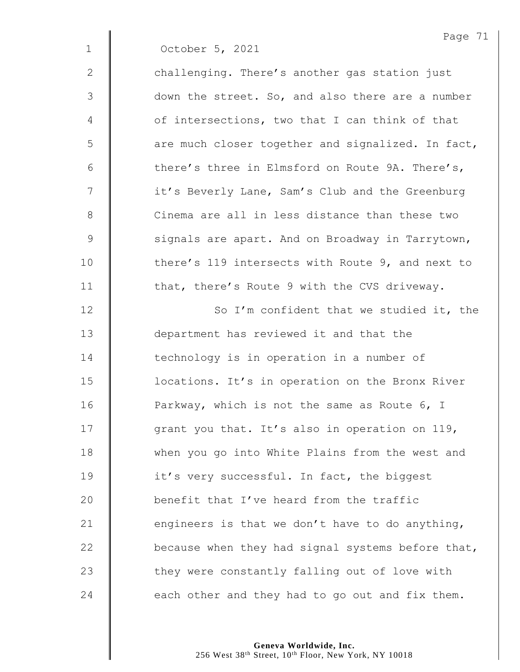|               | Page 71                                           |
|---------------|---------------------------------------------------|
| $\mathbf 1$   | October 5, 2021                                   |
| 2             | challenging. There's another gas station just     |
| 3             | down the street. So, and also there are a number  |
| 4             | of intersections, two that I can think of that    |
| 5             | are much closer together and signalized. In fact, |
| 6             | there's three in Elmsford on Route 9A. There's,   |
| 7             | it's Beverly Lane, Sam's Club and the Greenburg   |
| 8             | Cinema are all in less distance than these two    |
| $\mathcal{G}$ | signals are apart. And on Broadway in Tarrytown,  |
| 10            | there's 119 intersects with Route 9, and next to  |
| 11            | that, there's Route 9 with the CVS driveway.      |
| 12            | So I'm confident that we studied it, the          |
| 13            | department has reviewed it and that the           |
| 14            | technology is in operation in a number of         |
| 15            | locations. It's in operation on the Bronx River   |
| 16            | Parkway, which is not the same as Route 6, I      |
| 17            | grant you that. It's also in operation on 119,    |
| 18            | when you go into White Plains from the west and   |
| 19            | it's very successful. In fact, the biggest        |
| 20            | benefit that I've heard from the traffic          |
| 21            | engineers is that we don't have to do anything,   |
| 22            | because when they had signal systems before that, |
|               |                                                   |
| 23            | they were constantly falling out of love with     |
| 24            | each other and they had to go out and fix them.   |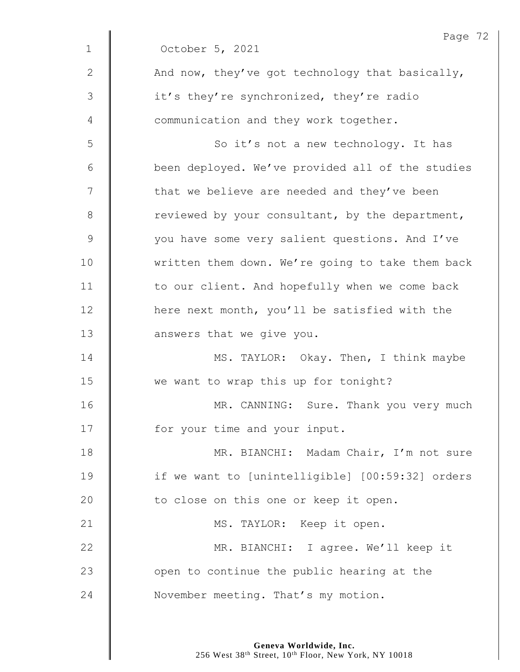|              | Page 72                                          |
|--------------|--------------------------------------------------|
| $\mathbf 1$  | October 5, 2021                                  |
| $\mathbf{2}$ | And now, they've got technology that basically,  |
| 3            | it's they're synchronized, they're radio         |
| 4            | communication and they work together.            |
| 5            | So it's not a new technology. It has             |
| 6            | been deployed. We've provided all of the studies |
| 7            | that we believe are needed and they've been      |
| $8\,$        | reviewed by your consultant, by the department,  |
| $\mathsf 9$  | you have some very salient questions. And I've   |
| 10           | written them down. We're going to take them back |
| 11           | to our client. And hopefully when we come back   |
| 12           | here next month, you'll be satisfied with the    |
| 13           | answers that we give you.                        |
| 14           | MS. TAYLOR: Okay. Then, I think maybe            |
| 15           | we want to wrap this up for tonight?             |
| 16           | MR. CANNING: Sure. Thank you very much           |
| 17           | for your time and your input.                    |
| 18           | MR. BIANCHI: Madam Chair, I'm not sure           |
| 19           | if we want to [unintelligible] [00:59:32] orders |
| 20           | to close on this one or keep it open.            |
| 21           | MS. TAYLOR: Keep it open.                        |
| 22           | MR. BIANCHI: I agree. We'll keep it              |
| 23           | open to continue the public hearing at the       |
| 24           | November meeting. That's my motion.              |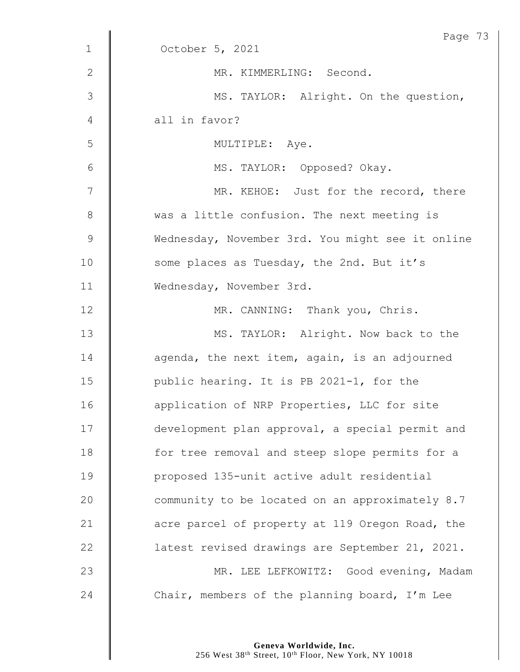|              | Page 73                                          |
|--------------|--------------------------------------------------|
| $\mathbf 1$  | October 5, 2021                                  |
| $\mathbf{2}$ | MR. KIMMERLING: Second.                          |
| 3            | MS. TAYLOR: Alright. On the question,            |
| 4            | all in favor?                                    |
| 5            | MULTIPLE: Aye.                                   |
| 6            | MS. TAYLOR: Opposed? Okay.                       |
| 7            | MR. KEHOE: Just for the record, there            |
| $8\,$        | was a little confusion. The next meeting is      |
| $\mathsf 9$  | Wednesday, November 3rd. You might see it online |
| 10           | some places as Tuesday, the 2nd. But it's        |
| 11           | Wednesday, November 3rd.                         |
| 12           | MR. CANNING: Thank you, Chris.                   |
| 13           | MS. TAYLOR: Alright. Now back to the             |
| 14           | agenda, the next item, again, is an adjourned    |
| 15           | public hearing. It is PB 2021-1, for the         |
| 16           | application of NRP Properties, LLC for site      |
| 17           | development plan approval, a special permit and  |
| 18           | for tree removal and steep slope permits for a   |
| 19           | proposed 135-unit active adult residential       |
| 20           | community to be located on an approximately 8.7  |
| 21           | acre parcel of property at 119 Oregon Road, the  |
| 22           | latest revised drawings are September 21, 2021.  |
| 23           | MR. LEE LEFKOWITZ: Good evening, Madam           |
| 24           | Chair, members of the planning board, I'm Lee    |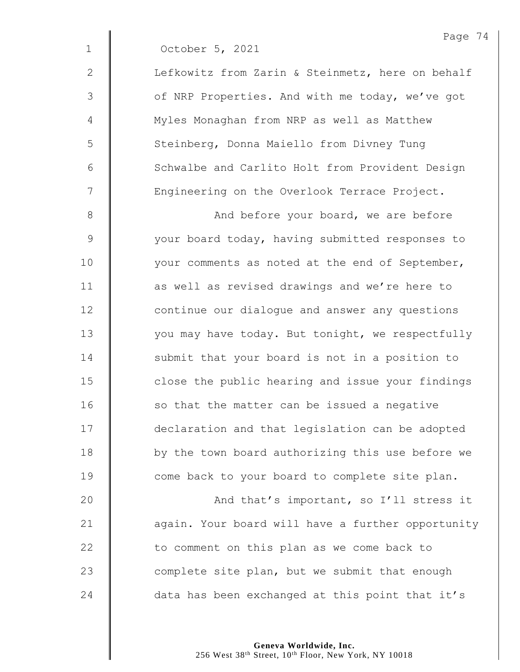| October 5, 2021 |  |
|-----------------|--|
|                 |  |

2 | Lefkowitz from Zarin & Steinmetz, here on behalf 3 | of NRP Properties. And with me today, we've got 4 | Myles Monaghan from NRP as well as Matthew 5 | Steinberg, Donna Maiello from Divney Tung 6 | Schwalbe and Carlito Holt from Provident Design 7 | Engineering on the Overlook Terrace Project.

8 And before your board, we are before 9 | vour board today, having submitted responses to 10 | vour comments as noted at the end of September, 11 | as well as revised drawings and we're here to 12 **| continue our dialogue and answer any questions** 13 | vou may have today. But tonight, we respectfully 14 Submit that your board is not in a position to 15 **close** the public hearing and issue your findings 16 so that the matter can be issued a negative 17 declaration and that legislation can be adopted 18 | by the town board authorizing this use before we 19 **come back to your board to complete site plan.** 

20 **And that's important, so I'll stress it** 21 | again. Your board will have a further opportunity 22 | to comment on this plan as we come back to 23  $\parallel$  complete site plan, but we submit that enough 24  $\parallel$  data has been exchanged at this point that it's

> **Geneva Worldwide, Inc.** 256 West 38<sup>th</sup> Street, 10<sup>th</sup> Floor, New York, NY 10018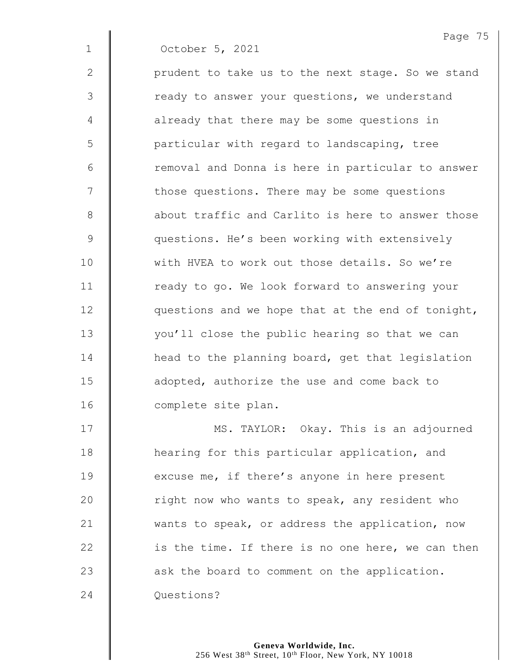Page 75 1 October 5, 2021  $2 \parallel$  prudent to take us to the next stage. So we stand 3 | ready to answer your questions, we understand 4 | already that there may be some questions in 5 | particular with regard to landscaping, tree 6 || removal and Donna is here in particular to answer 7 | those questions. There may be some questions 8 **a** about traffic and Carlito is here to answer those 9 **questions.** He's been working with extensively 10 | with HVEA to work out those details. So we're 11 | ready to go. We look forward to answering your 12 | questions and we hope that at the end of tonight, 13 | vou'll close the public hearing so that we can 14 **head to the planning board, get that legislation** 15 **d** adopted, authorize the use and come back to 16 **complete site plan.** 17 | MS. TAYLOR: Okay. This is an adjourned

**H** hearing for this particular application, and **excuse me, if there's anyone in here present**  $\parallel$  right now who wants to speak, any resident who 21 wants to speak, or address the application, now | is the time. If there is no one here, we can then  $\parallel$  ask the board to comment on the application. **Questions?**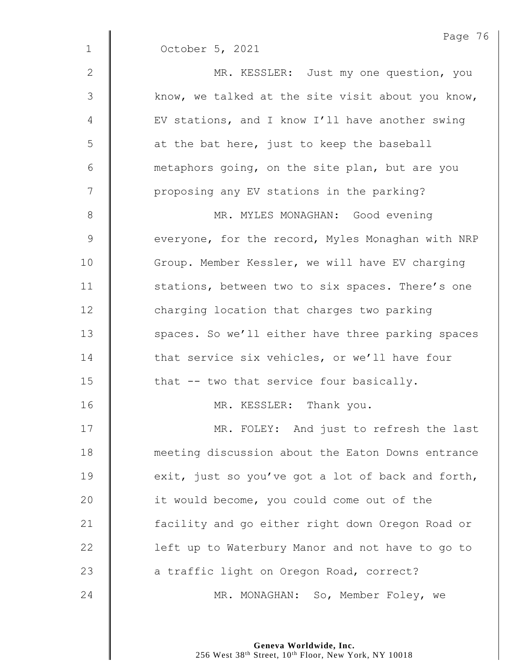|                | Page 76                                           |
|----------------|---------------------------------------------------|
| $\mathbf{1}$   | October 5, 2021                                   |
| $\mathbf{2}$   | MR. KESSLER: Just my one question, you            |
| $\mathfrak{Z}$ | know, we talked at the site visit about you know, |
| 4              | EV stations, and I know I'll have another swing   |
| 5              | at the bat here, just to keep the baseball        |
| 6              | metaphors going, on the site plan, but are you    |
| 7              | proposing any EV stations in the parking?         |
| $8\,$          | MR. MYLES MONAGHAN: Good evening                  |
| $\mathcal{G}$  | everyone, for the record, Myles Monaghan with NRP |
| 10             | Group. Member Kessler, we will have EV charging   |
| 11             | stations, between two to six spaces. There's one  |
| 12             | charging location that charges two parking        |
| 13             | spaces. So we'll either have three parking spaces |
| 14             | that service six vehicles, or we'll have four     |
| 15             | that -- two that service four basically.          |
| 16             | MR. KESSLER: Thank you.                           |
| 17             | MR. FOLEY: And just to refresh the last           |
| 18             | meeting discussion about the Eaton Downs entrance |
| 19             | exit, just so you've got a lot of back and forth, |
| 20             | it would become, you could come out of the        |
| 21             | facility and go either right down Oregon Road or  |
| 22             | left up to Waterbury Manor and not have to go to  |
| 23             | a traffic light on Oregon Road, correct?          |
| 24             | MR. MONAGHAN: So, Member Foley, we                |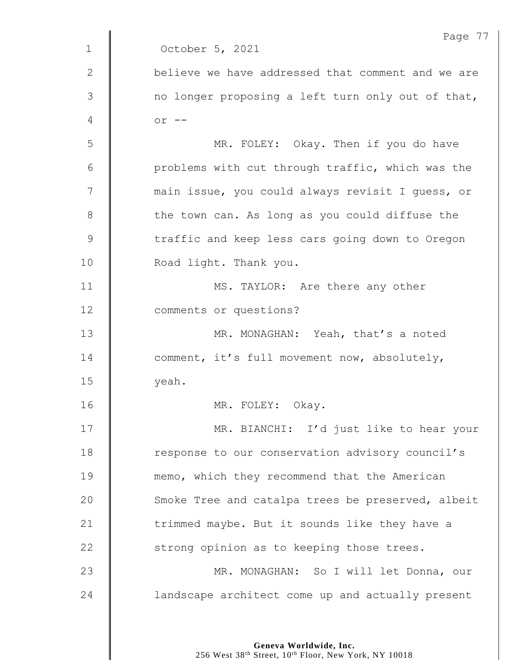|               | Page 77                                           |
|---------------|---------------------------------------------------|
| $\mathbf 1$   | October 5, 2021                                   |
| 2             | believe we have addressed that comment and we are |
| $\mathcal{S}$ | no longer proposing a left turn only out of that, |
| 4             | $or$ $--$                                         |
| 5             | MR. FOLEY: Okay. Then if you do have              |
| 6             | problems with cut through traffic, which was the  |
| 7             | main issue, you could always revisit I guess, or  |
| 8             | the town can. As long as you could diffuse the    |
| $\mathsf 9$   | traffic and keep less cars going down to Oregon   |
| 10            | Road light. Thank you.                            |
| 11            | MS. TAYLOR: Are there any other                   |
| 12            | comments or questions?                            |
| 13            | MR. MONAGHAN: Yeah, that's a noted                |
| 14            | comment, it's full movement now, absolutely,      |
| 15            | yeah.                                             |
| 16            | MR. FOLEY: Okay.                                  |
| 17            | MR. BIANCHI: I'd just like to hear your           |
| 18            | response to our conservation advisory council's   |
| 19            | memo, which they recommend that the American      |
| 20            | Smoke Tree and catalpa trees be preserved, albeit |
| 21            | trimmed maybe. But it sounds like they have a     |
| 22            | strong opinion as to keeping those trees.         |
| 23            | MR. MONAGHAN: So I will let Donna, our            |
| 24            | landscape architect come up and actually present  |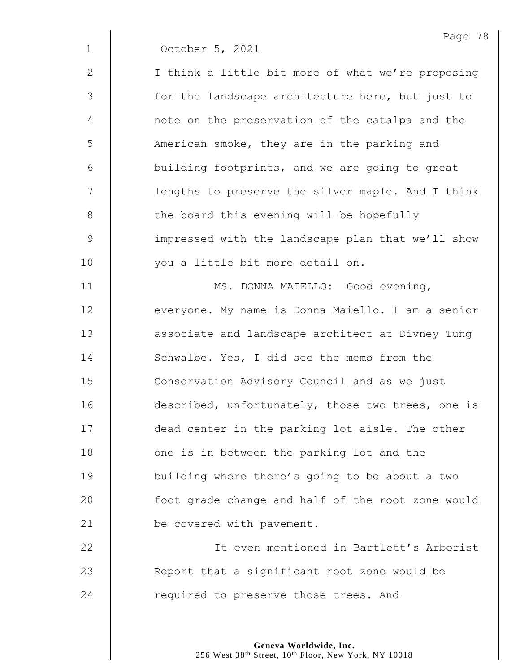|             | Page 78                                           |
|-------------|---------------------------------------------------|
| $\mathbf 1$ | October 5, 2021                                   |
| 2           | I think a little bit more of what we're proposing |
| 3           | for the landscape architecture here, but just to  |
| 4           | note on the preservation of the catalpa and the   |
| 5           | American smoke, they are in the parking and       |
| 6           | building footprints, and we are going to great    |
| 7           | lengths to preserve the silver maple. And I think |
| 8           | the board this evening will be hopefully          |
| $\mathsf 9$ | impressed with the landscape plan that we'll show |
| 10          | you a little bit more detail on.                  |
| 11          | MS. DONNA MAIELLO: Good evening,                  |
| 12          | everyone. My name is Donna Maiello. I am a senior |
| 13          | associate and landscape architect at Divney Tung  |
| 14          | Schwalbe. Yes, I did see the memo from the        |
| 15          | Conservation Advisory Council and as we just      |
| 16          | described, unfortunately, those two trees, one is |
| 17          | dead center in the parking lot aisle. The other   |
| 18          | one is in between the parking lot and the         |
| 19          | building where there's going to be about a two    |
| 20          | foot grade change and half of the root zone would |
| 21          | be covered with pavement.                         |
| 22          | It even mentioned in Bartlett's Arborist          |
| 23          | Report that a significant root zone would be      |

24 Tequired to preserve those trees. And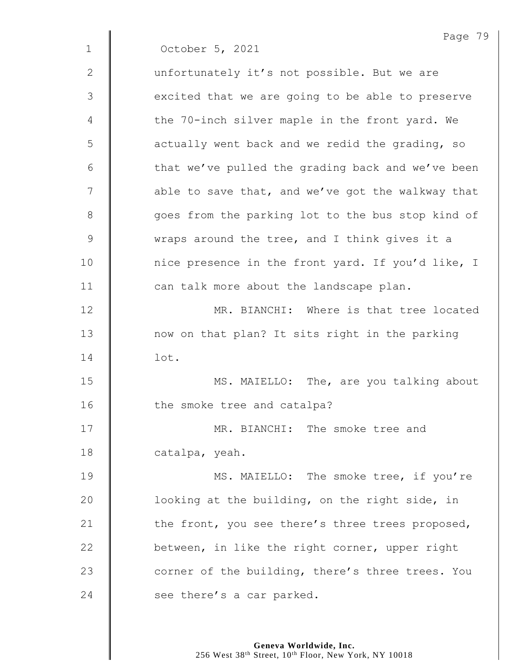| Page 79                                           |
|---------------------------------------------------|
| October 5, 2021                                   |
| unfortunately it's not possible. But we are       |
| excited that we are going to be able to preserve  |
| the 70-inch silver maple in the front yard. We    |
| actually went back and we redid the grading, so   |
| that we've pulled the grading back and we've been |
| able to save that, and we've got the walkway that |
| goes from the parking lot to the bus stop kind of |
| wraps around the tree, and I think gives it a     |
| nice presence in the front yard. If you'd like, I |
| can talk more about the landscape plan.           |
| MR. BIANCHI: Where is that tree located           |
| now on that plan? It sits right in the parking    |
| lot.                                              |
| MS. MAIELLO: The, are you talking about           |
| the smoke tree and catalpa?                       |
| MR. BIANCHI: The smoke tree and                   |
| catalpa, yeah.                                    |
| MS. MAIELLO: The smoke tree, if you're            |
| looking at the building, on the right side, in    |
| the front, you see there's three trees proposed,  |
| between, in like the right corner, upper right    |
| corner of the building, there's three trees. You  |
| see there's a car parked.                         |
|                                                   |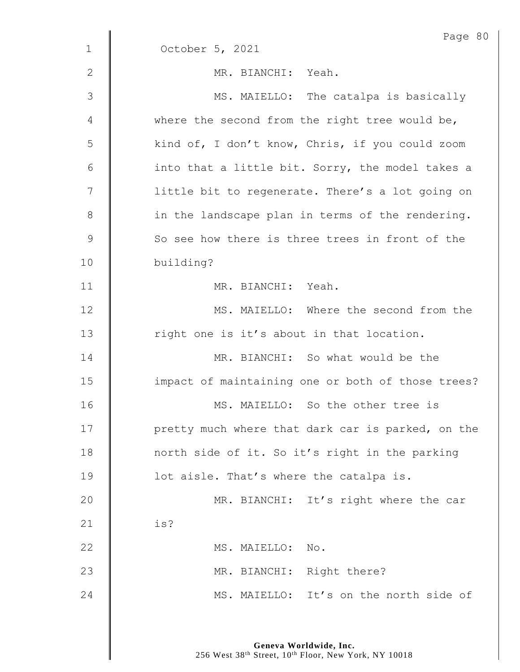|              | Page 80                                           |
|--------------|---------------------------------------------------|
| $\mathbf{1}$ | October 5, 2021                                   |
| $\mathbf{2}$ | MR. BIANCHI: Yeah.                                |
| 3            | MS. MAIELLO: The catalpa is basically             |
| 4            | where the second from the right tree would be,    |
| 5            | kind of, I don't know, Chris, if you could zoom   |
| $\epsilon$   | into that a little bit. Sorry, the model takes a  |
| 7            | little bit to regenerate. There's a lot going on  |
| $8\,$        | in the landscape plan in terms of the rendering.  |
| $\mathsf 9$  | So see how there is three trees in front of the   |
| 10           | building?                                         |
| 11           | MR. BIANCHI: Yeah.                                |
| 12           | MS. MAIELLO: Where the second from the            |
| 13           | right one is it's about in that location.         |
| 14           | MR. BIANCHI: So what would be the                 |
| 15           | impact of maintaining one or both of those trees? |
| 16           | MS. MAIELLO: So the other tree is                 |
| 17           | pretty much where that dark car is parked, on the |
| 18           | north side of it. So it's right in the parking    |
| 19           | lot aisle. That's where the catalpa is.           |
| 20           | MR. BIANCHI: It's right where the car             |
| 21           | is?                                               |
| 22           | MS. MAIELLO: No.                                  |
| 23           | MR. BIANCHI: Right there?                         |
| 24           | MS. MAIELLO: It's on the north side of            |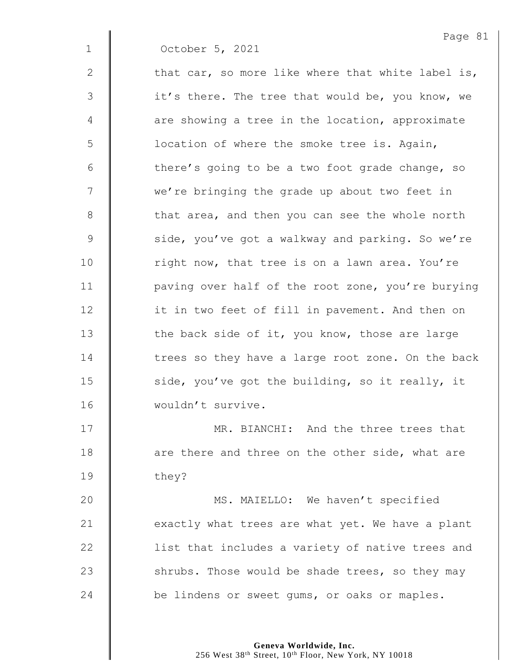| $\mathbf 1$   | Page 8<br>October 5, 2021                         |
|---------------|---------------------------------------------------|
| $\mathbf 2$   | that car, so more like where that white label is, |
| 3             | it's there. The tree that would be, you know, we  |
| 4             | are showing a tree in the location, approximate   |
| 5             | location of where the smoke tree is. Again,       |
| $6\,$         | there's going to be a two foot grade change, so   |
| 7             | we're bringing the grade up about two feet in     |
| $\,8\,$       | that area, and then you can see the whole north   |
| $\mathcal{G}$ | side, you've got a walkway and parking. So we're  |
| 10            | right now, that tree is on a lawn area. You're    |
| 11            | paving over half of the root zone, you're burying |
| 12            | it in two feet of fill in pavement. And then on   |
| 13            | the back side of it, you know, those are large    |
| 14            | trees so they have a large root zone. On the back |
| 15            | side, you've got the building, so it really, it   |
| 16            | wouldn't survive.                                 |

 $\hat{\mathbf{u}}$ 

**MR. BIANCHI:** And the three trees that **d** are there and three on the other side, what are they?

20 | MS. MAIELLO: We haven't specified  $\parallel$  exactly what trees are what yet. We have a plant 22 | list that includes a variety of native trees and  $\parallel$  shrubs. Those would be shade trees, so they may  $\parallel$  be lindens or sweet gums, or oaks or maples.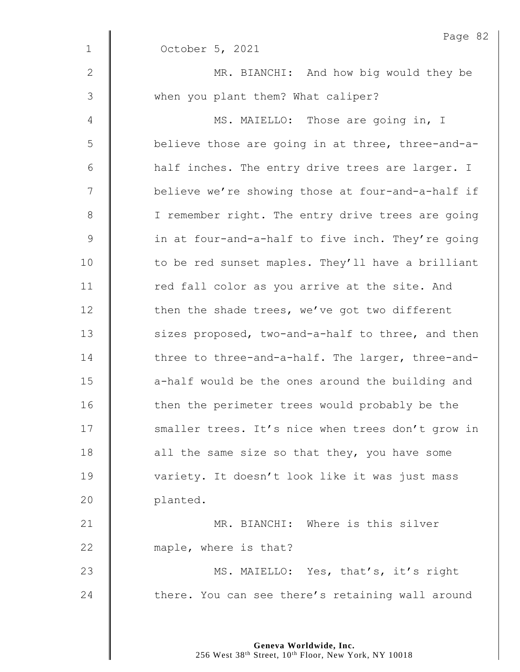|              | Page 82                                           |
|--------------|---------------------------------------------------|
| $\mathbf{1}$ | October 5, 2021                                   |
| $\mathbf{2}$ | MR. BIANCHI: And how big would they be            |
| 3            | when you plant them? What caliper?                |
| 4            | MS. MAIELLO: Those are going in, I                |
| 5            | believe those are going in at three, three-and-a- |
| 6            | half inches. The entry drive trees are larger. I  |
| 7            | believe we're showing those at four-and-a-half if |
| 8            | I remember right. The entry drive trees are going |
| $\mathsf 9$  | in at four-and-a-half to five inch. They're going |
| 10           | to be red sunset maples. They'll have a brilliant |
| 11           | red fall color as you arrive at the site. And     |
| 12           | then the shade trees, we've got two different     |
| 13           | sizes proposed, two-and-a-half to three, and then |
| 14           | three to three-and-a-half. The larger, three-and- |
| 15           | a-half would be the ones around the building and  |
| 16           | then the perimeter trees would probably be the    |
| 17           | smaller trees. It's nice when trees don't grow in |
| 18           | all the same size so that they, you have some     |
| 19           | variety. It doesn't look like it was just mass    |
| 20           | planted.                                          |
| 21           | MR. BIANCHI: Where is this silver                 |
| 22           | maple, where is that?                             |
| 23           | MS. MAIELLO: Yes, that's, it's right              |
| 24           | there. You can see there's retaining wall around  |
|              |                                                   |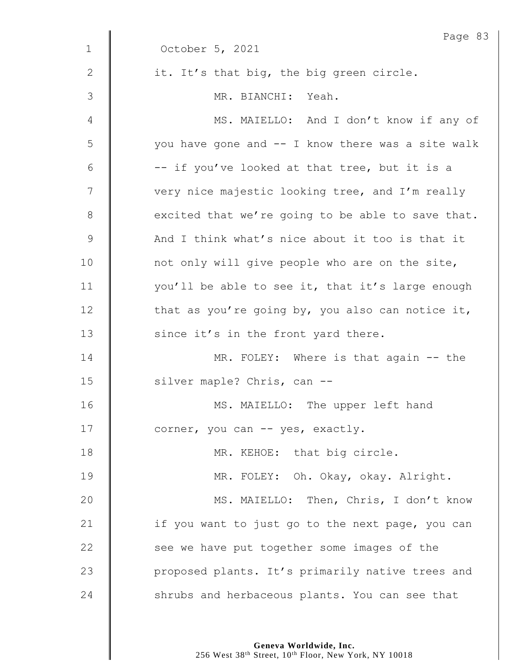|             | Page 83                                           |
|-------------|---------------------------------------------------|
| $\mathbf 1$ | October 5, 2021                                   |
| 2           | it. It's that big, the big green circle.          |
| 3           | MR. BIANCHI: Yeah.                                |
| 4           | MS. MAIELLO: And I don't know if any of           |
| 5           | you have gone and -- I know there was a site walk |
| 6           | -- if you've looked at that tree, but it is a     |
| 7           | very nice majestic looking tree, and I'm really   |
| 8           | excited that we're going to be able to save that. |
| $\mathsf 9$ | And I think what's nice about it too is that it   |
| 10          | not only will give people who are on the site,    |
| 11          | you'll be able to see it, that it's large enough  |
| 12          | that as you're going by, you also can notice it,  |
| 13          | since it's in the front yard there.               |
| 14          | MR. FOLEY: Where is that again -- the             |
| 15          | silver maple? Chris, can --                       |
| 16          | MS. MAIELLO: The upper left hand                  |
| 17          | corner, you can -- yes, exactly.                  |
| 18          | MR. KEHOE: that big circle.                       |
| 19          | MR. FOLEY: Oh. Okay, okay. Alright.               |
| 20          | MS. MAIELLO: Then, Chris, I don't know            |
| 21          | if you want to just go to the next page, you can  |
| 22          | see we have put together some images of the       |
| 23          | proposed plants. It's primarily native trees and  |
| 24          | shrubs and herbaceous plants. You can see that    |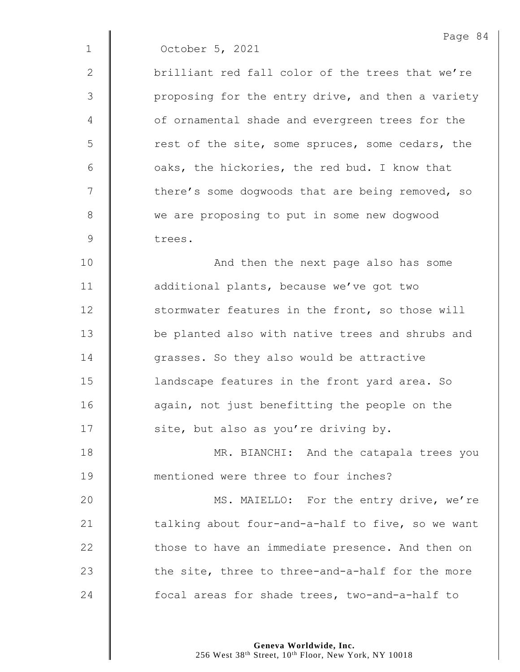1 October 5, 2021

2 || brilliant red fall color of the trees that we're 3 | proposing for the entry drive, and then a variety 4 | of ornamental shade and evergreen trees for the 5 | rest of the site, some spruces, some cedars, the 6  $\parallel$  oaks, the hickories, the red bud. I know that  $7 \parallel$  there's some dogwoods that are being removed, so 8 we are proposing to put in some new dogwood 9 trees.

10 | And then the next page also has some 11 **d** additional plants, because we've got two 12 Stormwater features in the front, so those will 13 | be planted also with native trees and shrubs and 14 **d** grasses. So they also would be attractive 15 | landscape features in the front yard area. So 16 | again, not just benefitting the people on the 17  $\parallel$  site, but also as you're driving by.

18 **MR. BIANCHI:** And the catapala trees you 19 **Manual 19** mentioned were three to four inches?

20 | MS. MAIELLO: For the entry drive, we're  $\parallel$  talking about four-and-a-half to five, so we want  $\parallel$  those to have an immediate presence. And then on  $\parallel$  the site, three to three-and-a-half for the more **focal areas for shade trees, two-and-a-half to** 

> **Geneva Worldwide, Inc.** 256 West 38<sup>th</sup> Street, 10<sup>th</sup> Floor, New York, NY 10018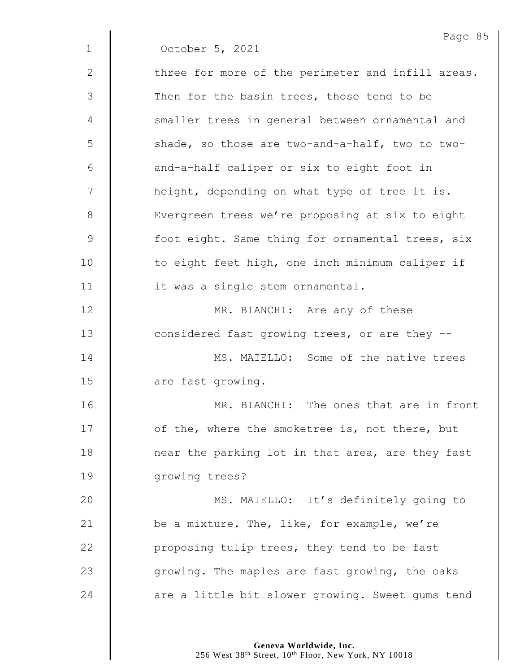|              | Page 85                                           |
|--------------|---------------------------------------------------|
| $\mathbf{1}$ | October 5, 2021                                   |
| $\mathbf{2}$ | three for more of the perimeter and infill areas. |
| 3            | Then for the basin trees, those tend to be        |
| 4            | smaller trees in general between ornamental and   |
| 5            | shade, so those are two-and-a-half, two to two-   |
| 6            | and-a-half caliper or six to eight foot in        |
| 7            | height, depending on what type of tree it is.     |
| 8            | Evergreen trees we're proposing at six to eight   |
| 9            | foot eight. Same thing for ornamental trees, six  |
| 10           | to eight feet high, one inch minimum caliper if   |
| 11           | it was a single stem ornamental.                  |
| 12           | MR. BIANCHI: Are any of these                     |
| 13           | considered fast growing trees, or are they --     |
| 14           | MS. MAIELLO: Some of the native trees             |
| 15           | are fast growing.                                 |
| 16           | MR. BIANCHI: The ones that are in front           |
| 17           | of the, where the smoketree is, not there, but    |
| 18           | near the parking lot in that area, are they fast  |
| 19           | growing trees?                                    |
| 20           | MS. MAIELLO: It's definitely going to             |
| 21           | be a mixture. The, like, for example, we're       |
| 22           | proposing tulip trees, they tend to be fast       |
| 23           | growing. The maples are fast growing, the oaks    |
| 24           | are a little bit slower growing. Sweet gums tend  |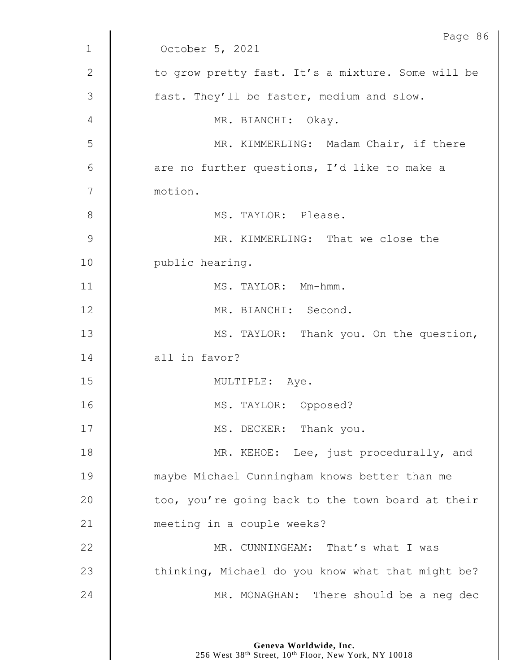|                | Page 86                                           |
|----------------|---------------------------------------------------|
| $\mathbf 1$    | October 5, 2021                                   |
| $\mathbf{2}$   | to grow pretty fast. It's a mixture. Some will be |
| 3              | fast. They'll be faster, medium and slow.         |
| 4              | MR. BIANCHI: Okay.                                |
| 5              | MR. KIMMERLING: Madam Chair, if there             |
| 6              | are no further questions, I'd like to make a      |
| 7              | motion.                                           |
| 8              | MS. TAYLOR: Please.                               |
| $\overline{9}$ | MR. KIMMERLING: That we close the                 |
| 10             | public hearing.                                   |
| 11             | MS. TAYLOR: Mm-hmm.                               |
| 12             | MR. BIANCHI: Second.                              |
| 13             | MS. TAYLOR: Thank you. On the question,           |
| 14             | all in favor?                                     |
| 15             | MULTIPLE: Aye.                                    |
| 16             | MS. TAYLOR: Opposed?                              |
| 17             | MS. DECKER: Thank you.                            |
| 18             | MR. KEHOE: Lee, just procedurally, and            |
| 19             | maybe Michael Cunningham knows better than me     |
| 20             | too, you're going back to the town board at their |
| 21             | meeting in a couple weeks?                        |
| 22             | MR. CUNNINGHAM: That's what I was                 |
| 23             | thinking, Michael do you know what that might be? |
| 24             | MR. MONAGHAN: There should be a neg dec           |
|                |                                                   |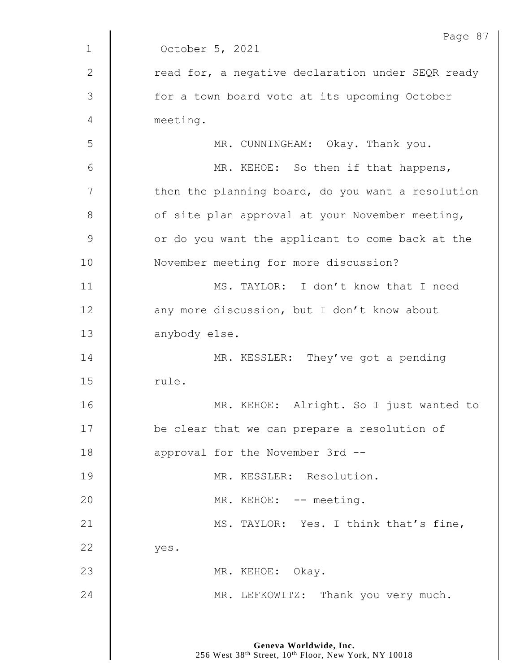|              | Page 87                                           |
|--------------|---------------------------------------------------|
| $\mathbf{1}$ | October 5, 2021                                   |
| $\mathbf{2}$ | read for, a negative declaration under SEQR ready |
| 3            | for a town board vote at its upcoming October     |
| 4            | meeting.                                          |
| 5            | MR. CUNNINGHAM: Okay. Thank you.                  |
| 6            | MR. KEHOE: So then if that happens,               |
| 7            | then the planning board, do you want a resolution |
| $8\,$        | of site plan approval at your November meeting,   |
| $\mathsf 9$  | or do you want the applicant to come back at the  |
| 10           | November meeting for more discussion?             |
| 11           | MS. TAYLOR: I don't know that I need              |
| 12           | any more discussion, but I don't know about       |
| 13           | anybody else.                                     |
| 14           | MR. KESSLER: They've got a pending                |
| 15           | rule.                                             |
| 16           | MR. KEHOE: Alright. So I just wanted to           |
| 17           | be clear that we can prepare a resolution of      |
| 18           | approval for the November 3rd --                  |
| 19           | MR. KESSLER: Resolution.                          |
| 20           | MR. KEHOE: -- meeting.                            |
| 21           | MS. TAYLOR: Yes. I think that's fine,             |
| 22           | yes.                                              |
| 23           | MR. KEHOE: Okay.                                  |
| 24           | MR. LEFKOWITZ: Thank you very much.               |
|              |                                                   |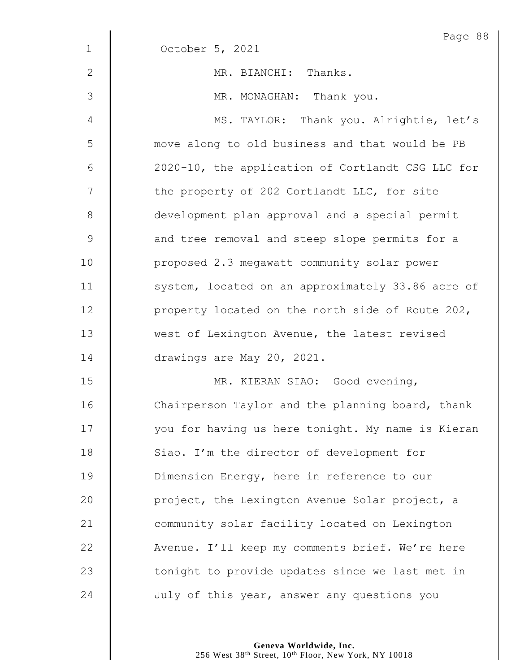|              | Page 88                                           |
|--------------|---------------------------------------------------|
| $\mathbf 1$  | October 5, 2021                                   |
| $\mathbf{2}$ | MR. BIANCHI: Thanks.                              |
| 3            | MR. MONAGHAN: Thank you.                          |
| 4            | MS. TAYLOR: Thank you. Alrightie, let's           |
| 5            | move along to old business and that would be PB   |
| $\epsilon$   | 2020-10, the application of Cortlandt CSG LLC for |
| 7            | the property of 202 Cortlandt LLC, for site       |
| $8\,$        | development plan approval and a special permit    |
| $\mathsf 9$  | and tree removal and steep slope permits for a    |
| 10           | proposed 2.3 megawatt community solar power       |
| 11           | system, located on an approximately 33.86 acre of |
| 12           | property located on the north side of Route 202,  |
| 13           | west of Lexington Avenue, the latest revised      |
| 14           | drawings are May 20, 2021.                        |
| 15           | MR. KIERAN SIAO: Good evening,                    |
| 16           | Chairperson Taylor and the planning board, thank  |
| 17           | you for having us here tonight. My name is Kieran |
| 18           | Siao. I'm the director of development for         |
| 19           | Dimension Energy, here in reference to our        |
| 20           | project, the Lexington Avenue Solar project, a    |
| 21           | community solar facility located on Lexington     |
| 22           | Avenue. I'll keep my comments brief. We're here   |
| 23           | tonight to provide updates since we last met in   |
| 24           | July of this year, answer any questions you       |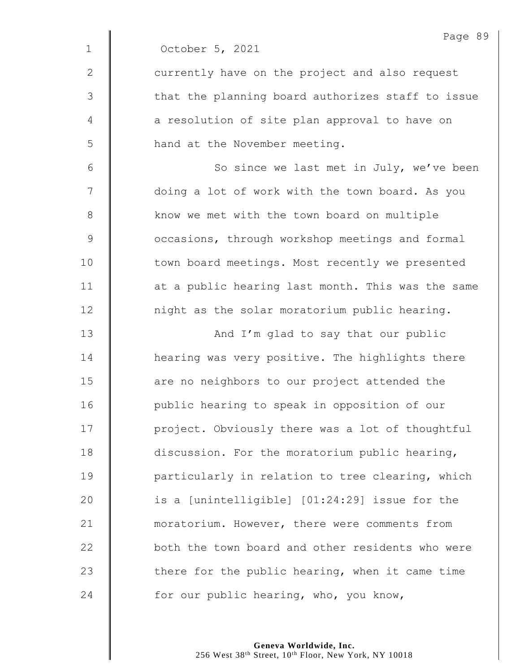|              | Page 89                                           |
|--------------|---------------------------------------------------|
| $\mathbf{1}$ | October 5, 2021                                   |
| $\mathbf{2}$ | currently have on the project and also request    |
| 3            | that the planning board authorizes staff to issue |
| 4            | a resolution of site plan approval to have on     |
| 5            | hand at the November meeting.                     |
| 6            | So since we last met in July, we've been          |
| 7            | doing a lot of work with the town board. As you   |
| $\,8\,$      | know we met with the town board on multiple       |
| $\mathsf 9$  | occasions, through workshop meetings and formal   |
| 10           | town board meetings. Most recently we presented   |
| 11           | at a public hearing last month. This was the same |
| 12           | night as the solar moratorium public hearing.     |
| 13           | And I'm glad to say that our public               |
| 14           | hearing was very positive. The highlights there   |
| 15           | are no neighbors to our project attended the      |
| 16           | public hearing to speak in opposition of our      |
| 17           | project. Obviously there was a lot of thoughtful  |
| 18           | discussion. For the moratorium public hearing,    |
| 19           | particularly in relation to tree clearing, which  |
| 20           | is a [unintelligible] [01:24:29] issue for the    |
| 21           | moratorium. However, there were comments from     |
| 22           | both the town board and other residents who were  |
| 23           | there for the public hearing, when it came time   |
| 24           | for our public hearing, who, you know,            |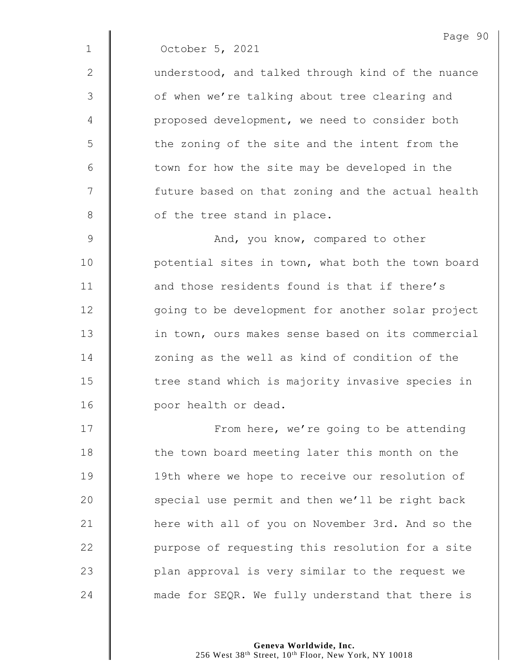1 October 5, 2021

2 | understood, and talked through kind of the nuance 3 | of when we're talking about tree clearing and 4 | proposed development, we need to consider both 5 || the zoning of the site and the intent from the  $6$  | town for how the site may be developed in the 7 | future based on that zoning and the actual health 8 | of the tree stand in place.

9 | And, you know, compared to other 10 | potential sites in town, what both the town board 11 **decimal 11** and those residents found is that if there's 12 | going to be development for another solar project 13 **in town, ours makes sense based on its commercial** 14 | zoning as the well as kind of condition of the 15 | tree stand which is majority invasive species in 16 **poor health or dead.** 

17 | From here, we're going to be attending 18 | the town board meeting later this month on the 19 | 19th where we hope to receive our resolution of 20 | special use permit and then we'll be right back 21 | here with all of you on November 3rd. And so the 22 | purpose of requesting this resolution for a site 23 | plan approval is very similar to the request we  $24$   $\parallel$  made for SEQR. We fully understand that there is

> **Geneva Worldwide, Inc.** 256 West 38<sup>th</sup> Street, 10<sup>th</sup> Floor, New York, NY 10018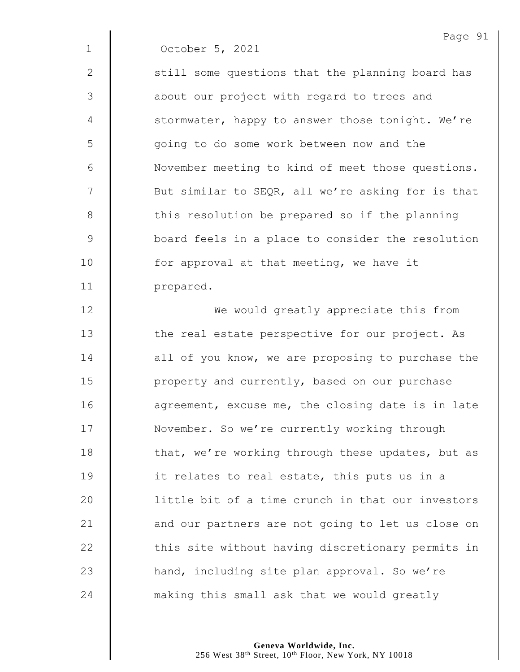1 October 5, 2021

 $2 \parallel$  still some questions that the planning board has 3 || about our project with regard to trees and 4 | stormwater, happy to answer those tonight. We're 5 || going to do some work between now and the 6 | November meeting to kind of meet those questions. 7 | But similar to SEQR, all we're asking for is that 8 this resolution be prepared so if the planning 9 **board feels in a place to consider the resolution** 10  $\parallel$  for approval at that meeting, we have it 11 | prepared.

12 **We would greatly appreciate this from** 13 | the real estate perspective for our project. As 14 **decive** all of you know, we are proposing to purchase the 15 | property and currently, based on our purchase 16 **deg** agreement, excuse me, the closing date is in late 17 | November. So we're currently working through 18 | that, we're working through these updates, but as 19  $\parallel$  it relates to real estate, this puts us in a 20 | little bit of a time crunch in that our investors 21 **d** and our partners are not going to let us close on 22 | this site without having discretionary permits in 23 | hand, including site plan approval. So we're 24 making this small ask that we would greatly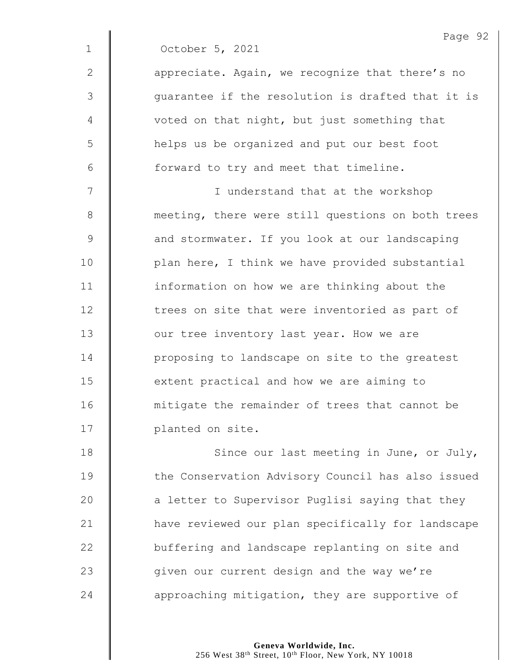|              | Page 92                                           |
|--------------|---------------------------------------------------|
| $\mathbf 1$  | October 5, 2021                                   |
| $\mathbf{2}$ | appreciate. Again, we recognize that there's no   |
| 3            | guarantee if the resolution is drafted that it is |
| 4            | voted on that night, but just something that      |
| 5            | helps us be organized and put our best foot       |
| 6            | forward to try and meet that timeline.            |
| 7            | I understand that at the workshop                 |
| $8\,$        | meeting, there were still questions on both trees |
| 9            | and stormwater. If you look at our landscaping    |
| 10           | plan here, I think we have provided substantial   |
| 11           | information on how we are thinking about the      |
| 12           | trees on site that were inventoried as part of    |
| 13           | our tree inventory last year. How we are          |
| 14           | proposing to landscape on site to the greatest    |
| 15           | extent practical and how we are aiming to         |
| 16           | mitigate the remainder of trees that cannot be    |
| 17           | planted on site.                                  |
| 18           | Since our last meeting in June, or July,          |
| 19           | the Conservation Advisory Council has also issued |
| 20           | a letter to Supervisor Puglisi saying that they   |
| 21           | have reviewed our plan specifically for landscape |

23  $\parallel$  given our current design and the way we're 24  $\parallel$  approaching mitigation, they are supportive of

**buffering and landscape replanting on site and**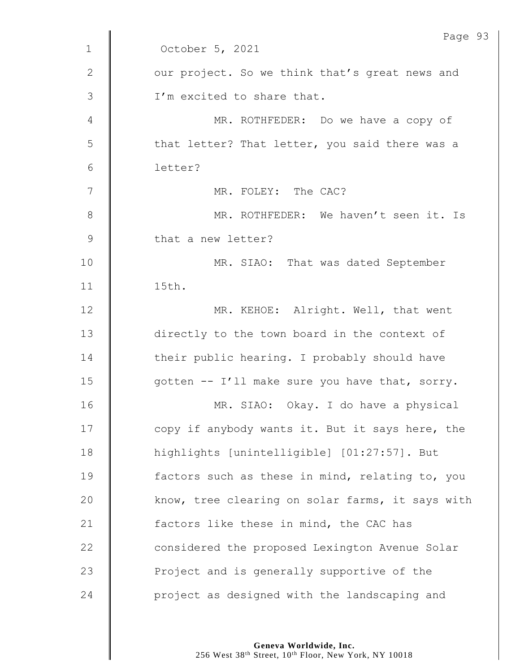|              | Page 93                                          |
|--------------|--------------------------------------------------|
| $\mathbf{1}$ | October 5, 2021                                  |
| $\mathbf{2}$ | our project. So we think that's great news and   |
| 3            | I'm excited to share that.                       |
| 4            | MR. ROTHFEDER: Do we have a copy of              |
| 5            | that letter? That letter, you said there was a   |
| 6            | letter?                                          |
| 7            | MR. FOLEY: The CAC?                              |
| $8\,$        | MR. ROTHFEDER: We haven't seen it. Is            |
| $\mathsf 9$  | that a new letter?                               |
| 10           | MR. SIAO: That was dated September               |
| 11           | 15th.                                            |
| 12           | MR. KEHOE: Alright. Well, that went              |
| 13           | directly to the town board in the context of     |
| 14           | their public hearing. I probably should have     |
| 15           | gotten -- I'll make sure you have that, sorry.   |
| 16           | MR. SIAO: Okay. I do have a physical             |
| 17           | copy if anybody wants it. But it says here, the  |
| 18           | highlights [unintelligible] [01:27:57]. But      |
| 19           | factors such as these in mind, relating to, you  |
| 20           | know, tree clearing on solar farms, it says with |
| 21           | factors like these in mind, the CAC has          |
| 22           | considered the proposed Lexington Avenue Solar   |
| 23           | Project and is generally supportive of the       |
| 24           | project as designed with the landscaping and     |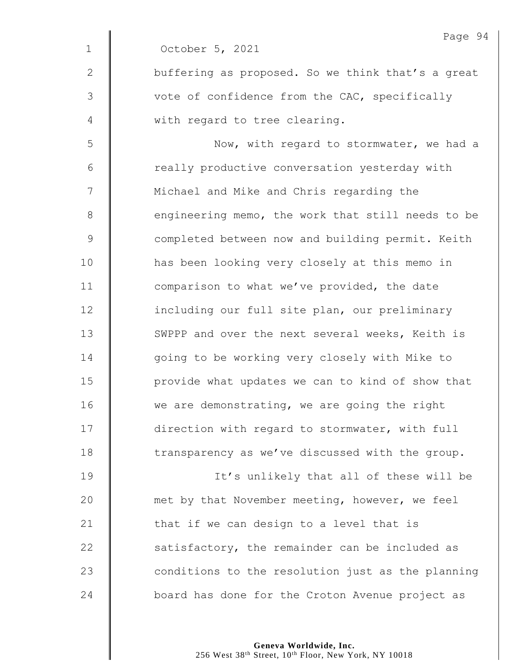|               | Page 94                                           |
|---------------|---------------------------------------------------|
| $\mathbf{1}$  | October 5, 2021                                   |
| 2             | buffering as proposed. So we think that's a great |
| 3             | vote of confidence from the CAC, specifically     |
| 4             | with regard to tree clearing.                     |
| 5             | Now, with regard to stormwater, we had a          |
| 6             | really productive conversation yesterday with     |
| 7             | Michael and Mike and Chris regarding the          |
| 8             | engineering memo, the work that still needs to be |
| $\mathcal{G}$ | completed between now and building permit. Keith  |
| 10            | has been looking very closely at this memo in     |
| 11            | comparison to what we've provided, the date       |
| 12            | including our full site plan, our preliminary     |
| 13            | SWPPP and over the next several weeks, Keith is   |
| 14            | going to be working very closely with Mike to     |
| 15            | provide what updates we can to kind of show that  |
| 16            | we are demonstrating, we are going the right      |
| 17            | direction with regard to stormwater, with full    |
| 18            | transparency as we've discussed with the group.   |
| 19            | It's unlikely that all of these will be           |
| 20            | met by that November meeting, however, we feel    |
| 21            | that if we can design to a level that is          |
| 22            | satisfactory, the remainder can be included as    |
| 23            | conditions to the resolution just as the planning |
| 24            | board has done for the Croton Avenue project as   |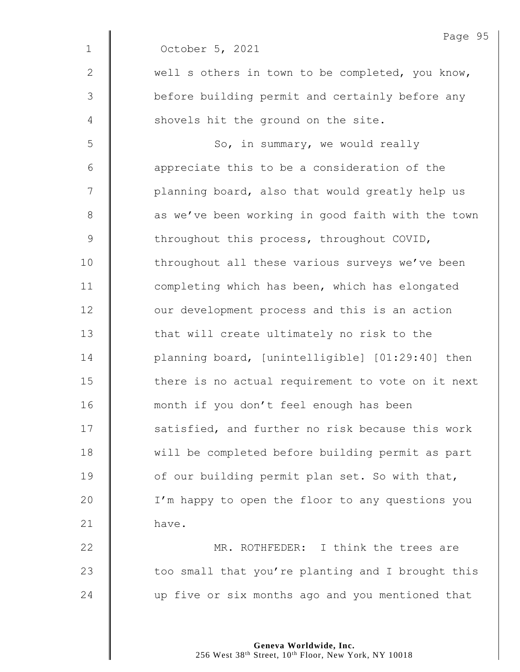|              | Page 95                                           |
|--------------|---------------------------------------------------|
| $\mathbf 1$  | October 5, 2021                                   |
| $\mathbf{2}$ | well s others in town to be completed, you know,  |
| 3            | before building permit and certainly before any   |
| 4            | shovels hit the ground on the site.               |
| 5            | So, in summary, we would really                   |
| $6\,$        | appreciate this to be a consideration of the      |
| 7            | planning board, also that would greatly help us   |
| $8\,$        | as we've been working in good faith with the town |
| 9            | throughout this process, throughout COVID,        |
| 10           | throughout all these various surveys we've been   |
| 11           | completing which has been, which has elongated    |
| 12           | our development process and this is an action     |
| 13           | that will create ultimately no risk to the        |
| 14           | planning board, [unintelligible] [01:29:40] then  |
| 15           | there is no actual requirement to vote on it next |
| 16           | month if you don't feel enough has been           |
| 17           | satisfied, and further no risk because this work  |
| 18           | will be completed before building permit as part  |
| 19           | of our building permit plan set. So with that,    |
| 20           | I'm happy to open the floor to any questions you  |
| 21           | have.                                             |
| 22           | MR. ROTHFEDER: I think the trees are              |
| 23           | too small that you're planting and I brought this |

24 up five or six months ago and you mentioned that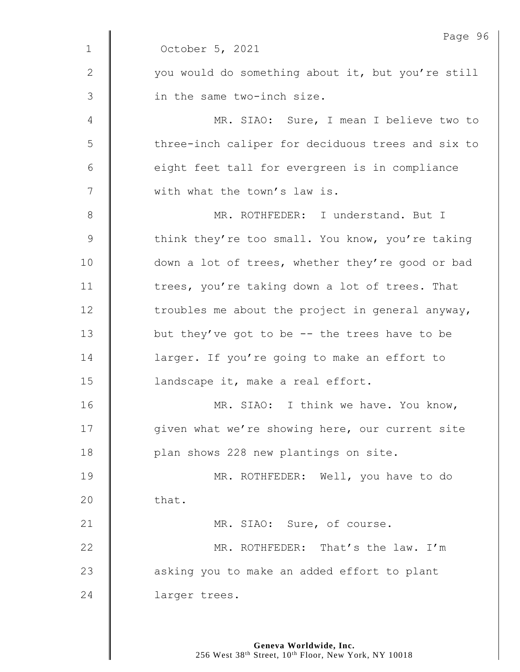|              | Page 96                                           |
|--------------|---------------------------------------------------|
| $\mathbf 1$  | October 5, 2021                                   |
| $\mathbf{2}$ | you would do something about it, but you're still |
| 3            | in the same two-inch size.                        |
| 4            | MR. SIAO: Sure, I mean I believe two to           |
| 5            | three-inch caliper for deciduous trees and six to |
| 6            | eight feet tall for evergreen is in compliance    |
| 7            | with what the town's law is.                      |
| $8\,$        | MR. ROTHFEDER: I understand. But I                |
| $\mathsf 9$  | think they're too small. You know, you're taking  |
| 10           | down a lot of trees, whether they're good or bad  |
| 11           | trees, you're taking down a lot of trees. That    |
| 12           | troubles me about the project in general anyway,  |
| 13           | but they've got to be $-$ - the trees have to be  |
| 14           | larger. If you're going to make an effort to      |
| 15           | landscape it, make a real effort.                 |
| 16           | MR. SIAO: I think we have. You know,              |
| 17           | given what we're showing here, our current site   |
| 18           | plan shows 228 new plantings on site.             |
| 19           | MR. ROTHFEDER: Well, you have to do               |
| 20           | that.                                             |
| 21           | MR. SIAO: Sure, of course.                        |
| 22           | MR. ROTHFEDER: That's the law. I'm                |
| 23           | asking you to make an added effort to plant       |
| 24           | larger trees.                                     |
|              |                                                   |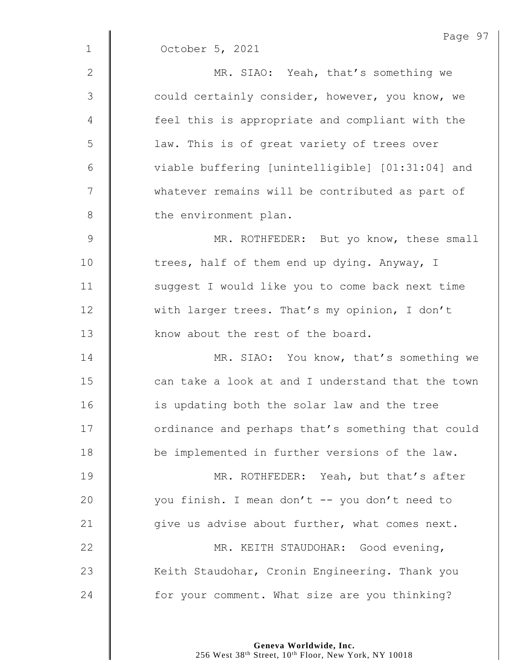|              | Page 97                                           |
|--------------|---------------------------------------------------|
| $\mathbf 1$  | October 5, 2021                                   |
| $\mathbf{2}$ | MR. SIAO: Yeah, that's something we               |
| 3            | could certainly consider, however, you know, we   |
| 4            | feel this is appropriate and compliant with the   |
| 5            | law. This is of great variety of trees over       |
| $6\,$        | viable buffering [unintelligible] [01:31:04] and  |
| 7            | whatever remains will be contributed as part of   |
| $\,8\,$      | the environment plan.                             |
| $\mathsf 9$  | MR. ROTHFEDER: But yo know, these small           |
| 10           | trees, half of them end up dying. Anyway, I       |
| 11           | suggest I would like you to come back next time   |
| 12           | with larger trees. That's my opinion, I don't     |
| 13           | know about the rest of the board.                 |
| 14           | MR. SIAO: You know, that's something we           |
| 15           | can take a look at and I understand that the town |
| 16           | is updating both the solar law and the tree       |
| 17           | ordinance and perhaps that's something that could |
| 18           | be implemented in further versions of the law.    |
| 19           | MR. ROTHFEDER: Yeah, but that's after             |
| 20           | you finish. I mean don't -- you don't need to     |
| 21           | give us advise about further, what comes next.    |
| 22           | MR. KEITH STAUDOHAR: Good evening,                |
| 23           | Keith Staudohar, Cronin Engineering. Thank you    |
| 24           | for your comment. What size are you thinking?     |

**Geneva Worldwide, Inc.**

256 West 38th Street, 10th Floor, New York, NY 10018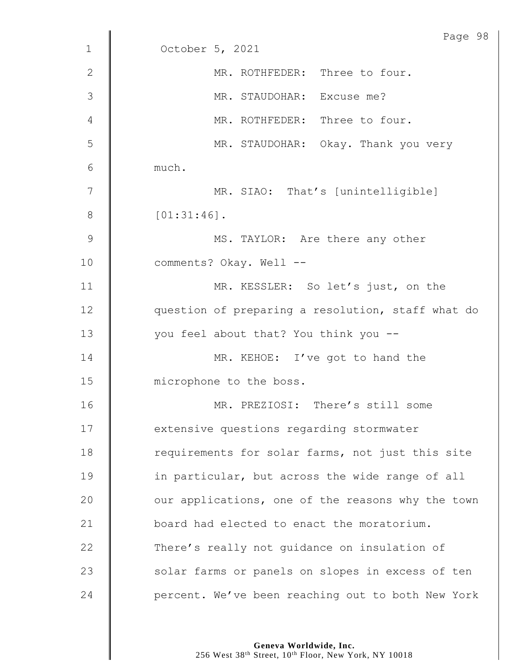|               | Page 98                                           |
|---------------|---------------------------------------------------|
| $\mathbf{1}$  | October 5, 2021                                   |
| $\mathbf{2}$  | MR. ROTHFEDER: Three to four.                     |
| $\mathcal{S}$ | MR. STAUDOHAR: Excuse me?                         |
| 4             | MR. ROTHFEDER: Three to four.                     |
| 5             | MR. STAUDOHAR: Okay. Thank you very               |
| 6             | much.                                             |
| 7             | MR. SIAO: That's [unintelligible]                 |
| 8             | $[01:31:46]$ .                                    |
| $\mathsf 9$   | MS. TAYLOR: Are there any other                   |
| 10            | comments? Okay. Well --                           |
| 11            | MR. KESSLER: So let's just, on the                |
| 12            | question of preparing a resolution, staff what do |
| 13            | you feel about that? You think you --             |
| 14            | MR. KEHOE: I've got to hand the                   |
| 15            | microphone to the boss.                           |
| 16            | MR. PREZIOSI: There's still some                  |
| 17            | extensive questions regarding stormwater          |
| 18            | requirements for solar farms, not just this site  |
| 19            | in particular, but across the wide range of all   |
| 20            | our applications, one of the reasons why the town |
| 21            | board had elected to enact the moratorium.        |
| 22            | There's really not guidance on insulation of      |
| 23            | solar farms or panels on slopes in excess of ten  |
| 24            | percent. We've been reaching out to both New York |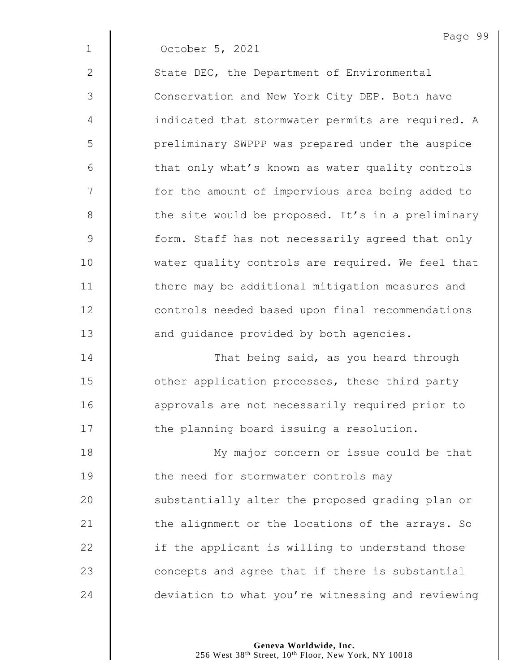|              | Page 99                                           |
|--------------|---------------------------------------------------|
| $\mathbf{1}$ | October 5, 2021                                   |
| $\mathbf{2}$ | State DEC, the Department of Environmental        |
| 3            | Conservation and New York City DEP. Both have     |
| 4            | indicated that stormwater permits are required. A |
| 5            | preliminary SWPPP was prepared under the auspice  |
| $6\,$        | that only what's known as water quality controls  |
| 7            | for the amount of impervious area being added to  |
| $\,8\,$      | the site would be proposed. It's in a preliminary |
| 9            | form. Staff has not necessarily agreed that only  |
| 10           | water quality controls are required. We feel that |
| 11           | there may be additional mitigation measures and   |
| 12           | controls needed based upon final recommendations  |
| 13           | and guidance provided by both agencies.           |
| 14           | That being said, as you heard through             |
| 15           | other application processes, these third party    |
| 16           | approvals are not necessarily required prior to   |
| 17           | the planning board issuing a resolution.          |
| 18           | My major concern or issue could be that           |
| 19           | the need for stormwater controls may              |
| 20           | substantially alter the proposed grading plan or  |
| 21           | the alignment or the locations of the arrays. So  |
| 22           | if the applicant is willing to understand those   |
| 23           | concepts and agree that if there is substantial   |

24 deviation to what you're witnessing and reviewing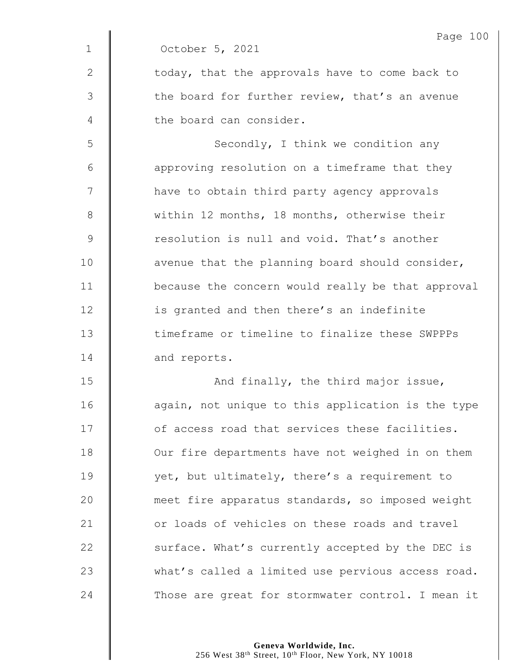|             | Page 100                                          |
|-------------|---------------------------------------------------|
| $\mathbf 1$ | October 5, 2021                                   |
| 2           | today, that the approvals have to come back to    |
| 3           | the board for further review, that's an avenue    |
| 4           | the board can consider.                           |
| 5           | Secondly, I think we condition any                |
| 6           | approving resolution on a timeframe that they     |
| 7           | have to obtain third party agency approvals       |
| 8           | within 12 months, 18 months, otherwise their      |
| $\mathsf 9$ | resolution is null and void. That's another       |
| 10          | avenue that the planning board should consider,   |
| 11          | because the concern would really be that approval |
| 12          | is granted and then there's an indefinite         |
| 13          | timeframe or timeline to finalize these SWPPPs    |
| 14          | and reports.                                      |
| 15          | And finally, the third major issue,               |
| 16          | again, not unique to this application is the type |
| 17          | of access road that services these facilities.    |
| 18          | Our fire departments have not weighed in on them  |
| 19          | yet, but ultimately, there's a requirement to     |
| 20          | meet fire apparatus standards, so imposed weight  |
| 21          | or loads of vehicles on these roads and travel    |
| 22          | surface. What's currently accepted by the DEC is  |
| 23          | what's called a limited use pervious access road. |
| 24          | Those are great for stormwater control. I mean it |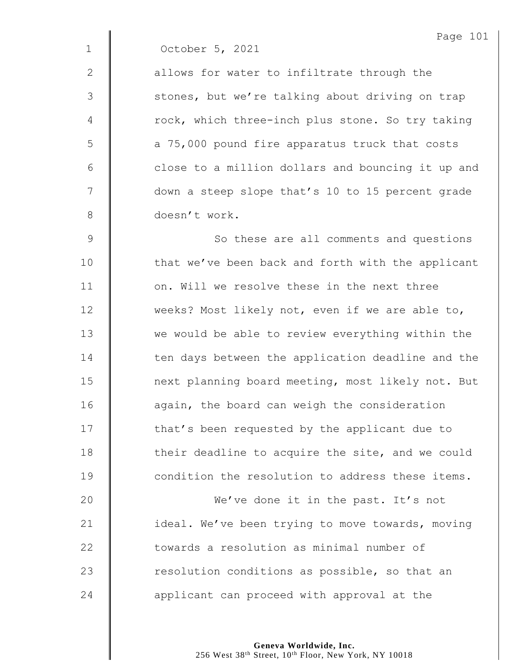|              | Page 101                                          |
|--------------|---------------------------------------------------|
| $\mathbf{1}$ | October 5, 2021                                   |
| 2            | allows for water to infiltrate through the        |
| 3            | stones, but we're talking about driving on trap   |
| 4            | rock, which three-inch plus stone. So try taking  |
| 5            | a 75,000 pound fire apparatus truck that costs    |
| 6            | close to a million dollars and bouncing it up and |
| 7            | down a steep slope that's 10 to 15 percent grade  |
| 8            | doesn't work.                                     |
| $\mathsf 9$  | So these are all comments and questions           |
| 10           | that we've been back and forth with the applicant |
| 11           | on. Will we resolve these in the next three       |
| 12           | weeks? Most likely not, even if we are able to,   |
| 13           | we would be able to review everything within the  |
| 14           | ten days between the application deadline and the |
| 15           | next planning board meeting, most likely not. But |
| 16           | again, the board can weigh the consideration      |
| 17           | that's been requested by the applicant due to     |
| 18           | their deadline to acquire the site, and we could  |
| 19           | condition the resolution to address these items.  |
| 20           | We've done it in the past. It's not               |
| 21           | ideal. We've been trying to move towards, moving  |
| 22           | towards a resolution as minimal number of         |
| 23           | resolution conditions as possible, so that an     |
|              |                                                   |

**d** applicant can proceed with approval at the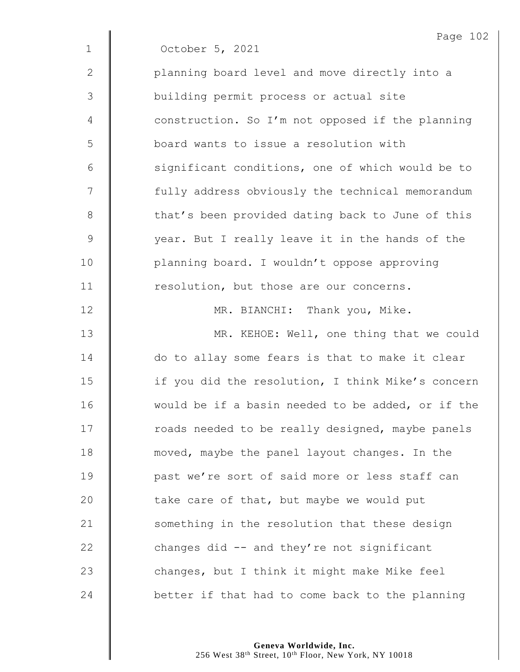|               | Page 102                                          |
|---------------|---------------------------------------------------|
| $\mathbf 1$   | October 5, 2021                                   |
| $\mathbf{2}$  | planning board level and move directly into a     |
| 3             | building permit process or actual site            |
| 4             | construction. So I'm not opposed if the planning  |
| 5             | board wants to issue a resolution with            |
| 6             | significant conditions, one of which would be to  |
| 7             | fully address obviously the technical memorandum  |
| $8\,$         | that's been provided dating back to June of this  |
| $\mathcal{G}$ | year. But I really leave it in the hands of the   |
| 10            | planning board. I wouldn't oppose approving       |
| 11            | resolution, but those are our concerns.           |
| 12            | MR. BIANCHI: Thank you, Mike.                     |
| 13            | MR. KEHOE: Well, one thing that we could          |
| 14            | do to allay some fears is that to make it clear   |
| 15            | if you did the resolution, I think Mike's concern |
| 16            | would be if a basin needed to be added, or if the |
| 17            | roads needed to be really designed, maybe panels  |
| 18            | moved, maybe the panel layout changes. In the     |
| 19            | past we're sort of said more or less staff can    |
| 20            | take care of that, but maybe we would put         |
| 21            | something in the resolution that these design     |
| 22            | changes did -- and they're not significant        |
| 23            | changes, but I think it might make Mike feel      |
| 24            | better if that had to come back to the planning   |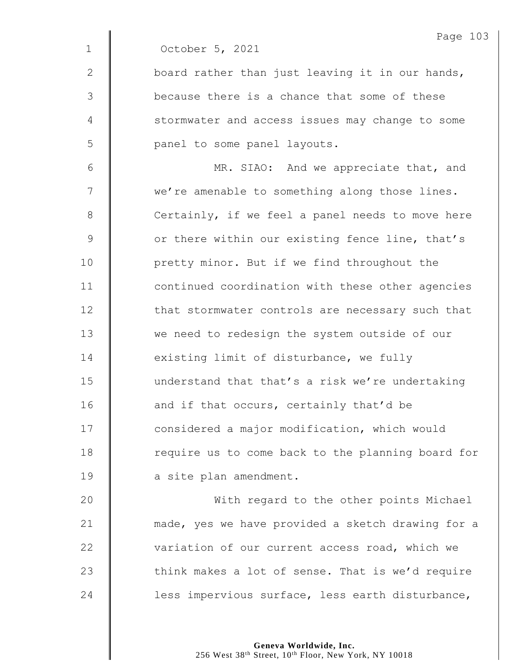| Page | 03 |
|------|----|
|      |    |

1 October 5, 2021

2  $\parallel$  board rather than just leaving it in our hands, 3 because there is a chance that some of these 4 Stormwater and access issues may change to some 5 | panel to some panel layouts.

6 || MR. SIAO: And we appreciate that, and 7 | we're amenable to something along those lines. 8 Certainly, if we feel a panel needs to move here 9 | or there within our existing fence line, that's 10 | pretty minor. But if we find throughout the 11 | continued coordination with these other agencies 12 | that stormwater controls are necessary such that 13 We need to redesign the system outside of our 14 existing limit of disturbance, we fully 15 understand that that's a risk we're undertaking 16 **and if that occurs, certainly that'd be** 17 **I** considered a major modification, which would 18 | require us to come back to the planning board for 19 a site plan amendment.

20 | With regard to the other points Michael 21 | made, yes we have provided a sketch drawing for a 22 variation of our current access road, which we 23  $\parallel$  think makes a lot of sense. That is we'd require 24 | less impervious surface, less earth disturbance,

> **Geneva Worldwide, Inc.** 256 West 38<sup>th</sup> Street, 10<sup>th</sup> Floor, New York, NY 10018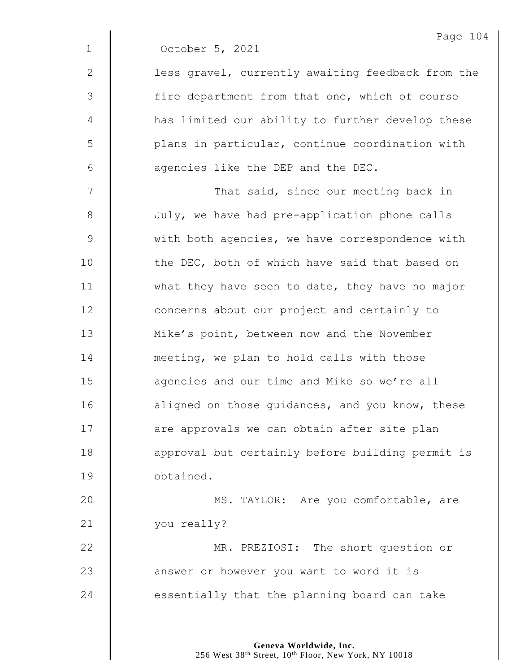|              | Page 104                                          |
|--------------|---------------------------------------------------|
| $\mathbf{1}$ | October 5, 2021                                   |
| $\mathbf{2}$ | less gravel, currently awaiting feedback from the |
| 3            | fire department from that one, which of course    |
| 4            | has limited our ability to further develop these  |
| 5            | plans in particular, continue coordination with   |
| 6            | agencies like the DEP and the DEC.                |
| 7            | That said, since our meeting back in              |
| 8            | July, we have had pre-application phone calls     |
| $\mathsf 9$  | with both agencies, we have correspondence with   |
| 10           | the DEC, both of which have said that based on    |
| 11           | what they have seen to date, they have no major   |
| 12           | concerns about our project and certainly to       |
| 13           | Mike's point, between now and the November        |
| 14           | meeting, we plan to hold calls with those         |
| 15           | agencies and our time and Mike so we're all       |
| 16           | aligned on those guidances, and you know, these   |
| 17           | are approvals we can obtain after site plan       |
| 18           | approval but certainly before building permit is  |
| 19           | obtained.                                         |

 $\overline{4}$ 

20 | MS. TAYLOR: Are you comfortable, are 21 | you really?

**MR.** PREZIOSI: The short question or **a** answer or however you want to word it is  $\parallel$  essentially that the planning board can take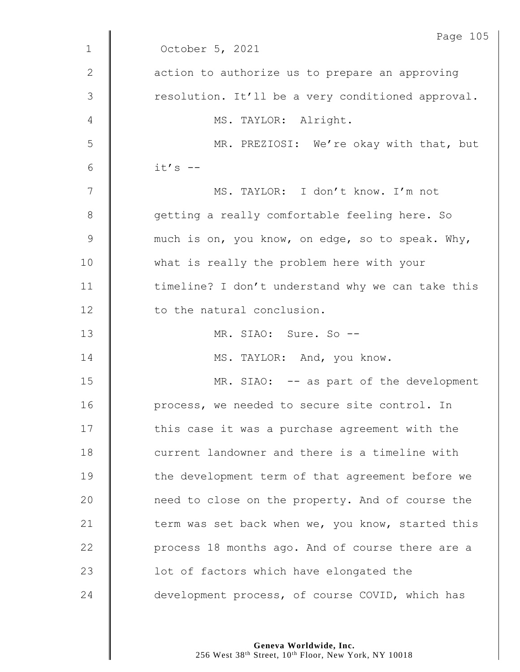|              | Page 105                                          |
|--------------|---------------------------------------------------|
| $\mathbf{1}$ | October 5, 2021                                   |
| $\mathbf{2}$ | action to authorize us to prepare an approving    |
| 3            | resolution. It'll be a very conditioned approval. |
| 4            | MS. TAYLOR: Alright.                              |
| 5            | MR. PREZIOSI: We're okay with that, but           |
| 6            | $it's$ --                                         |
| 7            | MS. TAYLOR: I don't know. I'm not                 |
| 8            | getting a really comfortable feeling here. So     |
| $\mathsf 9$  | much is on, you know, on edge, so to speak. Why,  |
| 10           | what is really the problem here with your         |
| 11           | timeline? I don't understand why we can take this |
| 12           | to the natural conclusion.                        |
| 13           | MR. SIAO: Sure. So --                             |
| 14           | MS. TAYLOR: And, you know.                        |
| 15           | MR. SIAO: -- as part of the development           |
| 16           | process, we needed to secure site control. In     |
| 17           | this case it was a purchase agreement with the    |
| 18           | current landowner and there is a timeline with    |
| 19           | the development term of that agreement before we  |
| 20           | need to close on the property. And of course the  |
| 21           | term was set back when we, you know, started this |
| 22           | process 18 months ago. And of course there are a  |
| 23           | lot of factors which have elongated the           |
| 24           | development process, of course COVID, which has   |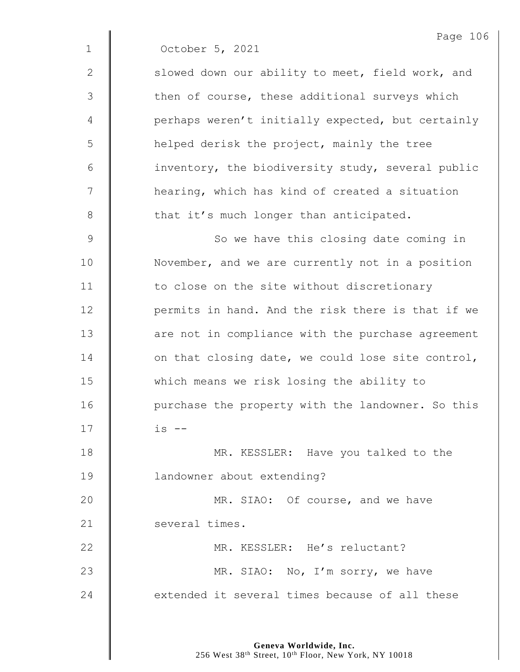|               | Page 10                                           |
|---------------|---------------------------------------------------|
| $\mathbf 1$   | October 5, 2021                                   |
| $\mathbf{2}$  | slowed down our ability to meet, field work, and  |
| 3             | then of course, these additional surveys which    |
| 4             | perhaps weren't initially expected, but certainly |
| 5             | helped derisk the project, mainly the tree        |
| 6             | inventory, the biodiversity study, several public |
| 7             | hearing, which has kind of created a situation    |
| $8\,$         | that it's much longer than anticipated.           |
| $\mathcal{G}$ | So we have this closing date coming in            |
| 10            | November, and we are currently not in a position  |
| 11            | to close on the site without discretionary        |
| 12            | permits in hand. And the risk there is that if we |
| 13            | are not in compliance with the purchase agreement |
| 14            | on that closing date, we could lose site control, |
| 15            | which means we risk losing the ability to         |
| 16            | purchase the property with the landowner. So this |
| 17            | $is$ $-$                                          |
| 18            | MR. KESSLER: Have you talked to the               |
| 19            | landowner about extending?                        |
| 20            | MR. SIAO: Of course, and we have                  |
| 21            | several times.                                    |
| 22            | MR. KESSLER: He's reluctant?                      |
| 23            | MR. SIAO: No, I'm sorry, we have                  |
| 24            | extended it several times because of all these    |

 $6 \,$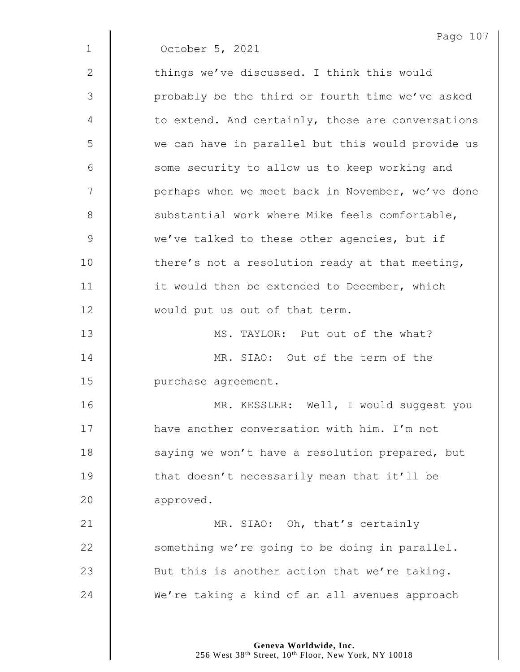|              | Page 107                                          |
|--------------|---------------------------------------------------|
| $\mathbf{1}$ | October 5, 2021                                   |
| $\mathbf{2}$ | things we've discussed. I think this would        |
| 3            | probably be the third or fourth time we've asked  |
| 4            | to extend. And certainly, those are conversations |
| 5            | we can have in parallel but this would provide us |
| 6            | some security to allow us to keep working and     |
| 7            | perhaps when we meet back in November, we've done |
| 8            | substantial work where Mike feels comfortable,    |
| 9            | we've talked to these other agencies, but if      |
| 10           | there's not a resolution ready at that meeting,   |
| 11           | it would then be extended to December, which      |
| 12           | would put us out of that term.                    |
| 13           | MS. TAYLOR: Put out of the what?                  |
| 14           | MR. SIAO: Out of the term of the                  |
| 15           | purchase agreement.                               |
| 16           | MR. KESSLER: Well, I would suggest you            |
| 17           | have another conversation with him. I'm not       |
| 18           | saying we won't have a resolution prepared, but   |
| 19           | that doesn't necessarily mean that it'll be       |
| 20           | approved.                                         |
| 21           | MR. SIAO: Oh, that's certainly                    |
| 22           | something we're going to be doing in parallel.    |
| 23           | But this is another action that we're taking.     |
| 24           | We're taking a kind of an all avenues approach    |
|              |                                                   |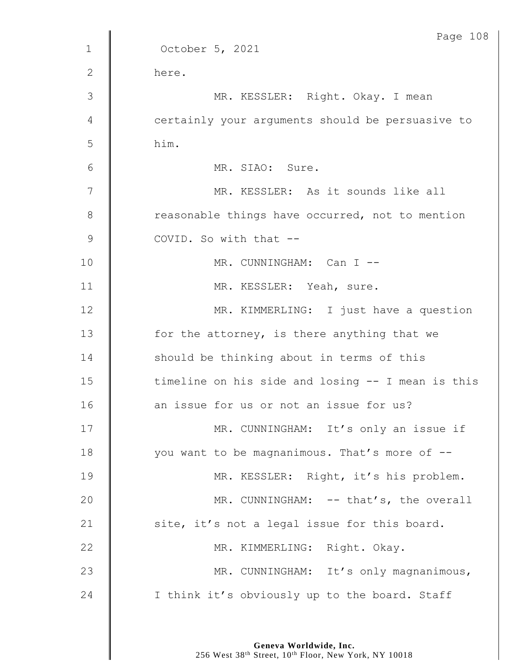|                | Page 108                                          |
|----------------|---------------------------------------------------|
| $\mathbf{1}$   | October 5, 2021                                   |
| $\mathbf{2}$   | here.                                             |
| 3              | MR. KESSLER: Right. Okay. I mean                  |
| $\overline{4}$ | certainly your arguments should be persuasive to  |
| 5              | him.                                              |
| 6              | MR. SIAO: Sure.                                   |
| 7              | MR. KESSLER: As it sounds like all                |
| $8\,$          | reasonable things have occurred, not to mention   |
| $\mathsf 9$    | COVID. So with that --                            |
| 10             | MR. CUNNINGHAM: Can I --                          |
| 11             | MR. KESSLER: Yeah, sure.                          |
| 12             | MR. KIMMERLING: I just have a question            |
| 13             | for the attorney, is there anything that we       |
| 14             | should be thinking about in terms of this         |
| 15             | timeline on his side and losing -- I mean is this |
| 16             | an issue for us or not an issue for us?           |
| 17             | MR. CUNNINGHAM: It's only an issue if             |
| 18             | you want to be magnanimous. That's more of --     |
| 19             | MR. KESSLER: Right, it's his problem.             |
| 20             | MR. CUNNINGHAM: -- that's, the overall            |
| 21             | site, it's not a legal issue for this board.      |
| 22             | MR. KIMMERLING: Right. Okay.                      |
| 23             | MR. CUNNINGHAM: It's only magnanimous,            |
| 24             | I think it's obviously up to the board. Staff     |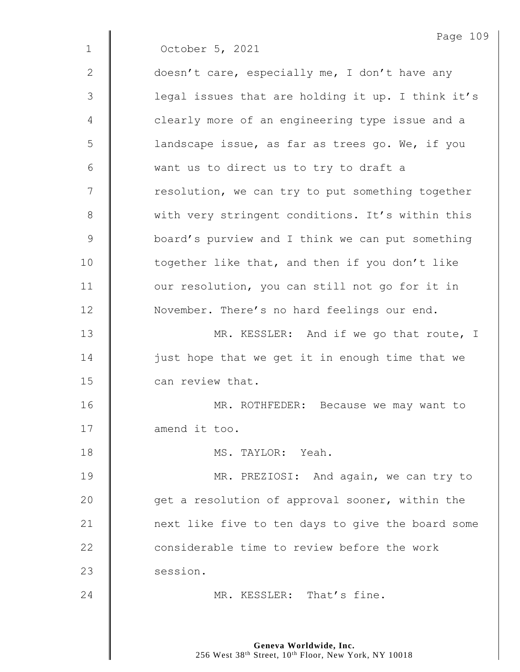|             | Page 109                                          |
|-------------|---------------------------------------------------|
| $\mathbf 1$ | October 5, 2021                                   |
| 2           | doesn't care, especially me, I don't have any     |
| 3           | legal issues that are holding it up. I think it's |
| 4           | clearly more of an engineering type issue and a   |
| 5           | landscape issue, as far as trees go. We, if you   |
| 6           | want us to direct us to try to draft a            |
| 7           | resolution, we can try to put something together  |
| $8\,$       | with very stringent conditions. It's within this  |
| 9           | board's purview and I think we can put something  |
| 10          | together like that, and then if you don't like    |
| 11          | our resolution, you can still not go for it in    |
| 12          | November. There's no hard feelings our end.       |
| 13          | MR. KESSLER: And if we go that route, I           |
| 14          | just hope that we get it in enough time that we   |
| 15          | can review that.                                  |
| 16          | MR. ROTHFEDER:<br>Because we may want to          |
| 17          | amend it too.                                     |
| 18          | MS. TAYLOR: Yeah.                                 |
| 19          | MR. PREZIOSI: And again, we can try to            |
| 20          | get a resolution of approval sooner, within the   |
| 21          | next like five to ten days to give the board some |
| 22          | considerable time to review before the work       |
| 23          | session.                                          |
| 24          | MR. KESSLER: That's fine.                         |
|             |                                                   |

**Geneva Worldwide, Inc.** 256 West 38th Street, 10th Floor, New York, NY 10018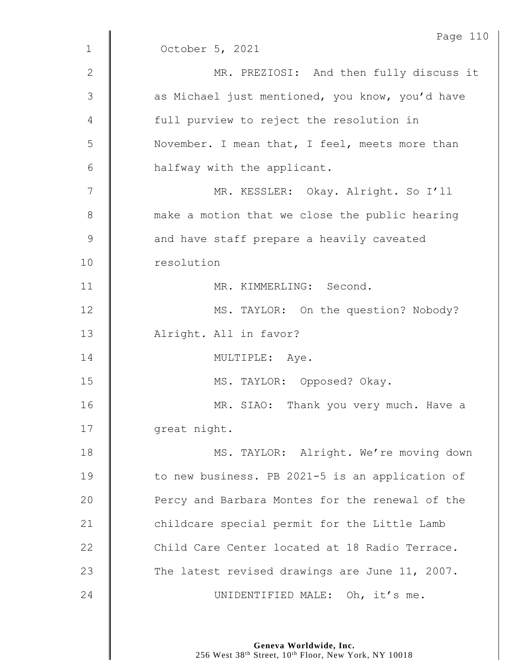|               | Page 110                                        |
|---------------|-------------------------------------------------|
| $\mathbf{1}$  | October 5, 2021                                 |
| $\mathbf{2}$  | MR. PREZIOSI: And then fully discuss it         |
| 3             | as Michael just mentioned, you know, you'd have |
| 4             | full purview to reject the resolution in        |
| 5             | November. I mean that, I feel, meets more than  |
| 6             | halfway with the applicant.                     |
| 7             | MR. KESSLER: Okay. Alright. So I'll             |
| $8\,$         | make a motion that we close the public hearing  |
| $\mathcal{G}$ | and have staff prepare a heavily caveated       |
| 10            | resolution                                      |
| 11            | MR. KIMMERLING: Second.                         |
| 12            | MS. TAYLOR: On the question? Nobody?            |
| 13            | Alright. All in favor?                          |
| 14            | MULTIPLE: Aye.                                  |
| 15            | MS. TAYLOR: Opposed? Okay.                      |
| 16            | MR. SIAO: Thank you very much. Have a           |
| 17            | great night.                                    |
| 18            | MS. TAYLOR: Alright. We're moving down          |
| 19            | to new business. PB 2021-5 is an application of |
| 20            | Percy and Barbara Montes for the renewal of the |
| 21            | childcare special permit for the Little Lamb    |
| 22            | Child Care Center located at 18 Radio Terrace.  |
| 23            | The latest revised drawings are June 11, 2007.  |
| 24            | UNIDENTIFIED MALE: Oh, it's me.                 |
|               |                                                 |

**Geneva Worldwide, Inc.** 256 West 38th Street, 10th Floor, New York, NY 10018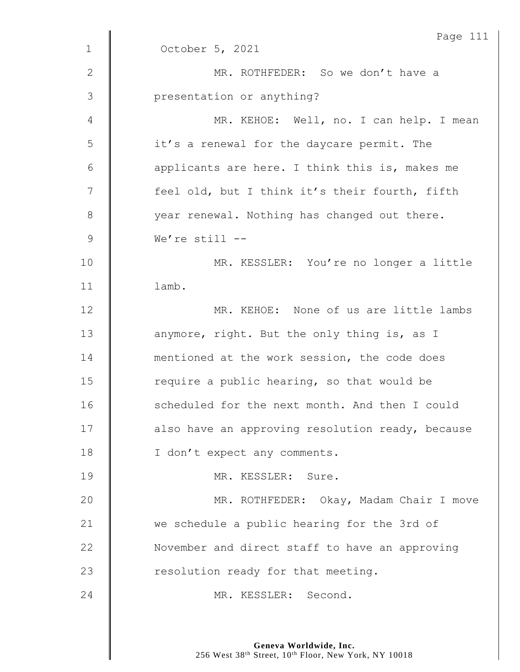|                | Page 111                                         |
|----------------|--------------------------------------------------|
| $\mathbf 1$    | October 5, 2021                                  |
| $\mathbf{2}$   | MR. ROTHFEDER: So we don't have a                |
| $\mathfrak{Z}$ | presentation or anything?                        |
| 4              | MR. KEHOE: Well, no. I can help. I mean          |
| 5              | it's a renewal for the daycare permit. The       |
| 6              | applicants are here. I think this is, makes me   |
| 7              | feel old, but I think it's their fourth, fifth   |
| 8              | year renewal. Nothing has changed out there.     |
| $\mathcal{G}$  | We're still $--$                                 |
| 10             | MR. KESSLER: You're no longer a little           |
| 11             | lamb.                                            |
| 12             | MR. KEHOE: None of us are little lambs           |
| 13             | anymore, right. But the only thing is, as I      |
| 14             | mentioned at the work session, the code does     |
| 15             | require a public hearing, so that would be       |
| 16             | scheduled for the next month. And then I could   |
| 17             | also have an approving resolution ready, because |
| 18             | I don't expect any comments.                     |
| 19             | MR. KESSLER: Sure.                               |
| 20             | MR. ROTHFEDER: Okay, Madam Chair I move          |
| 21             | we schedule a public hearing for the 3rd of      |
| 22             | November and direct staff to have an approving   |
| 23             | resolution ready for that meeting.               |
| 24             | MR. KESSLER: Second.                             |
|                |                                                  |

**Geneva Worldwide, Inc.** 256 West 38th Street, 10th Floor, New York, NY 10018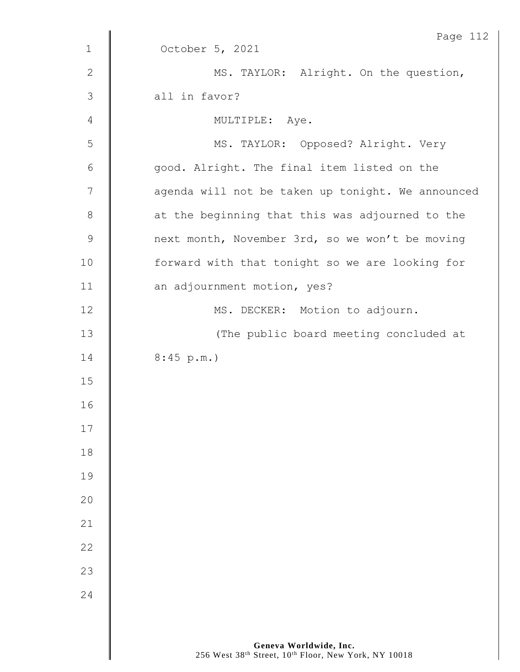|                | Page 112                                          |
|----------------|---------------------------------------------------|
| $\mathbf{1}$   | October 5, 2021                                   |
| $\mathbf{2}$   | MS. TAYLOR: Alright. On the question,             |
| $\mathfrak{Z}$ | all in favor?                                     |
| $\overline{4}$ | MULTIPLE: Aye.                                    |
| 5              | MS. TAYLOR: Opposed? Alright. Very                |
| $6\,$          | good. Alright. The final item listed on the       |
| 7              | agenda will not be taken up tonight. We announced |
| $\,8\,$        | at the beginning that this was adjourned to the   |
| $\mathcal{G}$  | next month, November 3rd, so we won't be moving   |
| 10             | forward with that tonight so we are looking for   |
| 11             | an adjournment motion, yes?                       |
| 12             | MS. DECKER: Motion to adjourn.                    |
| 13             | (The public board meeting concluded at            |
| 14             | 8:45 p.m.                                         |
| 15             |                                                   |
| 16             |                                                   |
| $17$           |                                                   |
| $18$           |                                                   |
| 19             |                                                   |
| 20             |                                                   |
| 21             |                                                   |
| 22             |                                                   |
| 23             |                                                   |
| 24             |                                                   |
|                |                                                   |